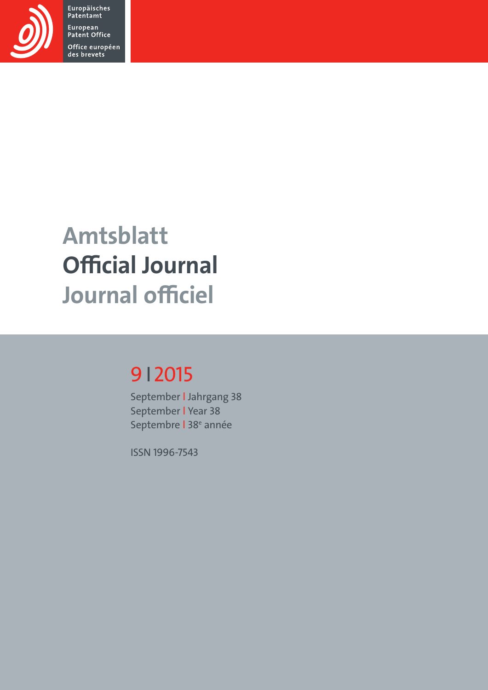

Europäisches<br>Patentamt European Patent Office Office européen<br>des brevets

# Amtsblatt Official Journal Journal officiel

# 9I2015

September l Jahrgang 38 September l Year 38 Septembre | 38<sup>e</sup> année

ISSN 1996-7543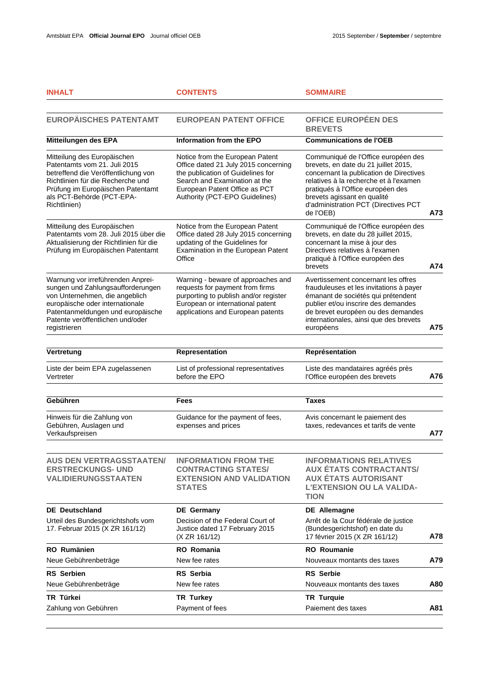| <b>INHALT</b>                                                                                                                                                                                                                        | <b>CONTENTS</b>                                                                                                                                                                                                  | <b>SOMMAIRE</b>                                                                                                                                                                                                                                                                           |     |
|--------------------------------------------------------------------------------------------------------------------------------------------------------------------------------------------------------------------------------------|------------------------------------------------------------------------------------------------------------------------------------------------------------------------------------------------------------------|-------------------------------------------------------------------------------------------------------------------------------------------------------------------------------------------------------------------------------------------------------------------------------------------|-----|
| <b>EUROPÄISCHES PATENTAMT</b>                                                                                                                                                                                                        | <b>EUROPEAN PATENT OFFICE</b>                                                                                                                                                                                    | OFFICE EUROPÉEN DES<br><b>BREVETS</b>                                                                                                                                                                                                                                                     |     |
| Mitteilungen des EPA                                                                                                                                                                                                                 | Information from the EPO                                                                                                                                                                                         | <b>Communications de l'OEB</b>                                                                                                                                                                                                                                                            |     |
| Mitteilung des Europäischen<br>Patentamts vom 21. Juli 2015<br>betreffend die Veröffentlichung von<br>Richtlinien für die Recherche und<br>Prüfung im Europäischen Patentamt<br>als PCT-Behörde (PCT-EPA-<br>Richtlinien)            | Notice from the European Patent<br>Office dated 21 July 2015 concerning<br>the publication of Guidelines for<br>Search and Examination at the<br>European Patent Office as PCT<br>Authority (PCT-EPO Guidelines) | Communiqué de l'Office européen des<br>brevets, en date du 21 juillet 2015,<br>concernant la publication de Directives<br>relatives à la recherche et à l'examen<br>pratiqués à l'Office européen des<br>brevets agissant en qualité<br>d'administration PCT (Directives PCT<br>de l'OEB) | A73 |
| Mitteilung des Europäischen<br>Patentamts vom 28. Juli 2015 über die<br>Aktualisierung der Richtlinien für die<br>Prüfung im Europäischen Patentamt                                                                                  | Notice from the European Patent<br>Office dated 28 July 2015 concerning<br>updating of the Guidelines for<br>Examination in the European Patent<br>Office                                                        | Communiqué de l'Office européen des<br>brevets, en date du 28 juillet 2015,<br>concernant la mise à jour des<br>Directives relatives à l'examen<br>pratiqué à l'Office européen des<br>brevets                                                                                            | A74 |
| Warnung vor irreführenden Anprei-<br>sungen und Zahlungsaufforderungen<br>von Unternehmen, die angeblich<br>europäische oder internationale<br>Patentanmeldungen und europäische<br>Patente veröffentlichen und/oder<br>registrieren | Warning - beware of approaches and<br>requests for payment from firms<br>purporting to publish and/or register<br>European or international patent<br>applications and European patents                          | Avertissement concernant les offres<br>frauduleuses et les invitations à payer<br>émanant de sociétés qui prétendent<br>publier et/ou inscrire des demandes<br>de brevet européen ou des demandes<br>internationales, ainsi que des brevets<br>européens                                  | A75 |
|                                                                                                                                                                                                                                      |                                                                                                                                                                                                                  |                                                                                                                                                                                                                                                                                           |     |
| Vertretung                                                                                                                                                                                                                           | Representation                                                                                                                                                                                                   | Représentation                                                                                                                                                                                                                                                                            |     |
| Liste der beim EPA zugelassenen<br>Vertreter                                                                                                                                                                                         | List of professional representatives<br>before the EPO                                                                                                                                                           | Liste des mandataires agréés près<br>l'Office européen des brevets                                                                                                                                                                                                                        | A76 |
| Gebühren                                                                                                                                                                                                                             | <b>Fees</b>                                                                                                                                                                                                      | <b>Taxes</b>                                                                                                                                                                                                                                                                              |     |
| Hinweis für die Zahlung von<br>Gebühren, Auslagen und<br>Verkaufspreisen                                                                                                                                                             | Guidance for the payment of fees,<br>expenses and prices                                                                                                                                                         | Avis concernant le paiement des<br>taxes, redevances et tarifs de vente                                                                                                                                                                                                                   | A77 |
| <b>AUS DEN VERTRAGSSTAATEN/</b><br><b>ERSTRECKUNGS- UND</b><br><b>VALIDIERUNGSSTAATEN</b>                                                                                                                                            | <b>INFORMATION FROM THE</b><br><b>CONTRACTING STATES/</b><br><b>EXTENSION AND VALIDATION</b><br><b>STATES</b>                                                                                                    | <b>INFORMATIONS RELATIVES</b><br><b>AUX ÉTATS CONTRACTANTS/</b><br><b>AUX ÉTATS AUTORISANT</b><br><b>L'EXTENSION OU LA VALIDA-</b><br><b>TION</b>                                                                                                                                         |     |
| <b>DE</b> Deutschland                                                                                                                                                                                                                | <b>DE</b> Germany                                                                                                                                                                                                | <b>DE Allemagne</b>                                                                                                                                                                                                                                                                       |     |
| Urteil des Bundesgerichtshofs vom<br>17. Februar 2015 (X ZR 161/12)                                                                                                                                                                  | Decision of the Federal Court of<br>Justice dated 17 February 2015<br>(X ZR 161/12)                                                                                                                              | Arrêt de la Cour fédérale de justice<br>(Bundesgerichtshof) en date du<br>17 février 2015 (X ZR 161/12)                                                                                                                                                                                   | A78 |
| <b>RO</b> Rumänien                                                                                                                                                                                                                   | <b>RO</b> Romania                                                                                                                                                                                                | <b>RO</b> Roumanie                                                                                                                                                                                                                                                                        |     |
| Neue Gebührenbeträge                                                                                                                                                                                                                 | New fee rates                                                                                                                                                                                                    | Nouveaux montants des taxes                                                                                                                                                                                                                                                               | A79 |
| <b>RS</b> Serbien                                                                                                                                                                                                                    | RS Serbia                                                                                                                                                                                                        | <b>RS</b> Serbie                                                                                                                                                                                                                                                                          |     |
| Neue Gebührenbeträge                                                                                                                                                                                                                 | New fee rates                                                                                                                                                                                                    | Nouveaux montants des taxes                                                                                                                                                                                                                                                               | A80 |
| TR Türkei                                                                                                                                                                                                                            | <b>TR Turkey</b>                                                                                                                                                                                                 | <b>TR Turquie</b>                                                                                                                                                                                                                                                                         |     |
| Zahlung von Gebühren                                                                                                                                                                                                                 | Payment of fees                                                                                                                                                                                                  | Paiement des taxes                                                                                                                                                                                                                                                                        | A81 |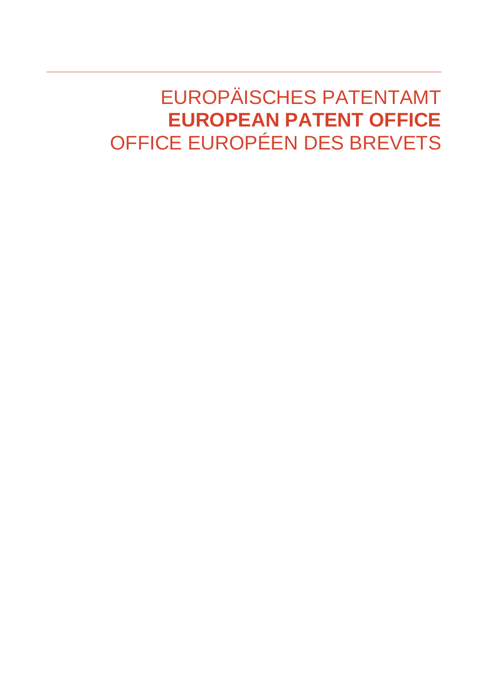# EUROPÄISCHES PATENTAMT **EUROPEAN PATENT OFFICE**  OFFICE EUROPÉEN DES BREVETS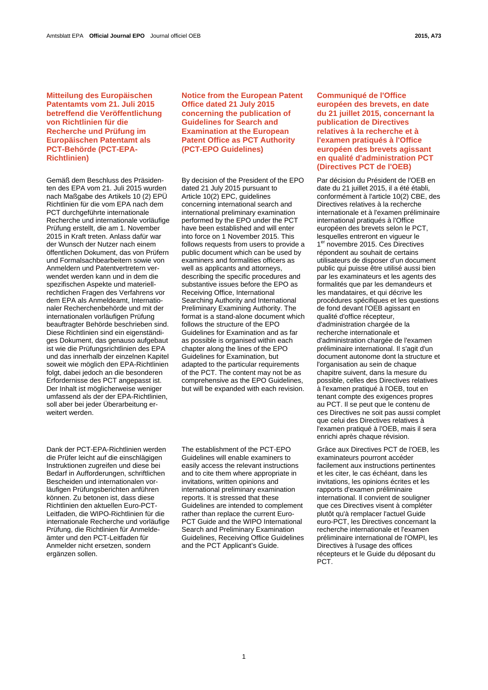# **Mitteilung des Europäischen Patentamts vom 21. Juli 2015 betreffend die Veröffentlichung von Richtlinien für die Recherche und Prüfung im Europäischen Patentamt als PCT-Behörde (PCT-EPA-Richtlinien)**

Gemäß dem Beschluss des Präsidenten des EPA vom 21. Juli 2015 wurden nach Maßgabe des Artikels 10 (2) EPÜ Richtlinien für die vom EPA nach dem PCT durchgeführte internationale Recherche und internationale vorläufige Prüfung erstellt, die am 1. November 2015 in Kraft treten. Anlass dafür war der Wunsch der Nutzer nach einem öffentlichen Dokument, das von Prüfern und Formalsachbearbeitern sowie von Anmeldern und Patentvertretern verwendet werden kann und in dem die spezifischen Aspekte und materiellrechtlichen Fragen des Verfahrens vor dem EPA als Anmeldeamt, Internationaler Recherchenbehörde und mit der internationalen vorläufigen Prüfung beauftragter Behörde beschrieben sind. Diese Richtlinien sind ein eigenständiges Dokument, das genauso aufgebaut ist wie die Prüfungsrichtlinien des EPA und das innerhalb der einzelnen Kapitel soweit wie möglich den EPA-Richtlinien folgt, dabei jedoch an die besonderen Erfordernisse des PCT angepasst ist. Der Inhalt ist möglicherweise weniger umfassend als der der EPA-Richtlinien, soll aber bei jeder Überarbeitung erweitert werden.

 **Notice from the European Patent Office dated 21 July 2015 concerning the publication of Guidelines for Search and Examination at the European Patent Office as PCT Authority (PCT-EPO Guidelines)** 

 By decision of the President of the EPO dated 21 July 2015 pursuant to Article 10(2) EPC, guidelines concerning international search and international preliminary examination performed by the EPO under the PCT have been established and will enter into force on 1 November 2015. This follows requests from users to provide a public document which can be used by examiners and formalities officers as well as applicants and attorneys, describing the specific procedures and substantive issues before the EPO as Receiving Office, International Searching Authority and International Preliminary Examining Authority. The format is a stand-alone document which follows the structure of the EPO Guidelines for Examination and as far as possible is organised within each chapter along the lines of the EPO Guidelines for Examination, but adapted to the particular requirements of the PCT. The content may not be as comprehensive as the EPO Guidelines, but will be expanded with each revision.

Dank der PCT-EPA-Richtlinien werden die Prüfer leicht auf die einschlägigen Instruktionen zugreifen und diese bei Bedarf in Aufforderungen, schriftlichen Bescheiden und internationalen vorläufigen Prüfungsberichten anführen können. Zu betonen ist, dass diese Richtlinien den aktuellen Euro-PCT-Leitfaden, die WIPO-Richtlinien für die internationale Recherche und vorläufige Prüfung, die Richtlinien für Anmeldeämter und den PCT-Leitfaden für Anmelder nicht ersetzen, sondern ergänzen sollen.

 The establishment of the PCT-EPO Guidelines will enable examiners to easily access the relevant instructions and to cite them where appropriate in invitations, written opinions and international preliminary examination reports. It is stressed that these Guidelines are intended to complement rather than replace the current Euro-PCT Guide and the WIPO International Search and Preliminary Examination Guidelines, Receiving Office Guidelines and the PCT Applicant's Guide.

 **Communiqué de l'Office européen des brevets, en date du 21 juillet 2015, concernant la publication de Directives relatives à la recherche et à l'examen pratiqués à l'Office européen des brevets agissant en qualité d'administration PCT (Directives PCT de l'OEB)** 

 Par décision du Président de l'OEB en date du 21 juillet 2015, il a été établi, conformément à l'article 10(2) CBE, des Directives relatives à la recherche internationale et à l'examen préliminaire international pratiqués à l'Office européen des brevets selon le PCT, lesquelles entreront en vigueur le 1<sup>er</sup> novembre 2015. Ces Directives répondent au souhait de certains utilisateurs de disposer d'un document public qui puisse être utilisé aussi bien par les examinateurs et les agents des formalités que par les demandeurs et les mandataires, et qui décrive les procédures spécifiques et les questions de fond devant l'OEB agissant en qualité d'office récepteur, d'administration chargée de la recherche internationale et d'administration chargée de l'examen préliminaire international. Il s'agit d'un document autonome dont la structure et l'organisation au sein de chaque chapitre suivent, dans la mesure du possible, celles des Directives relatives à l'examen pratiqué à l'OEB, tout en tenant compte des exigences propres au PCT. Il se peut que le contenu de ces Directives ne soit pas aussi complet que celui des Directives relatives à l'examen pratiqué à l'OEB, mais il sera enrichi après chaque révision.

 Grâce aux Directives PCT de l'OEB, les examinateurs pourront accéder facilement aux instructions pertinentes et les citer, le cas échéant, dans les invitations, les opinions écrites et les rapports d'examen préliminaire international. Il convient de souligner que ces Directives visent à compléter plutôt qu'à remplacer l'actuel Guide euro-PCT, les Directives concernant la recherche internationale et l'examen préliminaire international de l'OMPI, les Directives à l'usage des offices récepteurs et le Guide du déposant du PCT.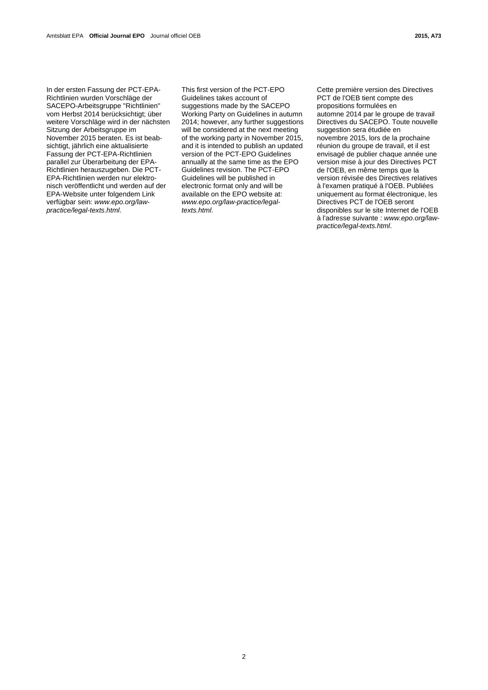In der ersten Fassung der PCT-EPA-Richtlinien wurden Vorschläge der SACEPO-Arbeitsgruppe "Richtlinien" vom Herbst 2014 berücksichtigt; über weitere Vorschläge wird in der nächsten Sitzung der Arbeitsgruppe im November 2015 beraten. Es ist beabsichtigt, jährlich eine aktualisierte Fassung der PCT-EPA-Richtlinien parallel zur Überarbeitung der EPA-Richtlinien herauszugeben. Die PCT-EPA-Richtlinien werden nur elektronisch veröffentlicht und werden auf der EPA-Website unter folgendem Link verfügbar sein: *www.epo.org/lawpractice/legal-texts.html*.

 This first version of the PCT-EPO Guidelines takes account of suggestions made by the SACEPO Working Party on Guidelines in autumn 2014; however, any further suggestions will be considered at the next meeting of the working party in November 2015, and it is intended to publish an updated version of the PCT-EPO Guidelines annually at the same time as the EPO Guidelines revision. The PCT-EPO Guidelines will be published in electronic format only and will be available on the EPO website at: *www.epo.org/law-practice/legaltexts.html*.

 Cette première version des Directives PCT de l'OEB tient compte des propositions formulées en automne 2014 par le groupe de travail Directives du SACEPO. Toute nouvelle suggestion sera étudiée en novembre 2015, lors de la prochaine réunion du groupe de travail, et il est envisagé de publier chaque année une version mise à jour des Directives PCT de l'OEB, en même temps que la version révisée des Directives relatives à l'examen pratiqué à l'OEB. Publiées uniquement au format électronique, les Directives PCT de l'OEB seront disponibles sur le site Internet de l'OEB à l'adresse suivante : *www.epo.org/lawpractice/legal-texts.html*.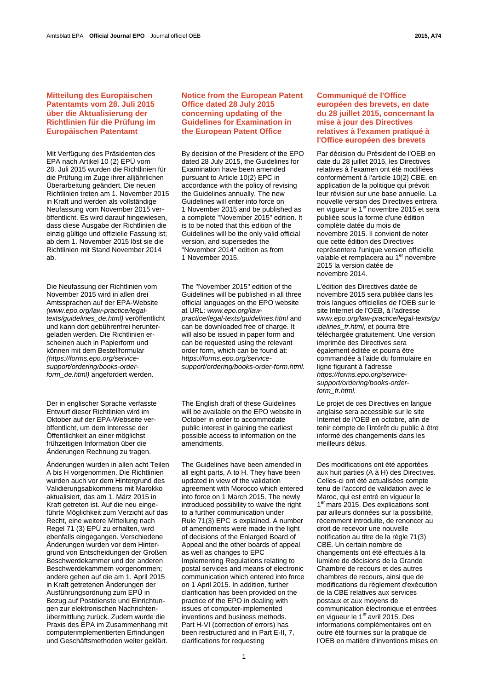# **Mitteilung des Europäischen Patentamts vom 28. Juli 2015 über die Aktualisierung der Richtlinien für die Prüfung im Europäischen Patentamt**

Mit Verfügung des Präsidenten des EPA nach Artikel 10 (2) EPÜ vom 28. Juli 2015 wurden die Richtlinien für die Prüfung im Zuge ihrer alljährlichen Überarbeitung geändert. Die neuen Richtlinien treten am 1. November 2015 in Kraft und werden als vollständige Neufassung vom November 2015 veröffentlicht. Es wird darauf hingewiesen, dass diese Ausgabe der Richtlinien die einzig gültige und offizielle Fassung ist; ab dem 1. November 2015 löst sie die Richtlinien mit Stand November 2014 ab.

Die Neufassung der Richtlinien vom November 2015 wird in allen drei Amtssprachen auf der EPA-Website *(www.epo.org/law-practice/legaltexts/guidelines\_de.html)* veröffentlicht und kann dort gebührenfrei heruntergeladen werden. Die Richtlinien erscheinen auch in Papierform und können mit dem Bestellformular *(https://forms.epo.org/servicesupport/ordering/books-orderform\_de.html)* angefordert werden.

Der in englischer Sprache verfasste Entwurf dieser Richtlinien wird im Oktober auf der EPA-Webseite veröffentlicht, um dem Interesse der Öffentlichkeit an einer möglichst frühzeitigen Information über die Änderungen Rechnung zu tragen.

Änderungen wurden in allen acht Teilen A bis H vorgenommen. Die Richtlinien wurden auch vor dem Hintergrund des Validierungsabkommens mit Marokko aktualisiert, das am 1. März 2015 in Kraft getreten ist. Auf die neu eingeführte Möglichkeit zum Verzicht auf das Recht, eine weitere Mitteilung nach Regel 71 (3) EPÜ zu erhalten, wird ebenfalls eingegangen. Verschiedene Änderungen wurden vor dem Hintergrund von Entscheidungen der Großen Beschwerdekammer und der anderen Beschwerdekammern vorgenommen; andere gehen auf die am 1. April 2015 in Kraft getretenen Änderungen der Ausführungsordnung zum EPÜ in Bezug auf Postdienste und Einrichtungen zur elektronischen Nachrichtenübermittlung zurück. Zudem wurde die Praxis des EPA im Zusammenhang mit computerimplementierten Erfindungen und Geschäftsmethoden weiter geklärt.

# **Notice from the European Patent Office dated 28 July 2015 concerning updating of the Guidelines for Examination in the European Patent Office**

 By decision of the President of the EPO dated 28 July 2015, the Guidelines for Examination have been amended pursuant to Article 10(2) EPC in accordance with the policy of revising the Guidelines annually. The new Guidelines will enter into force on 1 November 2015 and be published as a complete "November 2015" edition. It is to be noted that this edition of the Guidelines will be the only valid official version, and supersedes the "November 2014" edition as from 1 November 2015.

 The "November 2015" edition of the Guidelines will be published in all three official languages on the EPO website at URL: *www.epo.org/lawpractice/legal-texts/guidelines.html* and can be downloaded free of charge. It will also be issued in paper form and can be requested using the relevant order form, which can be found at: *https://forms.epo.org/servicesupport/ordering/books-order-form.html.*

 The English draft of these Guidelines will be available on the EPO website in October in order to accommodate public interest in gaining the earliest possible access to information on the amendments.

 The Guidelines have been amended in all eight parts, A to H. They have been updated in view of the validation agreement with Morocco which entered into force on 1 March 2015. The newly introduced possibility to waive the right to a further communication under Rule 71(3) EPC is explained. A number of amendments were made in the light of decisions of the Enlarged Board of Appeal and the other boards of appeal as well as changes to EPC Implementing Regulations relating to postal services and means of electronic communication which entered into force on 1 April 2015. In addition, further clarification has been provided on the practice of the EPO in dealing with issues of computer-implemented inventions and business methods. Part H-VI (correction of errors) has been restructured and in Part E-II, 7, clarifications for requesting

# **Communiqué de l'Office européen des brevets, en date du 28 juillet 2015, concernant la mise à jour des Directives relatives à l'examen pratiqué à l'Office européen des brevets**

 Par décision du Président de l'OEB en date du 28 juillet 2015, les Directives relatives à l'examen ont été modifiées conformément à l'article 10(2) CBE, en application de la politique qui prévoit leur révision sur une base annuelle. La nouvelle version des Directives entrera en vigueur le 1<sup>er</sup> novembre 2015 et sera publiée sous la forme d'une édition complète datée du mois de novembre 2015. Il convient de noter que cette édition des Directives représentera l'unique version officielle valable et remplacera au 1<sup>er</sup> novembre 2015 la version datée de novembre 2014.

 L'édition des Directives datée de novembre 2015 sera publiée dans les trois langues officielles de l'OEB sur le site Internet de l'OEB, à l'adresse *www.epo.org/law-practice/legal-texts/gu idelines\_fr.html*, et pourra être téléchargée gratuitement. Une version imprimée des Directives sera également éditée et pourra être commandée à l'aide du formulaire en ligne figurant à l'adresse *https://forms.epo.org/servicesupport/ordering/books-orderform\_fr.html.*

 Le projet de ces Directives en langue anglaise sera accessible sur le site Internet de l'OEB en octobre, afin de tenir compte de l'intérêt du public à être informé des changements dans les meilleurs délais.

 Des modifications ont été apportées aux huit parties (A à H) des Directives. Celles-ci ont été actualisées compte tenu de l'accord de validation avec le Maroc, qui est entré en vigueur le 1<sup>er</sup> mars 2015. Des explications sont par ailleurs données sur la possibilité, récemment introduite, de renoncer au droit de recevoir une nouvelle notification au titre de la règle 71(3) CBE. Un certain nombre de changements ont été effectués à la lumière de décisions de la Grande Chambre de recours et des autres chambres de recours, ainsi que de modifications du règlement d'exécution de la CBE relatives aux services postaux et aux moyens de communication électronique et entrées en vigueur le 1<sup>er</sup> avril 2015. Des informations complémentaires ont en outre été fournies sur la pratique de l'OEB en matière d'inventions mises en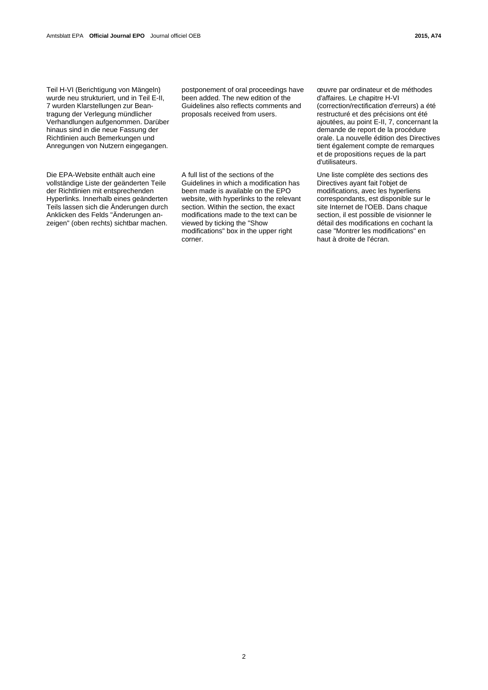Teil H-VI (Berichtigung von Mängeln) wurde neu strukturiert, und in Teil E-II, 7 wurden Klarstellungen zur Beantragung der Verlegung mündlicher Verhandlungen aufgenommen. Darüber hinaus sind in die neue Fassung der Richtlinien auch Bemerkungen und Anregungen von Nutzern eingegangen.

Die EPA-Website enthält auch eine vollständige Liste der geänderten Teile der Richtlinien mit entsprechenden Hyperlinks. Innerhalb eines geänderten Teils lassen sich die Änderungen durch Anklicken des Felds "Änderungen anzeigen" (oben rechts) sichtbar machen. postponement of oral proceedings have been added. The new edition of the Guidelines also reflects comments and proposals received from users.

A full list of the sections of the Guidelines in which a modification has been made is available on the EPO website, with hyperlinks to the relevant section. Within the section, the exact modifications made to the text can be viewed by ticking the "Show modifications" box in the upper right corner.

œuvre par ordinateur et de méthodes d'affaires. Le chapitre H-VI (correction/rectification d'erreurs) a été restructuré et des précisions ont été ajoutées, au point E-II, 7, concernant la demande de report de la procédure orale. La nouvelle édition des Directives tient également compte de remarques et de propositions reçues de la part d'utilisateurs.

 Une liste complète des sections des Directives ayant fait l'objet de modifications, avec les hyperliens correspondants, est disponible sur le site Internet de l'OEB. Dans chaque section, il est possible de visionner le détail des modifications en cochant la case "Montrer les modifications" en haut à droite de l'écran.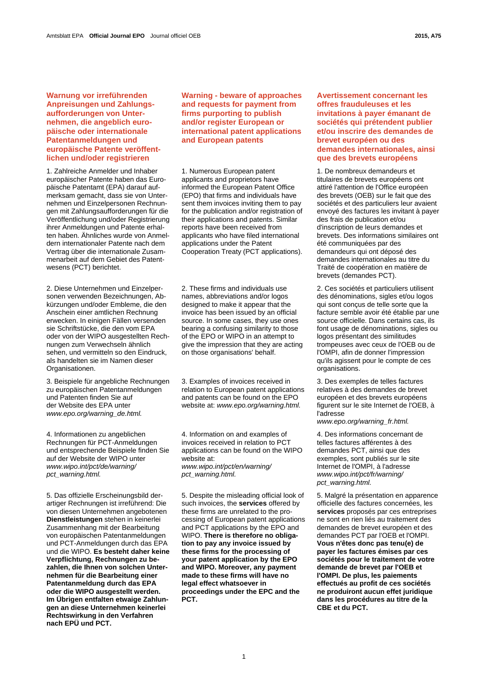# **Warnung vor irreführenden Anpreisungen und Zahlungsaufforderungen von Unternehmen, die angeblich europäische oder internationale Patentanmeldungen und europäische Patente veröffentlichen und/oder registrieren**

1. Zahlreiche Anmelder und Inhaber europäischer Patente haben das Europäische Patentamt (EPA) darauf aufmerksam gemacht, dass sie von Unternehmen und Einzelpersonen Rechnungen mit Zahlungsaufforderungen für die Veröffentlichung und/oder Registrierung ihrer Anmeldungen und Patente erhalten haben. Ähnliches wurde von Anmeldern internationaler Patente nach dem Vertrag über die internationale Zusammenarbeit auf dem Gebiet des Patentwesens (PCT) berichtet.

2. Diese Unternehmen und Einzelpersonen verwenden Bezeichnungen, Abkürzungen und/oder Embleme, die den Anschein einer amtlichen Rechnung erwecken. In einigen Fällen versenden sie Schriftstücke, die den vom EPA oder von der WIPO ausgestellten Rechnungen zum Verwechseln ähnlich sehen, und vermitteln so den Eindruck, als handelten sie im Namen dieser Organisationen.

3. Beispiele für angebliche Rechnungen zu europäischen Patentanmeldungen und Patenten finden Sie auf der Website des EPA unter *www.epo.org/warning\_de.html.*

4. Informationen zu angeblichen Rechnungen für PCT-Anmeldungen und entsprechende Beispiele finden Sie auf der Website der WIPO unter *www.wipo.int/pct/de/warning/ pct\_warning.html.* 

5. Das offizielle Erscheinungsbild derartiger Rechnungen ist irreführend: Die von diesen Unternehmen angebotenen **Dienstleistungen** stehen in keinerlei Zusammenhang mit der Bearbeitung von europäischen Patentanmeldungen und PCT-Anmeldungen durch das EPA und die WIPO. **Es besteht daher keine Verpflichtung, Rechnungen zu bezahlen, die Ihnen von solchen Unternehmen für die Bearbeitung einer Patentanmeldung durch das EPA oder die WIPO ausgestellt werden. Im Übrigen entfalten etwaige Zahlungen an diese Unternehmen keinerlei Rechtswirkung in den Verfahren nach EPÜ und PCT.**

 **Warning - beware of approaches and requests for payment from firms purporting to publish and/or register European or international patent applications and European patents** 

 1. Numerous European patent applicants and proprietors have informed the European Patent Office (EPO) that firms and individuals have sent them invoices inviting them to pay for the publication and/or registration of their applications and patents. Similar reports have been received from applicants who have filed international applications under the Patent Cooperation Treaty (PCT applications).

 2. These firms and individuals use names, abbreviations and/or logos designed to make it appear that the invoice has been issued by an official source. In some cases, they use ones bearing a confusing similarity to those of the EPO or WIPO in an attempt to give the impression that they are acting on those organisations' behalf.

 3. Examples of invoices received in relation to European patent applications and patents can be found on the EPO website at: *www.epo.org/warning.html.*

 4. Information on and examples of invoices received in relation to PCT applications can be found on the WIPO website at: *www.wipo.int/pct/en/warning/ pct\_warning.html.* 

 5. Despite the misleading official look of such invoices, the **services** offered by these firms are unrelated to the processing of European patent applications and PCT applications by the EPO and WIPO. **There is therefore no obligation to pay any invoice issued by these firms for the processing of your patent application by the EPO and WIPO. Moreover, any payment made to these firms will have no legal effect whatsoever in proceedings under the EPC and the PCT.**

 **Avertissement concernant les offres frauduleuses et les invitations à payer émanant de sociétés qui prétendent publier et/ou inscrire des demandes de brevet européen ou des demandes internationales, ainsi que des brevets européens** 

 1. De nombreux demandeurs et titulaires de brevets européens ont attiré l'attention de l'Office européen des brevets (OEB) sur le fait que des sociétés et des particuliers leur avaient envoyé des factures les invitant à payer des frais de publication et/ou d'inscription de leurs demandes et brevets. Des informations similaires ont été communiquées par des demandeurs qui ont déposé des demandes internationales au titre du Traité de coopération en matière de brevets (demandes PCT).

 2. Ces sociétés et particuliers utilisent des dénominations, sigles et/ou logos qui sont conçus de telle sorte que la facture semble avoir été établie par une source officielle. Dans certains cas, ils font usage de dénominations, sigles ou logos présentant des similitudes trompeuses avec ceux de l'OEB ou de l'OMPI, afin de donner l'impression qu'ils agissent pour le compte de ces organisations.

 3. Des exemples de telles factures relatives à des demandes de brevet européen et des brevets européens figurent sur le site Internet de l'OEB, à l'adresse

*www.epo.org/warning\_fr.html.* 

 4. Des informations concernant de telles factures afférentes à des demandes PCT, ainsi que des exemples, sont publiés sur le site Internet de l'OMPI, à l'adresse *www.wipo.int/pct/fr/warning/ pct\_warning.html.* 

 5. Malgré la présentation en apparence officielle des factures concernées, les **services** proposés par ces entreprises ne sont en rien liés au traitement des demandes de brevet européen et des demandes PCT par l'OEB et l'OMPI. **Vous n'êtes donc pas tenu(e) de payer les factures émises par ces sociétés pour le traitement de votre demande de brevet par l'OEB et l'OMPI. De plus, les paiements effectués au profit de ces sociétés ne produiront aucun effet juridique dans les procédures au titre de la CBE et du PCT.**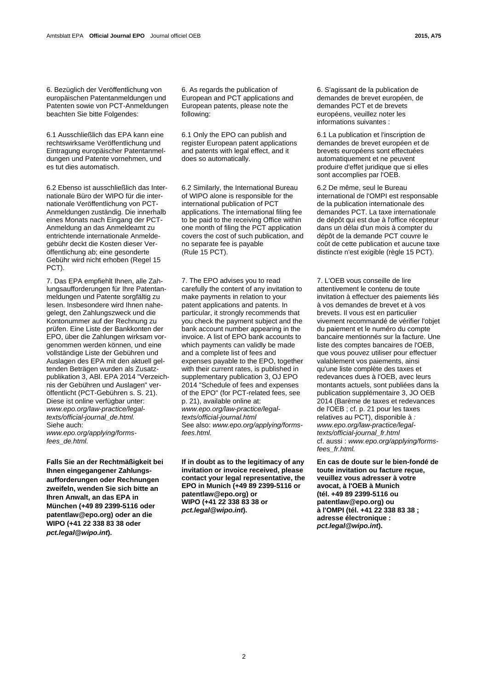6. Bezüglich der Veröffentlichung von europäischen Patentanmeldungen und Patenten sowie von PCT-Anmeldungen beachten Sie bitte Folgendes:

6.1 Ausschließlich das EPA kann eine rechtswirksame Veröffentlichung und Eintragung europäischer Patentanmeldungen und Patente vornehmen, und es tut dies automatisch.

6.2 Ebenso ist ausschließlich das Internationale Büro der WIPO für die internationale Veröffentlichung von PCT-Anmeldungen zuständig. Die innerhalb eines Monats nach Eingang der PCT-Anmeldung an das Anmeldeamt zu entrichtende internationale Anmeldegebühr deckt die Kosten dieser Veröffentlichung ab; eine gesonderte Gebühr wird nicht erhoben (Regel 15 PCT).

7. Das EPA empfiehlt Ihnen, alle Zahlungsaufforderungen für Ihre Patentanmeldungen und Patente sorgfältig zu lesen. Insbesondere wird Ihnen nahegelegt, den Zahlungszweck und die Kontonummer auf der Rechnung zu prüfen. Eine Liste der Bankkonten der EPO, über die Zahlungen wirksam vorgenommen werden können, und eine vollständige Liste der Gebühren und Auslagen des EPA mit den aktuell geltenden Beträgen wurden als Zusatzpublikation 3, ABl. EPA 2014 "Verzeichnis der Gebühren und Auslagen" veröffentlicht (PCT-Gebühren s. S. 21). Diese ist online verfügbar unter: *www.epo.org/law-practice/legaltexts/official-journal\_de.html.*  Siehe auch: *www.epo.org/applying/forms-*

*fees\_de.html.*

**Falls Sie an der Rechtmäßigkeit bei Ihnen eingegangener Zahlungsaufforderungen oder Rechnungen zweifeln, wenden Sie sich bitte an Ihren Anwalt, an das EPA in München (+49 89 2399-5116 oder patentlaw@epo.org) oder an die WIPO (+41 22 338 83 38 oder**  *pct.legal@wipo.int***).** 

 6. As regards the publication of European and PCT applications and European patents, please note the following:

 6.1 Only the EPO can publish and register European patent applications and patents with legal effect, and it does so automatically.

 6.2 Similarly, the International Bureau of WIPO alone is responsible for the international publication of PCT applications. The international filing fee to be paid to the receiving Office within one month of filing the PCT application covers the cost of such publication, and no separate fee is payable (Rule 15 PCT).

 7. The EPO advises you to read carefully the content of any invitation to make payments in relation to your patent applications and patents. In particular, it strongly recommends that you check the payment subject and the bank account number appearing in the invoice. A list of EPO bank accounts to which payments can validly be made and a complete list of fees and expenses payable to the EPO, together with their current rates, is published in supplementary publication 3, OJ EPO 2014 "Schedule of fees and expenses of the EPO" (for PCT-related fees, see p. 21), available online at: *www.epo.org/law-practice/legaltexts/official-journal.html* See also: *www.epo.org/applying/formsfees.html.*

**If in doubt as to the legitimacy of any invitation or invoice received, please contact your legal representative, the EPO in Munich (+49 89 2399-5116 or patentlaw@epo.org) or WIPO (+41 22 338 83 38 or**  *pct.legal@wipo.int***).** 

 6. S'agissant de la publication de demandes de brevet européen, de demandes PCT et de brevets européens, veuillez noter les informations suivantes :

 6.1 La publication et l'inscription de demandes de brevet européen et de brevets européens sont effectuées automatiquement et ne peuvent produire d'effet juridique que si elles sont accomplies par l'OEB.

 6.2 De même, seul le Bureau international de l'OMPI est responsable de la publication internationale des demandes PCT. La taxe internationale de dépôt qui est due à l'office récepteur dans un délai d'un mois à compter du dépôt de la demande PCT couvre le coût de cette publication et aucune taxe distincte n'est exigible (règle 15 PCT).

 7. L'OEB vous conseille de lire attentivement le contenu de toute invitation à effectuer des paiements liés à vos demandes de brevet et à vos brevets. Il vous est en particulier vivement recommandé de vérifier l'objet du paiement et le numéro du compte bancaire mentionnés sur la facture. Une liste des comptes bancaires de l'OEB, que vous pouvez utiliser pour effectuer valablement vos paiements, ainsi qu'une liste complète des taxes et redevances dues à l'OEB, avec leurs montants actuels, sont publiées dans la publication supplémentaire 3, JO OEB 2014 (Barème de taxes et redevances de l'OEB ; cf. p. 21 pour les taxes relatives au PCT), disponible à *: www.epo.org/law-practice/legaltexts/official-journal\_fr.html* cf. aussi : *www.epo.org/applying/formsfees\_fr.html.*

**En cas de doute sur le bien-fondé de toute invitation ou facture reçue, veuillez vous adresser à votre avocat, à l'OEB à Munich (tél. +49 89 2399-5116 ou patentlaw@epo.org) ou à l'OMPI (tél. +41 22 338 83 38 ; adresse électronique :**  *pct.legal@wipo.int***).**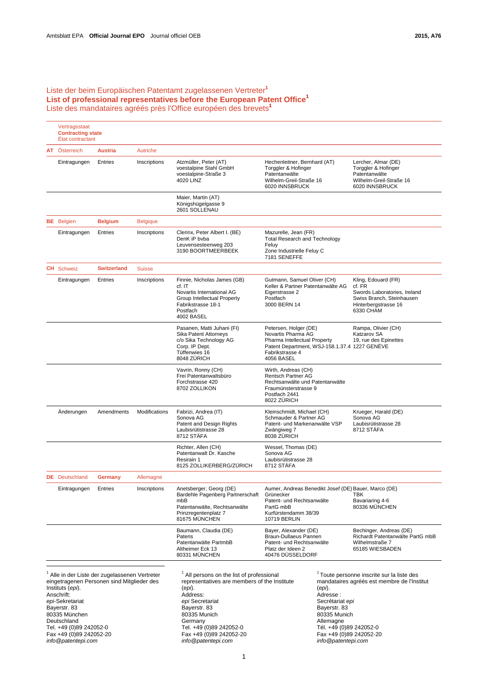# Liste der beim Europäischen Patentamt zugelassenen Vertreter**<sup>1</sup> List of professional representatives before the European Patent Office<sup>1</sup>** Liste des mandataires agréés près l'Office européen des brevets**<sup>1</sup>**

| Vertragsstaat<br><b>Contracting state</b><br>État contractant |                       |                    |                 |                                                                                                                                                     |                                                                                                                                                               |                                                                                                                                 |
|---------------------------------------------------------------|-----------------------|--------------------|-----------------|-----------------------------------------------------------------------------------------------------------------------------------------------------|---------------------------------------------------------------------------------------------------------------------------------------------------------------|---------------------------------------------------------------------------------------------------------------------------------|
|                                                               | AT Österreich         | <b>Austria</b>     | Autriche        |                                                                                                                                                     |                                                                                                                                                               |                                                                                                                                 |
|                                                               | Eintragungen          | Entries            | Inscriptions    | Atzmüller, Peter (AT)<br>voestalpine Stahl GmbH<br>voestalpine-Straße 3<br>4020 LINZ                                                                | Hechenleitner, Bernhard (AT)<br>Torggler & Hofinger<br>Patentanwälte<br>Wilhelm-Greil-Straße 16<br>6020 INNSBRUCK                                             | Lercher, Almar (DE)<br>Torggler & Hofinger<br>Patentanwälte<br>Wilhelm-Greil-Straße 16<br>6020 INNSBRUCK                        |
|                                                               |                       |                    |                 | Maier, Martin (AT)<br>Königshügelgasse 9<br>2601 SOLLENAU                                                                                           |                                                                                                                                                               |                                                                                                                                 |
|                                                               | <b>BE</b> Belgien     | <b>Belgium</b>     | <b>Belgique</b> |                                                                                                                                                     |                                                                                                                                                               |                                                                                                                                 |
|                                                               | Eintragungen          | Entries            | Inscriptions    | Clerinx, Peter Albert I. (BE)<br>DenK iP byba<br>Leuvensesteenweg 203<br>3190 BOORTMEERBEEK                                                         | Mazurelle, Jean (FR)<br><b>Total Research and Technology</b><br>Feluy<br>Zone Industrielle Feluy C<br>7181 SENEFFE                                            |                                                                                                                                 |
|                                                               | <b>CH</b> Schweiz     | <b>Switzerland</b> | <b>Suisse</b>   |                                                                                                                                                     |                                                                                                                                                               |                                                                                                                                 |
|                                                               | Eintragungen          | Entries            | Inscriptions    | Finnie, Nicholas James (GB)<br>$cf.$ IT<br>Novartis International AG<br>Group Intellectual Property<br>Fabrikstrasse 18-1<br>Postfach<br>4002 BASEL | Gutmann, Samuel Oliver (CH)<br>Keller & Partner Patentanwälte AG<br>Eigerstrasse 2<br>Postfach<br>3000 BERN 14                                                | Kling, Edouard (FR)<br>cf. FR<br>Swords Laboratories, Ireland<br>Swiss Branch, Steinhausen<br>Hinterbergstrasse 16<br>6330 CHAM |
|                                                               |                       |                    |                 | Pasanen, Matti Juhani (FI)<br>Sika Patent Attorneys<br>c/o Sika Technology AG<br>Corp. IP Dept.<br>Tüffenwies 16<br>8048 ZÜRICH                     | Petersen, Holger (DE)<br>Novartis Pharma AG<br>Pharma Intellectual Property<br>Patent Department, WSJ-158.1.37.4 1227 GENEVE<br>Fabrikstrasse 4<br>4056 BASEL | Rampa, Olivier (CH)<br>Katzarov SA<br>19, rue des Epinettes                                                                     |
|                                                               |                       |                    |                 | Vavrin, Ronny (CH)<br>Frei Patentanwaltsbüro<br>Forchstrasse 420<br>8702 ZOLLIKON                                                                   | Wirth, Andreas (CH)<br><b>Rentsch Partner AG</b><br>Rechtsanwälte und Patentanwälte<br>Fraumünsterstrasse 9<br>Postfach 2441<br>8022 ZURICH                   |                                                                                                                                 |
|                                                               | Anderungen            | Amendments         | Modifications   | Fabrizi, Andrea (IT)<br>Sonova AG<br>Patent and Design Rights<br>Laubisrütistrasse 28<br>8712 STÄFA                                                 | Kleinschmidt, Michael (CH)<br>Schmauder & Partner AG<br>Patent- und Markenanwälte VSP<br>Zwängiweg 7<br>8038 ZÜRICH                                           | Krueger, Harald (DE)<br>Sonova AG<br>Laubisrütistrasse 28<br>8712 STAFA                                                         |
|                                                               |                       |                    |                 | Richter, Allen (CH)<br>Patentanwalt Dr. Kasche<br>Resirain 1<br>8125 ZOLLIKERBERG/ZÜRICH                                                            | Wessel, Thomas (DE)<br>Sonova AG<br>Laubisrütistrasse 28<br>8712 STÄFA                                                                                        |                                                                                                                                 |
|                                                               | <b>DE</b> Deutschland | Germany            | Allemagne       |                                                                                                                                                     |                                                                                                                                                               |                                                                                                                                 |
|                                                               | Eintragungen          | Entries            | Inscriptions    | Anetsberger, Georg (DE)<br>Bardehle Pagenberg Partnerschaft<br>mbB<br>Patentanwälte. Rechtsanwälte<br>Prinzregentenplatz 7<br>81675 MÜNCHEN         | Aumer, Andreas Benedikt Josef (DE) Bauer, Marco (DE)<br>Grünecker<br>Patent- und Rechtsanwälte<br>PartG mbB<br>Kurfürstendamm 38/39<br><b>10719 BERLIN</b>    | TBK<br>Bavariaring 4-6<br>80336 MÜNCHEN                                                                                         |
|                                                               |                       |                    |                 | Baumann, Claudia (DE)<br>Pateris<br>Patentanwälte PartmbB<br>Altheimer Eck 13<br>80331 MÜNCHEN                                                      | Bayer, Alexander (DE)<br>Braun-Dullaeus Pannen<br>Patent- und Rechtsanwälte<br>Platz der Ideen 2<br>40476 DÜSSELDORF                                          | Bechinger, Andreas (DE)<br>Richardt Patentanwälte PartG mbB<br>Wilhelmstraße 7<br>65185 WIESBADEN                               |

<sup>1</sup> Alle in der Liste der zugelassenen Vertreter eingetragenen Personen sind Mitglieder des Instituts (*epi*). Anschrift: *epi*-Sekretariat Bayerstr. 83 80335 München Deutschland Tel. +49 (0)89 242052-0 Fax +49 (0)89 242052-20 *info@patentepi.com*

<sup>1</sup> All persons on the list of professional representatives are members of the Institute (*epi*). Address: *epi* Secretariat Bayerstr. 83 80335 Munich **Germany** Tel. +49 (0)89 242052-0 Fax +49 (0)89 242052-20 *info@patentepi.com*

<sup>1</sup> Toute personne inscrite sur la liste des mandataires agréés est membre de l'Institut (*epi*). Adresse : Secrétariat *epi*  Bayerstr. 83 80335 Munich Allemagne Tél. +49 (0)89 242052-0 Fax +49 (0)89 242052-20 *info@patentepi.com*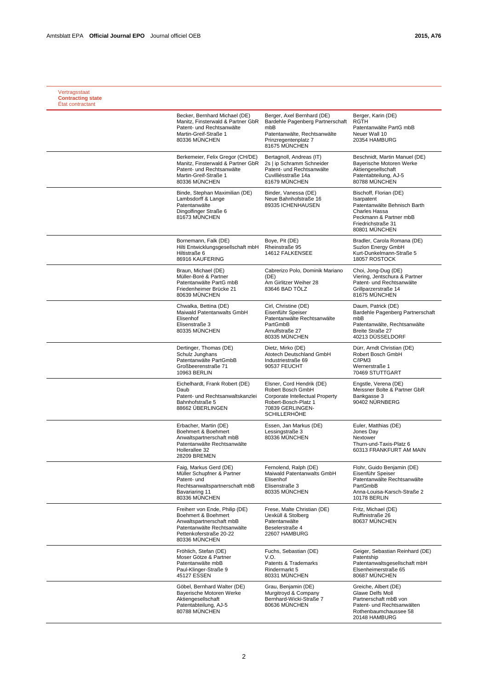| Vertragsstaat<br><b>Contracting state</b><br>État contractant |                                                                                                                                                              |                                                                                                                                                      |                                                                                                                                                        |
|---------------------------------------------------------------|--------------------------------------------------------------------------------------------------------------------------------------------------------------|------------------------------------------------------------------------------------------------------------------------------------------------------|--------------------------------------------------------------------------------------------------------------------------------------------------------|
|                                                               | Becker, Bernhard Michael (DE)<br>Manitz, Finsterwald & Partner GbR<br>Patent- und Rechtsanwälte<br>Martin-Greif-Straße 1<br>80336 MUNCHEN                    | Berger, Axel Bernhard (DE)<br>Bardehle Pagenberg Partnerschaft<br>mbB<br>Patentanwälte, Rechtsanwälte<br>Prinzregentenplatz 7<br>81675 MÜNCHEN       | Berger, Karin (DE)<br><b>RGTH</b><br>Patentanwälte PartG mbB<br>Neuer Wall 10<br>20354 HAMBURG                                                         |
|                                                               | Berkemeier, Felix Gregor (CH/DE)<br>Manitz, Finsterwald & Partner GbR<br>Patent- und Rechtsanwälte<br>Martin-Greif-Straße 1<br>80336 MÜNCHEN                 | Bertagnoll, Andreas (IT)<br>2s   ip Schramm Schneider<br>Patent- und Rechtsanwälte<br>Cuvilliésstraße 14a<br>81679 MÜNCHEN                           | Beschnidt, Martin Manuel (DE)<br>Bayerische Motoren Werke<br>Aktiengesellschaft<br>Patentabteilung, AJ-5<br>80788 MÜNCHEN                              |
|                                                               | Binde, Stephan Maximilian (DE)<br>Lambsdorff & Lange<br>Patentanwälte<br>Dingolfinger Straße 6<br>81673 MÜNCHEN                                              | Binder, Vanessa (DE)<br>Neue Bahnhofstraße 16<br>89335 ICHENHAUSEN                                                                                   | Bischoff, Florian (DE)<br>Isarpatent<br>Patentanwälte Behnisch Barth<br>Charles Hassa<br>Peckmann & Partner mbB<br>Friedrichstraße 31<br>80801 MÜNCHEN |
|                                                               | Bornemann, Falk (DE)<br>Hilti Entwicklungsgesellschaft mbH<br>Hiltistraße 6<br>86916 KAUFERING                                                               | Boye, Pit (DE)<br>Rheinstraße 95<br>14612 FALKENSEE                                                                                                  | Bradler, Carola Romana (DE)<br>Suzlon Energy GmbH<br>Kurt-Dunkelmann-Straße 5<br>18057 ROSTOCK                                                         |
|                                                               | Braun, Michael (DE)<br>Müller-Boré & Partner<br>Patentanwälte PartG mbB<br>Friedenheimer Brücke 21<br>80639 MÜNCHEN                                          | Cabrerizo Polo, Dominik Mariano<br>(DE)<br>Am Girlitzer Weiher 28<br>83646 BAD TÖLZ                                                                  | Choi, Jong-Dug (DE)<br>Viering, Jentschura & Partner<br>Patent- und Rechtsanwälte<br>Grillparzerstraße 14<br>81675 MÜNCHEN                             |
|                                                               | Chwalka, Bettina (DE)<br>Maiwald Patentanwalts GmbH<br>Elisenhof<br>Elisenstraße 3<br>80335 MÜNCHEN                                                          | Cirl, Christine (DE)<br>Eisenführ Speiser<br>Patentanwälte Rechtsanwälte<br>PartGmbB<br>Arnulfstraße 27<br>80335 MÜNCHEN                             | Daum, Patrick (DE)<br>Bardehle Pagenberg Partnerschaft<br>mbB<br>Patentanwälte. Rechtsanwälte<br><b>Breite Straße 27</b><br>40213 DÜSSELDORF           |
|                                                               | Dertinger, Thomas (DE)<br>Schulz Junghans<br>Patentanwälte PartGmbB<br>Großbeerenstraße 71<br>10963 BERLIN                                                   | Dietz, Mirko (DE)<br>Atotech Deutschland GmbH<br>Industriestraße 69<br>90537 FEUCHT                                                                  | Dürr, Arndt Christian (DE)<br>Robert Bosch GmbH<br>C/IPM3<br>Wernerstraße 1<br>70469 STUTTGART                                                         |
|                                                               | Eichelhardt, Frank Robert (DE)<br>Daub<br>Patent- und Rechtsanwaltskanzlei<br>Bahnhofstraße 5<br>88662 ÜBERLINGEN                                            | Elsner, Cord Hendrik (DE)<br>Robert Bosch GmbH<br>Corporate Intellectual Property<br>Robert-Bosch-Platz 1<br>70839 GERLINGEN-<br><b>SCHILLERHÖHE</b> | Engstle, Verena (DE)<br>Meissner Bolte & Partner GbR<br>Bankgasse 3<br>90402 NÜRNBERG                                                                  |
|                                                               | Erbacher, Martin (DE)<br>Boehmert & Boehmert<br>Anwaltspartnerschaft mbB<br>Patentanwälte Rechtsanwälte<br>Hollerallee 32<br>28209 BREMEN                    | Essen, Jan Markus (DE)<br>Lessingstraße 3<br>80336 MÜNCHEN                                                                                           | Euler, Matthias (DE)<br>Jones Day<br>Nextower<br>Thurn-und-Taxis-Platz 6<br>60313 FRANKFURT AM MAIN                                                    |
|                                                               | Faig. Markus Gerd (DE)<br>Müller Schupfner & Partner<br>Patent- und<br>Rechtsanwaltspartnerschaft mbB<br>Bavariaring 11<br>80336 MÜNCHEN                     | Fernolend, Ralph (DE)<br>Maiwald Patentanwalts GmbH<br>Elisenhof<br>Elisenstraße 3<br>80335 MUNCHEN                                                  | Flohr, Guido Benjamin (DE)<br>Eisenführ Speiser<br>Patentanwälte Rechtsanwälte<br>PartGmbB<br>Anna-Louisa-Karsch-Straße 2<br><b>10178 BERLIN</b>       |
|                                                               | Freiherr von Ende, Philip (DE)<br>Boehmert & Boehmert<br>Anwaltspartnerschaft mbB<br>Patentanwälte Rechtsanwälte<br>Pettenkoferstraße 20-22<br>80336 MÜNCHEN | Frese, Malte Christian (DE)<br>Uexküll & Stolberg<br>Patentanwälte<br>Beselerstraße 4<br>22607 HAMBURG                                               | Fritz, Michael (DE)<br>Ruffinistraße 26<br>80637 MÜNCHEN                                                                                               |
|                                                               | Fröhlich, Stefan (DE)<br>Moser Götze & Partner<br>Patentanwälte mbB<br>Paul-Klinger-Straße 9<br>45127 ESSEN                                                  | Fuchs, Sebastian (DE)<br>V.O.<br>Patents & Trademarks<br>Rindermarkt 5<br>80331 MÜNCHEN                                                              | Geiger, Sebastian Reinhard (DE)<br>Patentship<br>Patentanwaltsgesellschaft mbH<br>Elsenheimerstraße 65<br>80687 MÜNCHEN                                |
|                                                               | Göbel, Bernhard Walter (DE)<br>Bayerische Motoren Werke<br>Aktiengesellschaft<br>Patentabteilung, AJ-5<br>80788 MÜNCHEN                                      | Grau, Benjamin (DE)<br>Murgitroyd & Company<br>Bernhard-Wicki-Straße 7<br>80636 MÜNCHEN                                                              | Greiche, Albert (DE)<br>Glawe Delfs Moll<br>Partnerschaft mbB von<br>Patent- und Rechtsanwälten<br>Rothenbaumchaussee 58<br>20148 HAMBURG              |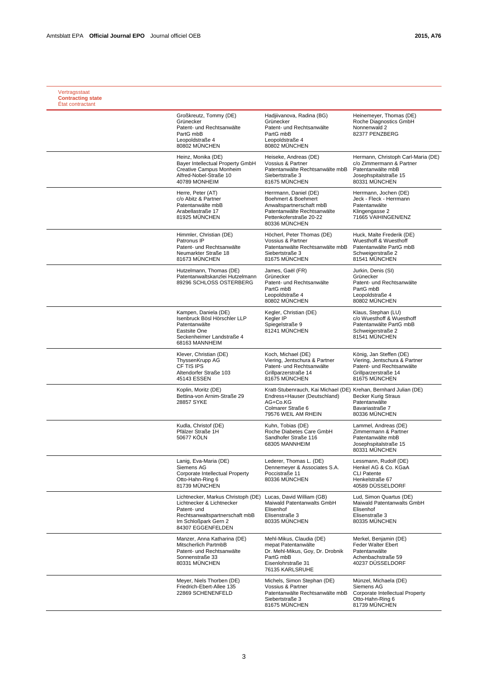| Vertragsstaat<br><b>Contracting state</b><br>État contractant |                                                                                                                                                               |                                                                                                                                                          |                                                                                                                                |
|---------------------------------------------------------------|---------------------------------------------------------------------------------------------------------------------------------------------------------------|----------------------------------------------------------------------------------------------------------------------------------------------------------|--------------------------------------------------------------------------------------------------------------------------------|
|                                                               | Großkreutz, Tommy (DE)<br>Grünecker<br>Patent- und Rechtsanwälte<br>PartG mbB<br>Leopoldstraße 4<br>80802 MÜNCHEN                                             | Hadjiivanova, Radina (BG)<br>Grünecker<br>Patent- und Rechtsanwälte<br>PartG mbB<br>Leopoldstraße 4<br>80802 MÜNCHEN                                     | Heinemeyer, Thomas (DE)<br>Roche Diagnostics GmbH<br>Nonnenwald 2<br>82377 PENZBERG                                            |
|                                                               | Heinz, Monika (DE)<br>Bayer Intellectual Property GmbH<br>Creative Campus Monheim<br>Alfred-Nobel-Straße 10<br>40789 MONHEIM                                  | Heiseke, Andreas (DE)<br>Vossius & Partner<br>Patentanwälte Rechtsanwälte mbB<br>Siebertstraße 3<br>81675 MÜNCHEN                                        | Hermann, Christoph Carl-Maria (DE)<br>c/o Zimmermann & Partner<br>Patentanwälte mbB<br>Josephspitalstraße 15<br>80331 MÜNCHEN  |
|                                                               | Herre, Peter (AT)<br>c/o Abitz & Partner<br>Patentanwälte mbB<br>Arabellastraße 17<br>81925 MUNCHEN                                                           | Herrmann, Daniel (DE)<br>Boehmert & Boehmert<br>Anwaltspartnerschaft mbB<br>Patentanwälte Rechtsanwälte<br>Pettenkoferstraße 20-22<br>80336 MUNCHEN      | Herrmann, Jochen (DE)<br>Jeck - Fleck - Herrmann<br>Patentanwälte<br>Klingengasse 2<br>71665 VAIHINGEN/ENZ                     |
|                                                               | Himmler, Christian (DE)<br>Patronus IP<br>Patent- und Rechtsanwälte<br>Neumarkter Straße 18<br>81673 MÜNCHEN                                                  | Höcherl, Peter Thomas (DE)<br>Vossius & Partner<br>Patentanwälte Rechtsanwälte mbB<br>Siebertstraße 3<br>81675 MÜNCHEN                                   | Huck, Malte Frederik (DE)<br>Wuesthoff & Wuesthoff<br>Patentanwälte PartG mbB<br>Schweigerstraße 2<br>81541 MÜNCHEN            |
|                                                               | Hutzelmann, Thomas (DE)<br>Patentanwaltskanzlei Hutzelmann<br>89296 SCHLOSS OSTERBERG                                                                         | James, Gaël (FR)<br>Grünecker<br>Patent- und Rechtsanwälte<br>PartG mbB<br>Leopoldstraße 4<br>80802 MÜNCHEN                                              | Jurkin, Denis (SI)<br>Grünecker<br>Patent- und Rechtsanwälte<br>PartG mbB<br>Leopoldstraße 4<br>80802 MÜNCHEN                  |
|                                                               | Kampen, Daniela (DE)<br>Isenbruck Bösl Hörschler LLP<br>Patentanwälte<br>Eastsite One<br>Seckenheimer Landstraße 4<br>68163 MANNHEIM                          | Kegler, Christian (DE)<br>Kealer IP<br>Spiegelstraße 9<br>81241 MÜNCHEN                                                                                  | Klaus, Stephan (LU)<br>c/o Wuesthoff & Wuesthoff<br>Patentanwälte PartG mbB<br>Schweigerstraße 2<br>81541 MÜNCHEN              |
|                                                               | Klever, Christian (DE)<br>ThyssenKrupp AG<br>CF TIS IPS<br>Altendorfer Straße 103<br>45143 ESSEN                                                              | Koch, Michael (DE)<br>Viering, Jentschura & Partner<br>Patent- und Rechtsanwälte<br>Grillparzerstraße 14<br>81675 MÜNCHEN                                | König, Jan Steffen (DE)<br>Viering, Jentschura & Partner<br>Patent- und Rechtsanwälte<br>Grillparzerstraße 14<br>81675 MÜNCHEN |
|                                                               | Koplin, Moritz (DE)<br>Bettina-von Arnim-Straße 29<br>28857 SYKE                                                                                              | Kratt-Stubenrauch, Kai Michael (DE) Krehan, Bernhard Julian (DE)<br>Endress+Hauser (Deutschland)<br>AG+Co.KG<br>Colmarer Straße 6<br>79576 WEIL AM RHEIN | <b>Becker Kurig Straus</b><br>Patentanwälte<br>Bavariastraße 7<br>80336 MÜNCHEN                                                |
|                                                               | Kudla, Christof (DE)<br>Pfälzer Straße 1H<br>50677 KÖLN                                                                                                       | Kuhn. Tobias (DE)<br>Roche Diabetes Care GmbH<br>Sandhofer Straße 116<br>68305 MANNHEIM                                                                  | Lammel. Andreas (DE)<br>Zimmermann & Partner<br>Patentanwälte mbB<br>Josephspitalstraße 15<br>80331 MÜNCHEN                    |
|                                                               | Lanig, Eva-Maria (DE)<br>Siemens AG<br>Corporate Intellectual Property<br>Otto-Hahn-Ring 6<br>81739 MÜNCHEN                                                   | Lederer, Thomas L. (DE)<br>Dennemeyer & Associates S.A.<br>Poccistraße 11<br>80336 MÜNCHEN                                                               | Lessmann, Rudolf (DE)<br>Henkel AG & Co. KGaA<br><b>CLI Patente</b><br>Henkelstraße 67<br>40589 DÜSSELDORF                     |
|                                                               | Lichtnecker, Markus Christoph (DE)<br>Lichtnecker & Lichtnecker<br>Patent- und<br>Rechtsanwaltspartnerschaft mbB<br>Im Schloßpark Gern 2<br>84307 EGGENFELDEN | Lucas, David William (GB)<br>Maiwald Patentanwalts GmbH<br>Elisenhof<br>Elisenstraße 3<br>80335 MÜNCHEN                                                  | Lud, Simon Quartus (DE)<br>Maiwald Patentanwalts GmbH<br>Elisenhof<br>Elisenstraße 3<br>80335 MÜNCHEN                          |
|                                                               | Manzer, Anna Katharina (DE)<br>Mitscherlich PartmbB<br>Patent- und Rechtsanwälte<br>Sonnenstraße 33<br>80331 MÜNCHEN                                          | Mehl-Mikus, Claudia (DE)<br>mepat Patentanwälte<br>Dr. Mehl-Mikus, Gov. Dr. Drobnik<br>PartG mbB<br>Eisenlohrstraße 31<br>76135 KARLSRUHE                | Merkel, Benjamin (DE)<br>Feder Walter Ebert<br>Patentanwälte<br>Achenbachstraße 59<br>40237 DÜSSELDORF                         |
|                                                               | Meyer, Niels Thorben (DE)<br>Friedrich-Ebert-Allee 135<br>22869 SCHENENFELD                                                                                   | Michels, Simon Stephan (DE)<br>Vossius & Partner<br>Patentanwälte Rechtsanwälte mbB<br>Siebertstraße 3<br>81675 MÜNCHEN                                  | Münzel, Michaela (DE)<br>Siemens AG<br>Corporate Intellectual Property<br>Otto-Hahn-Ring 6<br>81739 MÜNCHEN                    |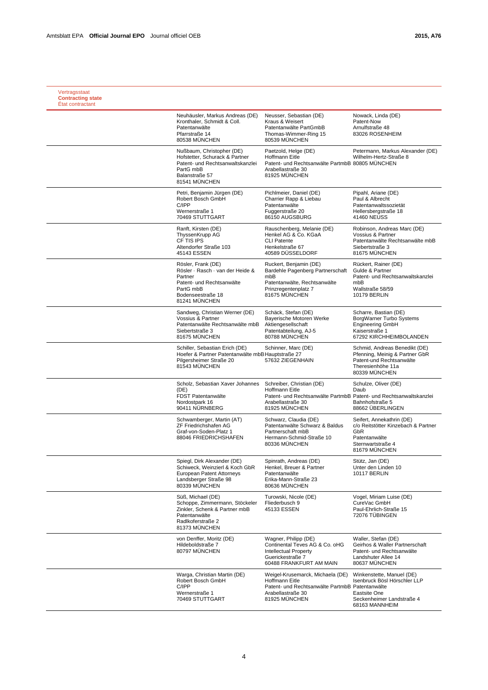| Vertragsstaat<br><b>Contracting state</b><br>État contractant |                                                                                                                                                   |                                                                                                                                                         |                                                                                                                                   |
|---------------------------------------------------------------|---------------------------------------------------------------------------------------------------------------------------------------------------|---------------------------------------------------------------------------------------------------------------------------------------------------------|-----------------------------------------------------------------------------------------------------------------------------------|
|                                                               | Neuhäusler, Markus Andreas (DE)<br>Kronthaler, Schmidt & Coll.<br>Patentanwälte<br>Pfarrstraße 14<br>80538 MÜNCHEN                                | Neusser, Sebastian (DE)<br>Kraus & Weisert<br>Patentanwälte PartGmbB<br>Thomas-Wimmer-Ring 15<br>80539 MÜNCHEN                                          | Nowack, Linda (DE)<br>Patent-Now<br>Arnulfstraße 48<br>83026 ROSENHEIM                                                            |
|                                                               | Nußbaum, Christopher (DE)<br>Hofstetter, Schurack & Partner<br>Patent- und Rechtsanwaltskanzlei<br>PartG mbB<br>Balanstraße 57<br>81541 MÜNCHEN   | Paetzold, Helge (DE)<br><b>Hoffmann Eitle</b><br>Patent- und Rechtsanwälte PartmbB 80805 MÜNCHEN<br>Arabellastraße 30<br>81925 MÜNCHEN                  | Petermann, Markus Alexander (DE)<br>Wilhelm-Hertz-Straße 8                                                                        |
|                                                               | Petri, Benjamin Jürgen (DE)<br>Robert Bosch GmbH<br>C/IPP<br>Wernerstraße 1<br>70469 STUTTGART                                                    | Pichlmeier, Daniel (DE)<br>Charrier Rapp & Liebau<br>Patentanwälte<br>Fuggerstraße 20<br>86150 AUGSBURG                                                 | Pipahl, Ariane (DE)<br>Paul & Albrecht<br>Patentanwaltssozietät<br>Hellersbergstraße 18<br>41460 NEUSS                            |
|                                                               | Ranft, Kirsten (DE)<br>ThyssenKrupp AG<br>CF TIS IPS<br>Altendorfer Straße 103<br>45143 ESSEN                                                     | Rauschenberg, Melanie (DE)<br>Henkel AG & Co. KGaA<br><b>CLI Patente</b><br>Henkelstraße 67<br>40589 DÜSSELDORF                                         | Robinson, Andreas Marc (DE)<br>Vossius & Partner<br>Patentanwälte Rechtsanwälte mbB<br>Siebertstraße 3<br>81675 MÜNCHEN           |
|                                                               | Rösler, Frank (DE)<br>Rösler · Rasch · van der Heide &<br>Partner<br>Patent- und Rechtsanwälte<br>PartG mbB<br>Bodenseestraße 18<br>81241 MÜNCHEN | Ruckert, Benjamin (DE)<br>Bardehle Pagenberg Partnerschaft<br>mbB<br>Patentanwälte, Rechtsanwälte<br>Prinzregentenplatz 7<br>81675 MÜNCHEN              | Rückert, Rainer (DE)<br>Gulde & Partner<br>Patent- und Rechtsanwaltskanzlei<br>mbB<br>Wallstraße 58/59<br><b>10179 BERLIN</b>     |
|                                                               | Sandweg, Christian Werner (DE)<br>Vossius & Partner<br>Patentanwälte Rechtsanwälte mbB<br>Siebertstraße 3<br>81675 MÜNCHEN                        | Schäck, Stefan (DE)<br>Bayerische Motoren Werke<br>Aktiengesellschaft<br>Patentabteilung, AJ-5<br>80788 MÜNCHEN                                         | Scharre, Bastian (DE)<br>BorgWarner Turbo Systems<br><b>Engineering GmbH</b><br>Kaiserstraße 1<br>67292 KIRCHHEIMBOLANDEN         |
|                                                               | Schiller, Sebastian Erich (DE)<br>Hoefer & Partner Patentanwälte mbB Hauptstraße 27<br>Pilgersheimer Straße 20<br>81543 MÜNCHEN                   | Schinner, Marc (DE)<br>57632 ZIEGENHAIN                                                                                                                 | Schmid, Andreas Benedikt (DE)<br>Pfenning, Meinig & Partner GbR<br>Patent-und Rechtsanwälte<br>Theresienhöhe 11a<br>80339 MUNCHEN |
|                                                               | Scholz, Sebastian Xaver Johannes<br>(DE)<br>FDST Patentanwälte<br>Nordostpark 16<br>90411 NÜRNBERG                                                | Schreiber, Christian (DE)<br>Hoffmann Eitle<br>Patent- und Rechtsanwälte PartmbB Patent- und Rechtsanwaltskanzlei<br>Arabellastraße 30<br>81925 MÜNCHEN | Schulze, Oliver (DE)<br>Daub<br>Bahnhofstraße 5<br>88662 ÜBERLINGEN                                                               |
|                                                               | Schwamberger, Martin (AT)<br>ZF Friedrichshafen AG<br>Graf-von-Soden-Platz 1<br>88046 FRIEDRICHSHAFEN                                             | Schwarz, Claudia (DE)<br>Patentanwälte Schwarz & Baldus<br>Partnerschaft mbB<br>Hermann-Schmid-Straße 10<br>80336 MÜNCHEN                               | Seifert, Annekathrin (DE)<br>c/o Reitstötter Kinzebach & Partner<br>GbR<br>Patentanwälte<br>Sternwartstraße 4<br>81679 MUNCHEN    |
|                                                               | Spiegl, Dirk Alexander (DE)<br>Schiweck, Weinzierl & Koch GbR<br>European Patent Attorneys<br>Landsberger Straße 98<br>80339 MÜNCHEN              | Spinrath, Andreas (DE)<br>Henkel, Breuer & Partner<br>Patentanwälte<br>Erika-Mann-Straße 23<br>80636 MÜNCHEN                                            | Stütz, Jan (DE)<br>Unter den Linden 10<br><b>10117 BERLIN</b>                                                                     |
|                                                               | Süß, Michael (DE)<br>Schoppe, Zimmermann, Stöckeler<br>Zinkler, Schenk & Partner mbB<br>Patentanwälte<br>Radlkoferstraße 2<br>81373 MÜNCHEN       | Turowski, Nicole (DE)<br>Fliederbusch 9<br>45133 ESSEN                                                                                                  | Vogel, Miriam Luise (DE)<br>CureVac GmbH<br>Paul-Ehrlich-Straße 15<br>72076 TÜBINGEN                                              |
|                                                               | von Denffer, Moritz (DE)<br>Hildeboldstraße 7<br>80797 MÜNCHEN                                                                                    | Wagner, Philipp (DE)<br>Continental Teves AG & Co. oHG<br><b>Intellectual Property</b><br>Guerickestraße 7<br>60488 FRANKFURT AM MAIN                   | Waller, Stefan (DE)<br>Geirhos & Waller Partnerschaft<br>Patent- und Rechtsanwälte<br>Landshuter Allee 14<br>80637 MÜNCHEN        |
|                                                               | Warga, Christian Martin (DE)<br>Robert Bosch GmbH<br>C/IPP<br>Wernerstraße 1<br>70469 STUTTGART                                                   | Weigel-Krusemarck, Michaela (DE)<br>Hoffmann Eitle<br>Patent- und Rechtsanwälte PartmbB Patentanwälte<br>Arabellastraße 30<br>81925 MÜNCHEN             | Winkenstette, Manuel (DE)<br>Isenbruck Bösl Hörschler LLP<br>Eastsite One<br>Seckenheimer Landstraße 4<br>68163 MANNHEIM          |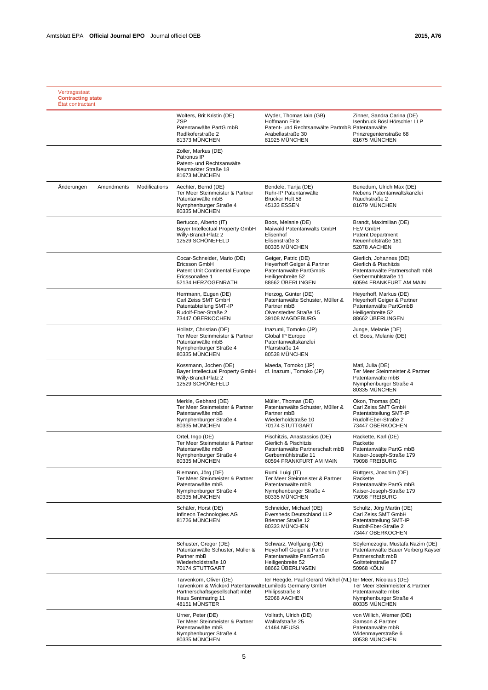|            |            |               | Wolters, Brit Kristin (DE)<br><b>ZSP</b><br>Patentanwälte PartG mbB<br>Radlkoferstraße 2<br>81373 MÜNCHEN                                                    | Wyder, Thomas Iain (GB)<br>Hoffmann Eitle<br>Patent- und Rechtsanwälte PartmbB Patentanwälte<br>Arabellastraße 30<br>81925 MÜNCHEN         | Zinner, Sandra Carina (DE)<br>Isenbruck Bösl Hörschler LLP<br>Prinzregentenstraße 68<br>81675 MÜNCHEN                                 |
|------------|------------|---------------|--------------------------------------------------------------------------------------------------------------------------------------------------------------|--------------------------------------------------------------------------------------------------------------------------------------------|---------------------------------------------------------------------------------------------------------------------------------------|
|            |            |               | Zoller, Markus (DE)<br>Patronus IP<br>Patent- und Rechtsanwälte<br>Neumarkter Straße 18<br>81673 MUNCHEN                                                     |                                                                                                                                            |                                                                                                                                       |
| Anderungen | Amendments | Modifications | Aechter, Bernd (DE)<br>Ter Meer Steinmeister & Partner<br>Patentanwälte mbB<br>Nymphenburger Straße 4<br>80335 MÜNCHEN                                       | Bendele, Tanja (DE)<br>Ruhr-IP Patentanwälte<br>Brucker Holt 58<br>45133 ESSEN                                                             | Benedum, Ulrich Max (DE)<br>Nebens Patentanwaltskanzlei<br>Rauchstraße 2<br>81679 MÜNCHEN                                             |
|            |            |               | Bertucco, Alberto (IT)<br>Bayer Intellectual Property GmbH<br>Willy-Brandt-Platz 2<br>12529 SCHÖNEFELD                                                       | Boos, Melanie (DE)<br>Maiwald Patentanwalts GmbH<br>Elisenhof<br>Elisenstraße 3<br>80335 MÜNCHEN                                           | Brandt, Maximilian (DE)<br><b>FEV GmbH</b><br><b>Patent Department</b><br>Neuenhofstraße 181<br>52078 AACHEN                          |
|            |            |               | Cocar-Schneider, Mario (DE)<br>Ericsson GmbH<br>Patent Unit Continental Europe<br>Ericssonallee 1<br>52134 HERZOGENRATH                                      | Geiger, Patric (DE)<br>Heyerhoff Geiger & Partner<br>Patentanwälte PartGmbB<br>Heiligenbreite 52<br>88662 ÜBERLINGEN                       | Gierlich, Johannes (DE)<br>Gierlich & Pischitzis<br>Patentanwälte Partnerschaft mbB<br>Gerbermühlstraße 11<br>60594 FRANKFURT AM MAIN |
|            |            |               | Herrmann, Eugen (DE)<br>Carl Zeiss SMT GmbH<br>Patentabteilung SMT-IP<br>Rudolf-Eber-Straße 2<br>73447 OBERKOCHEN                                            | Herzog, Günter (DE)<br>Patentanwälte Schuster, Müller &<br>Partner mbB<br>Olvenstedter Straße 15<br>39108 MAGDEBURG                        | Heyerhoff, Markus (DE)<br>Heyerhoff Geiger & Partner<br>Patentanwälte PartGmbB<br>Heiligenbreite 52<br>88662 ÜBERLINGEN               |
|            |            |               | Hollatz, Christian (DE)<br>Ter Meer Steinmeister & Partner<br>Patentanwälte mbB<br>Nymphenburger Straße 4<br>80335 MÜNCHEN                                   | Inazumi, Tomoko (JP)<br>Global IP Europe<br>Patentanwaltskanzlei<br>Pfarrstraße 14<br>80538 MÜNCHEN                                        | Junge, Melanie (DE)<br>cf. Boos, Melanie (DE)                                                                                         |
|            |            |               | Kossmann, Jochen (DE)<br>Bayer Intellectual Property GmbH<br>Willy-Brandt-Platz 2<br>12529 SCHÖNEFELD                                                        | Maeda, Tomoko (JP)<br>cf. Inazumi, Tomoko (JP)                                                                                             | Matl, Julia (DE)<br>Ter Meer Steinmeister & Partner<br>Patentanwälte mbB<br>Nymphenburger Straße 4<br>80335 MÜNCHEN                   |
|            |            |               | Merkle, Gebhard (DE)<br>Ter Meer Steinmeister & Partner<br>Patentanwälte mbB<br>Nymphenburger Straße 4<br>80335 MÜNCHEN                                      | Müller, Thomas (DE)<br>Patentanwälte Schuster, Müller &<br>Partner mbB<br>Wiederholdstraße 10<br>70174 STUTTGART                           | Okon, Thomas (DE)<br>Carl Zeiss SMT GmbH<br>Patentabteilung SMT-IP<br>Rudolf-Eber-Straße 2<br>73447 OBERKOCHEN                        |
|            |            |               | Ortel, Ingo (DE)<br>Ter Meer Steinmeister & Partner<br>Patentanwälte mbB<br>Nymphenburger Straße 4<br>80335 MÜNCHEN                                          | Pischitzis, Anastassios (DE)<br>Gierlich & Pischitzis<br>Patentanwälte Partnerschaft mbB<br>Gerbermühlstraße 11<br>60594 FRANKFURT AM MAIN | Rackette, Karl (DE)<br>Rackette<br>Patentanwälte PartG mbB<br>Kaiser-Joseph-Straße 179<br>79098 FREIBURG                              |
|            |            |               | Riemann, Jörg (DE)<br>Ter Meer Steinmeister & Partner<br>Patentanwälte mbB<br>Nymphenburger Straße 4<br>80335 MÜNCHEN                                        | Rumi, Luigi (IT)<br>Ter Meer Steinmeister & Partner<br>Patentanwälte mbB<br>Nymphenburger Straße 4<br>80335 MÜNCHEN                        | Rüttgers, Joachim (DE)<br>Rackette<br>Patentanwälte PartG mbB<br>Kaiser-Joseph-Straße 179<br>79098 FREIBURG                           |
|            |            |               | Schäfer, Horst (DE)<br>Infineon Technologies AG<br>81726 MÜNCHEN                                                                                             | Schneider, Michael (DE)<br>Eversheds Deutschland LLP<br>Brienner Straße 12<br>80333 MÜNCHEN                                                | Schultz, Jörg Martin (DE)<br>Carl Zeiss SMT GmbH<br>Patentabteilung SMT-IP<br>Rudolf-Eber-Straße 2<br>73447 OBERKOCHEN                |
|            |            |               | Schuster, Gregor (DE)<br>Patentanwälte Schuster, Müller &<br>Partner mbB<br>Wiederholdstraße 10<br>70174 STUTTGART                                           | Schwarz, Wolfgang (DE)<br>Heyerhoff Geiger & Partner<br>Patentanwälte PartGmbB<br>Heiligenbreite 52<br>88662 ÜBERLINGEN                    | Söylemezoglu, Mustafa Nazim (DE)<br>Patentanwälte Bauer Vorberg Kayser<br>Partnerschaft mbB<br>Goltsteinstraße 87<br>50968 KÖLN       |
|            |            |               | Tarvenkorn, Oliver (DE)<br>Tarvenkorn & Wickord Patentanwälte Lumileds Germany GmbH<br>Partnerschaftsgesellschaft mbB<br>Haus Sentmaring 11<br>48151 MÜNSTER | ter Heegde, Paul Gerard Michel (NL) ter Meer, Nicolaus (DE)<br>Philipsstraße 8<br>52068 AACHEN                                             | Ter Meer Steinmeister & Partner<br>Patentanwälte mbB<br>Nymphenburger Straße 4<br>80335 MÜNCHEN                                       |
|            |            |               | Urner, Peter (DE)<br>Ter Meer Steinmeister & Partner<br>Patentanwälte mbB<br>Nymphenburger Straße 4<br>80335 MÜNCHEN                                         | Vollrath, Ulrich (DE)<br>Wallrafstraße 25<br>41464 NEUSS                                                                                   | von Willich, Werner (DE)<br>Samson & Partner<br>Patentanwälte mbB<br>Widenmayerstraße 6<br>80538 MÜNCHEN                              |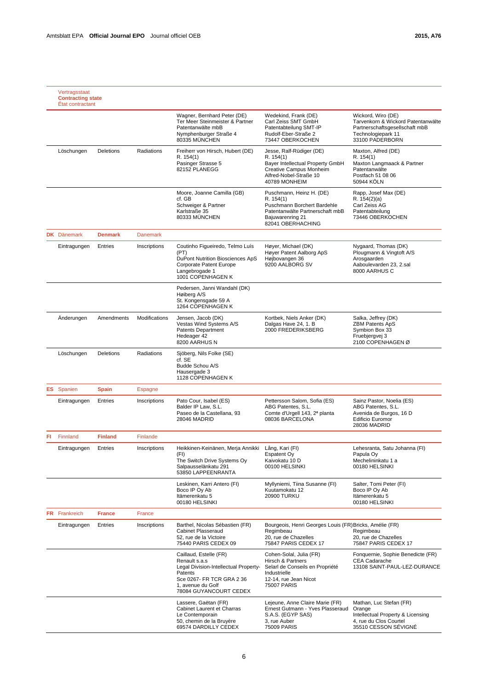|     | Vertragsstaat<br><b>Contracting state</b><br>État contractant |                |                 |                                                                                                                                                                         |                                                                                                                                                  |                                                                                                                                     |
|-----|---------------------------------------------------------------|----------------|-----------------|-------------------------------------------------------------------------------------------------------------------------------------------------------------------------|--------------------------------------------------------------------------------------------------------------------------------------------------|-------------------------------------------------------------------------------------------------------------------------------------|
|     |                                                               |                |                 | Wagner, Bernhard Peter (DE)<br>Ter Meer Steinmeister & Partner<br>Patentanwälte mbB<br>Nymphenburger Straße 4<br>80335 MÜNCHEN                                          | Wedekind, Frank (DE)<br>Carl Zeiss SMT GmbH<br>Patentabteilung SMT-IP<br>Rudolf-Eber-Straße 2<br>73447 OBERKOCHEN                                | Wickord, Wiro (DE)<br>Tarvenkorn & Wickord Patentanwälte<br>Partnerschaftsgesellschaft mbB<br>Technologiepark 11<br>33100 PADERBORN |
|     | Löschungen                                                    | Deletions      | Radiations      | Freiherr von Hirsch, Hubert (DE)<br>R. 154(1)<br>Pasinger Strasse 5<br>82152 PLANEGG                                                                                    | Jesse, Ralf-Rüdiger (DE)<br>R. 154(1)<br>Bayer Intellectual Property GmbH<br>Creative Campus Monheim<br>Alfred-Nobel-Straße 10<br>40789 MONHEIM  | Maxton, Alfred (DE)<br>R. 154(1)<br>Maxton Langmaack & Partner<br>Patentanwälte<br>Postfach 51 08 06<br>50944 KÖLN                  |
|     |                                                               |                |                 | Moore, Joanne Camilla (GB)<br>cf. GB<br>Schweiger & Partner<br>Karlstraße 35<br>80333 MÜNCHEN                                                                           | Puschmann, Heinz H. (DE)<br>R. 154(1)<br>Puschmann Borchert Bardehle<br>Patentanwälte Partnerschaft mbB<br>Bajuwarenring 21<br>82041 OBERHACHING | Rapp, Josef Max (DE)<br>R. 154(2)(a)<br>Carl Zeiss AG<br>Patentabteilung<br>73446 OBERKOCHEN                                        |
|     | <b>DK</b> Dänemark                                            | <b>Denmark</b> | <b>Danemark</b> |                                                                                                                                                                         |                                                                                                                                                  |                                                                                                                                     |
|     | Eintragungen                                                  | Entries        | Inscriptions    | Coutinho Figueiredo, Telmo Luís<br>(PT)<br>DuPont Nutrition Biosciences ApS<br>Corporate Patent Europe<br>Langebrogade 1<br>1001 COPENHAGEN K                           | Høyer, Michael (DK)<br>Høyer Patent Aalborg ApS<br>Højbovangen 36<br>9200 AALBORG SV                                                             | Nygaard, Thomas (DK)<br>Plougmann & Vingtoft A/S<br>Arosgaarden<br>Aaboulevarden 23, 2.sal<br>8000 AARHUS C                         |
|     |                                                               |                |                 | Pedersen, Janni Wandahl (DK)<br>Høiberg A/S<br>St. Kongensgade 59 A<br>1264 COPENHAGEN K                                                                                |                                                                                                                                                  |                                                                                                                                     |
|     | Anderungen                                                    | Amendments     | Modifications   | Jensen, Jacob (DK)<br>Vestas Wind Systems A/S<br><b>Patents Department</b><br>Hedeager 42<br>8200 AARHUS N                                                              | Kortbek, Niels Anker (DK)<br>Dalgas Have 24, 1. B<br>2000 FREDERIKSBERG                                                                          | Salka, Jeffrey (DK)<br>ZBM Patents ApS<br>Symbion Box 33<br>Fruebjergvej 3<br>2100 COPENHAGEN Ø                                     |
|     | Löschungen                                                    | Deletions      | Radiations      | Sjöberg, Nils Folke (SE)<br>cf. SE<br>Budde Schou A/S<br>Hausergade 3<br>1128 COPENHAGEN K                                                                              |                                                                                                                                                  |                                                                                                                                     |
|     | <b>ES</b> Spanien                                             | <b>Spain</b>   | Espagne         |                                                                                                                                                                         |                                                                                                                                                  |                                                                                                                                     |
|     | Eintragungen                                                  | Entries        | Inscriptions    | Pato Cour, Isabel (ES)<br>Balder IP Law, S.L.<br>Paseo de la Castellana, 93<br>28046 MADRID                                                                             | Pettersson Salom, Sofia (ES)<br>ABG Patentes, S.L.<br>Comte d'Urgell 143, 2ª planta<br>08036 BARCELONA                                           | Sainz Pastor, Noelia (ES)<br>ABG Patentes, S.L.<br>Avenida de Burgos, 16 D<br><b>Edificio Euromor</b><br>28036 MADRID               |
| FI. | Finnland                                                      | <b>Finland</b> | Finlande        |                                                                                                                                                                         |                                                                                                                                                  |                                                                                                                                     |
|     | Eintragungen                                                  | Entries        | Inscriptions    | Heikkinen-Keinänen, Merja Annikki<br>(FI)<br>The Switch Drive Systems Oy<br>Salpausselänkatu 291<br>53850 LAPPEENRANTA                                                  | Lång, Kari (FI)<br>Espatent Oy<br>Kaivokatu 10 D<br>00100 HELSINKI                                                                               | Lehesranta, Satu Johanna (FI)<br>Papula Oy<br>Mechelininkatu 1 a<br>00180 HELSINKI                                                  |
|     |                                                               |                |                 | Leskinen, Karri Antero (FI)<br>Boco IP Oy Ab<br>Itämerenkatu 5<br>00180 HELSINKI                                                                                        | Myllyniemi, Tiina Susanne (FI)<br>Kuutamokatu 12<br>20900 TURKU                                                                                  | Salter, Tomi Peter (FI)<br>Boco IP Oy Ab<br>Itämerenkatu 5<br>00180 HELSINKI                                                        |
|     | <b>FR</b> Frankreich                                          | <b>France</b>  | France          |                                                                                                                                                                         |                                                                                                                                                  |                                                                                                                                     |
|     | Eintragungen                                                  | Entries        | Inscriptions    | Barthel, Nicolas Sébastien (FR)<br><b>Cabinet Plasseraud</b><br>52, rue de la Victoire<br>75440 PARIS CEDEX 09                                                          | Bourgeois, Henri Georges Louis (FR) Bricks, Amélie (FR)<br>Regimbeau<br>20, rue de Chazelles<br>75847 PARIS CEDEX 17                             | Regimbeau<br>20, rue de Chazelles<br>75847 PARIS CEDEX 17                                                                           |
|     |                                                               |                |                 | Caillaud, Estelle (FR)<br>Renault s.a.s<br>Legal Division-Intellectual Property-<br>Patents<br>Sce 0267- FR TCR GRA 2 36<br>1, avenue du Golf<br>78084 GUYANCOURT CEDEX | Cohen-Solal, Julia (FR)<br>Hirsch & Partners<br>Selarl de Conseils en Propriété<br>Industrielle<br>12-14, rue Jean Nicot<br><b>75007 PARIS</b>   | Fonquernie, Sophie Benedicte (FR)<br><b>CEA Cadarache</b><br>13108 SAINT-PAUL-LEZ-DURANCE                                           |
|     |                                                               |                |                 | Lassere, Gaëtan (FR)<br>Cabinet Laurent et Charras<br>Le Contemporain<br>50, chemin de la Bruyère<br>69574 DARDILLY CEDEX                                               | Lejeune, Anne Claire Marie (FR)<br>Ernest Gutmann - Yves Plasseraud<br>S.A.S. (EGYP SAS)<br>3, rue Auber<br>75009 PARIS                          | Mathan, Luc Stefan (FR)<br>Orange<br>Intellectual Property & Licensing<br>4, rue du Clos Courtel<br>35510 CESSON SÉVIGNÉ            |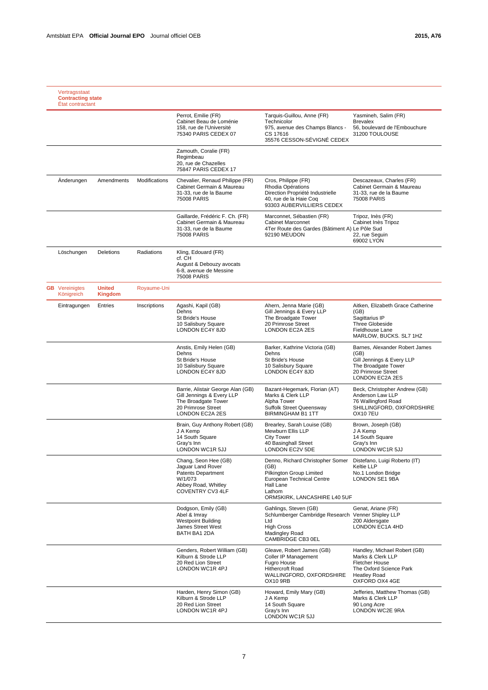| Vertragsstaat<br><b>Contracting state</b><br>État contractant |                                 |               |                                                                                                                                       |                                                                                                                                                          |                                                                                                                                                |
|---------------------------------------------------------------|---------------------------------|---------------|---------------------------------------------------------------------------------------------------------------------------------------|----------------------------------------------------------------------------------------------------------------------------------------------------------|------------------------------------------------------------------------------------------------------------------------------------------------|
|                                                               |                                 |               | Perrot. Emilie (FR)<br>Cabinet Beau de Loménie<br>158, rue de l'Université<br>75340 PARIS CEDEX 07                                    | Tarquis-Guillou, Anne (FR)<br>Technicolor<br>975, avenue des Champs Blancs -<br>CS 17616<br>35576 CESSON-SÉVIGNÉ CEDEX                                   | Yasmineh, Salim (FR)<br><b>Brevalex</b><br>56, boulevard de l'Embouchure<br>31200 TOULOUSE                                                     |
|                                                               |                                 |               | Zamouth, Coralie (FR)<br>Regimbeau<br>20, rue de Chazelles<br>75847 PARIS CEDEX 17                                                    |                                                                                                                                                          |                                                                                                                                                |
| Anderungen                                                    | Amendments                      | Modifications | Chevalier, Renaud Philippe (FR)<br>Cabinet Germain & Maureau<br>31-33, rue de la Baume<br>75008 PARIS                                 | Cros, Philippe (FR)<br>Rhodia Opérations<br>Direction Propriété Industrielle<br>40, rue de la Haie Coq<br>93303 AUBERVILLIERS CEDEX                      | Descazeaux, Charles (FR)<br>Cabinet Germain & Maureau<br>31-33, rue de la Baume<br>75008 PARIS                                                 |
|                                                               |                                 |               | Gaillarde, Frédéric F. Ch. (FR)<br>Cabinet Germain & Maureau<br>31-33, rue de la Baume<br>75008 PARIS                                 | Marconnet, Sébastien (FR)<br><b>Cabinet Marconnet</b><br>4Ter Route des Gardes (Bâtiment A) Le Pôle Sud<br>92190 MEUDON                                  | Tripoz, Inès (FR)<br>Cabinet Inès Tripoz<br>22, rue Seguin<br>69002 LYON                                                                       |
| Löschungen                                                    | Deletions                       | Radiations    | Kling, Edouard (FR)<br>cf. CH<br>August & Debouzy avocats<br>6-8, avenue de Messine<br>75008 PARIS                                    |                                                                                                                                                          |                                                                                                                                                |
| <b>GB</b> Vereinigtes<br>Königreich                           | <b>United</b><br><b>Kingdom</b> | Royaume-Uni   |                                                                                                                                       |                                                                                                                                                          |                                                                                                                                                |
| Eintragungen                                                  | Entries                         | Inscriptions  | Agashi, Kapil (GB)<br>Dehns<br>St Bride's House<br>10 Salisbury Square<br>LONDON EC4Y 8JD                                             | Ahern, Jenna Marie (GB)<br>Gill Jennings & Every LLP<br>The Broadgate Tower<br>20 Primrose Street<br><b>LONDON EC2A 2ES</b>                              | Aitken, Elizabeth Grace Catherine<br>(GB)<br>Sagittarius IP<br><b>Three Globeside</b><br>Fieldhouse Lane<br>MARLOW, BUCKS. SL7 1HZ             |
|                                                               |                                 |               | Anstis, Emily Helen (GB)<br>Dehns<br>St Bride's House<br>10 Salisbury Square<br>LONDON EC4Y 8JD                                       | Barker, Kathrine Victoria (GB)<br>Dehns<br>St Bride's House<br>10 Salisbury Square<br>LONDON EC4Y 8JD                                                    | Barnes, Alexander Robert James<br>(GB)<br>Gill Jennings & Every LLP<br>The Broadgate Tower<br>20 Primrose Street<br><b>LONDON EC2A 2ES</b>     |
|                                                               |                                 |               | Barrie, Alistair George Alan (GB)<br>Gill Jennings & Every LLP<br>The Broadgate Tower<br>20 Primrose Street<br><b>LONDON EC2A 2ES</b> | Bazant-Hegemark, Florian (AT)<br>Marks & Clerk LLP<br>Alpha Tower<br>Suffolk Street Queensway<br><b>BIRMINGHAM B1 1TT</b>                                | Beck, Christopher Andrew (GB)<br>Anderson Law LLP<br>76 Wallingford Road<br>SHILLINGFORD, OXFORDSHIRE<br><b>OX10 7EU</b>                       |
|                                                               |                                 |               | Brain, Guy Anthony Robert (GB)<br>J A Kemp<br>14 South Square<br>Grav's Inn<br>LONDON WC1R 5JJ                                        | Brearley, Sarah Louise (GB)<br>Mewburn Ellis LLP<br><b>City Tower</b><br>40 Basinghall Street<br>LONDON EC2V 5DE                                         | Brown, Joseph (GB)<br>J A Kemp<br>14 South Square<br>Grav's Inn<br>LONDON WC1R 5JJ                                                             |
|                                                               |                                 |               | Chang, Seon Hee (GB)<br>Jaquar Land Rover<br><b>Patents Department</b><br>W/1/073<br>Abbey Road, Whitley<br>COVENTRY CV3 4LF          | Denno, Richard Christopher Somer<br>(GB)<br>Pilkington Group Limited<br>European Technical Centre<br>Hall Lane<br>Lathom<br>ORMSKIRK, LANCASHIRE L40 5UF | Distefano, Luigi Roberto (IT)<br>Keltie LLP<br>No.1 London Bridge<br>LONDON SE1 9BA                                                            |
|                                                               |                                 |               | Dodgson, Emily (GB)<br>Abel & Imray<br><b>Westpoint Building</b><br>James Street West<br>BATH BA1 2DA                                 | Gahlings, Steven (GB)<br>Schlumberger Cambridge Research Venner Shipley LLP<br>Ltd<br><b>High Cross</b><br>Madingley Road<br>CAMBRIDGE CB3 0EL           | Genat, Ariane (FR)<br>200 Aldersgate<br>LONDON EC1A 4HD                                                                                        |
|                                                               |                                 |               | Genders, Robert William (GB)<br>Kilburn & Strode LLP<br>20 Red Lion Street<br>LONDON WC1R 4PJ                                         | Gleave, Robert James (GB)<br>Coller IP Management<br>Fugro House<br><b>Hithercroft Road</b><br>WALLINGFORD, OXFORDSHIRE<br><b>OX10 9RB</b>               | Handley, Michael Robert (GB)<br>Marks & Clerk LLP<br><b>Fletcher House</b><br>The Oxford Science Park<br><b>Heatley Road</b><br>OXFORD OX4 4GE |
|                                                               |                                 |               | Harden, Henry Simon (GB)<br>Kilburn & Strode LLP<br>20 Red Lion Street<br>LONDON WC1R 4PJ                                             | Howard, Emily Mary (GB)<br>J A Kemp<br>14 South Square<br>Gray's Inn<br>LONDON WC1R 5JJ                                                                  | Jefferies, Matthew Thomas (GB)<br>Marks & Clerk LLP<br>90 Long Acre<br>LONDON WC2E 9RA                                                         |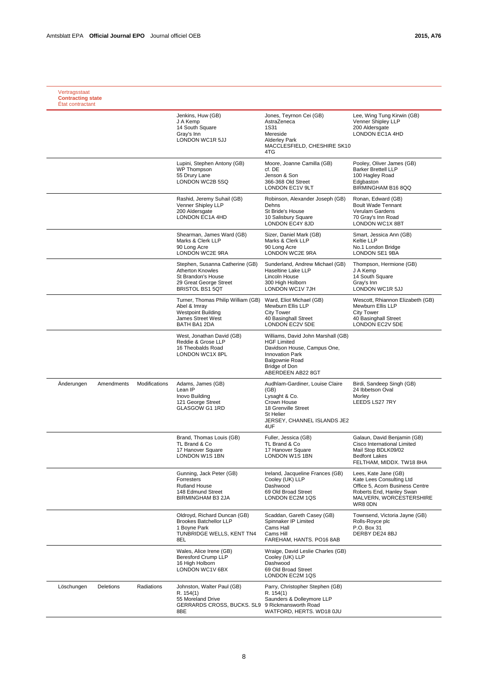|            |            |               | Jenkins, Huw (GB)                                                                                                                    | Jones, Teyrnon Cei (GB)                                                                                                                                                          | Lee, Wing Tung Kirwin (GB)                                                                                                                            |
|------------|------------|---------------|--------------------------------------------------------------------------------------------------------------------------------------|----------------------------------------------------------------------------------------------------------------------------------------------------------------------------------|-------------------------------------------------------------------------------------------------------------------------------------------------------|
|            |            |               | J A Kemp<br>14 South Square<br>Gray's Inn<br>LONDON WC1R 5JJ                                                                         | AstraZeneca<br><b>1S31</b><br>Mereside<br><b>Alderley Park</b><br>MACCLESFIELD, CHESHIRE SK10<br>4TG                                                                             | Venner Shipley LLP<br>200 Aldersgate<br>LONDON EC1A 4HD                                                                                               |
|            |            |               | Lupini, Stephen Antony (GB)<br>WP Thompson<br>55 Drury Lane<br>LONDON WC2B 5SQ                                                       | Moore, Joanne Camilla (GB)<br>cf. DE<br>Jenson & Son<br>366-368 Old Street<br>LONDON EC1V 9LT                                                                                    | Pooley, Oliver James (GB)<br><b>Barker Brettell LLP</b><br>100 Hagley Road<br>Edgbaston<br>BIRMINGHAM B16 8QQ                                         |
|            |            |               | Rashid, Jeremy Suhail (GB)<br>Venner Shipley LLP<br>200 Aldersgate<br>LONDON EC1A 4HD                                                | Robinson, Alexander Joseph (GB)<br>Dehns<br>St Bride's House<br>10 Salisbury Square<br>LONDON EC4Y 8JD                                                                           | Ronan, Edward (GB)<br><b>Boult Wade Tennant</b><br>Verulam Gardens<br>70 Gray's Inn Road<br>LONDON WC1X 8BT                                           |
|            |            |               | Shearman, James Ward (GB)<br>Marks & Clerk LLP<br>90 Long Acre<br>LONDON WC2E 9RA                                                    | Sizer, Daniel Mark (GB)<br>Marks & Clerk LLP<br>90 Long Acre<br>LONDON WC2E 9RA                                                                                                  | Smart, Jessica Ann (GB)<br>Keltie LLP<br>No.1 London Bridge<br><b>LONDON SE1 9BA</b>                                                                  |
|            |            |               | Stephen, Susanna Catherine (GB)<br><b>Atherton Knowles</b><br>St Brandon's House<br>29 Great George Street<br><b>BRISTOL BS1 5QT</b> | Sunderland, Andrew Michael (GB)<br>Haseltine Lake LLP<br>Lincoln House<br>300 High Holborn<br>LONDON WC1V 7JH                                                                    | Thompson, Hermione (GB)<br>J A Kemp<br>14 South Square<br>Gray's Inn<br>LONDON WC1R 5JJ                                                               |
|            |            |               | Turner, Thomas Philip William (GB)<br>Abel & Imray<br><b>Westpoint Building</b><br>James Street West<br>BATH BA1 2DA                 | Ward, Eliot Michael (GB)<br>Mewburn Ellis LLP<br><b>City Tower</b><br>40 Basinghall Street<br><b>LONDON EC2V 5DE</b>                                                             | Wescott, Rhiannon Elizabeth (GB)<br>Mewburn Ellis LLP<br><b>City Tower</b><br>40 Basinghall Street<br><b>LONDON EC2V 5DE</b>                          |
|            |            |               | West, Jonathan David (GB)<br>Reddie & Grose LLP<br>16 Theobalds Road<br>LONDON WC1X 8PL                                              | Williams, David John Marshall (GB)<br><b>HGF Limited</b><br>Davidson House, Campus One,<br><b>Innovation Park</b><br><b>Balgownie Road</b><br>Bridge of Don<br>ABERDEEN AB22 8GT |                                                                                                                                                       |
| Anderungen | Amendments | Modifications | Adams, James (GB)<br>Lean IP<br>Inovo Building<br>121 George Street<br>GLASGOW G1 1RD                                                | Audhlam-Gardiner, Louise Claire<br>(GB)<br>Lysaght & Co.<br>Crown House<br>18 Grenville Street<br><b>St Helier</b><br>JERSEY, CHANNEL ISLANDS JE2<br>4UF                         | Birdi, Sandeep Singh (GB)<br>24 Ibbetson Oval<br>Morley<br>LEEDS LS27 7RY                                                                             |
|            |            |               | Brand, Thomas Louis (GB)<br>TL Brand & Co<br>17 Hanover Square<br>LONDON W1S 1BN                                                     | Fuller, Jessica (GB)<br>TL Brand & Co<br>17 Hanover Square<br>LONDON W1S 1BN                                                                                                     | Galaun, David Benjamin (GB)<br>Cisco International Limited<br>Mail Stop BDLK09/02<br><b>Bedfont Lakes</b><br>FELTHAM, MIDDX. TW18 8HA                 |
|            |            |               | Gunning, Jack Peter (GB)<br>Forresters<br><b>Rutland House</b><br>148 Edmund Street<br><b>BIRMINGHAM B3 2JA</b>                      | Ireland, Jacqueline Frances (GB)<br>Cooley (UK) LLP<br>Dashwood<br>69 Old Broad Street<br>LONDON EC2M 1QS                                                                        | Lees, Kate Jane (GB)<br>Kate Lees Consulting Ltd<br>Office 5, Acorn Business Centre<br>Roberts End, Hanley Swan<br>MALVERN, WORCESTERSHIRE<br>WR8 0DN |
|            |            |               | Oldroyd, Richard Duncan (GB)<br><b>Brookes Batchellor LLP</b><br>1 Boyne Park<br>TUNBRIDGE WELLS, KENT TN4<br>8EL                    | Scaddan, Gareth Casey (GB)<br>Spinnaker IP Limited<br>Cams Hall<br>Cams Hill<br>FAREHAM, HANTS. PO16 8AB                                                                         | Townsend, Victoria Jayne (GB)<br>Rolls-Royce plc<br>P.O. Box 31<br>DERBY DE24 8BJ                                                                     |
|            |            |               | Wales, Alice Irene (GB)<br><b>Beresford Crump LLP</b><br>16 High Holborn<br>LONDON WC1V 6BX                                          | Wraige, David Leslie Charles (GB)<br>Cooley (UK) LLP<br>Dashwood<br>69 Old Broad Street<br>LONDON EC2M 1QS                                                                       |                                                                                                                                                       |
| Löschungen | Deletions  | Radiations    | Johnston, Walter Paul (GB)<br>R. 154(1)<br>55 Moreland Drive<br>GERRARDS CROSS, BUCKS. SL9<br>8BE                                    | Parry, Christopher Stephen (GB)<br>R. 154(1)<br>Saunders & Dolleymore LLP<br>9 Rickmansworth Road<br>WATFORD, HERTS. WD18 OJU                                                    |                                                                                                                                                       |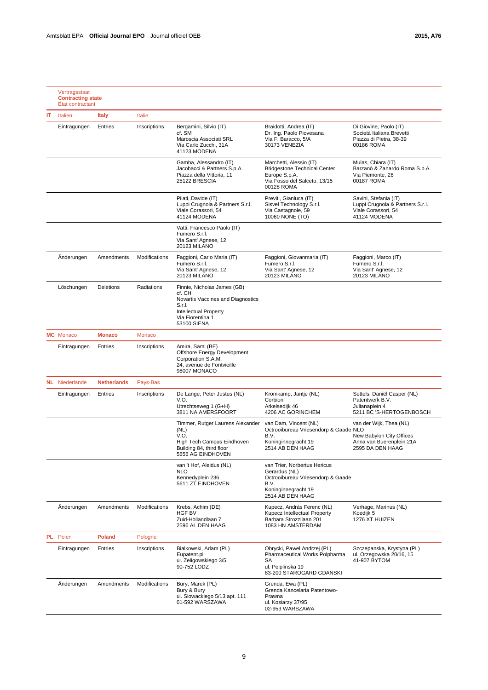|    | Vertragsstaat<br><b>Contracting state</b><br>État contractant |                    |               |                                                                                                                                                         |                                                                                                                                       |                                                                                                     |
|----|---------------------------------------------------------------|--------------------|---------------|---------------------------------------------------------------------------------------------------------------------------------------------------------|---------------------------------------------------------------------------------------------------------------------------------------|-----------------------------------------------------------------------------------------------------|
| ΙT | Italien                                                       | <b>Italy</b>       | Italie        |                                                                                                                                                         |                                                                                                                                       |                                                                                                     |
|    | Eintragungen                                                  | Entries            | Inscriptions  | Bergamini, Silvio (IT)<br>cf. SM<br>Maroscia Associati SRL<br>Via Carlo Zucchi, 31A<br>41123 MODENA                                                     | Braidotti, Andrea (IT)<br>Dr. Ing. Paolo Piovesana<br>Via F. Baracco, 5/A<br>30173 VENEZIA                                            | Di Giovine, Paolo (IT)<br>Società Italiana Brevetti<br>Piazza di Pietra, 38-39<br>00186 ROMA        |
|    |                                                               |                    |               | Gamba, Alessandro (IT)<br>Jacobacci & Partners S.p.A.<br>Piazza della Vittoria, 11<br>25122 BRESCIA                                                     | Marchetti, Alessio (IT)<br><b>Bridgestone Technical Center</b><br>Europe S.p.A.<br>Via Fosso del Salceto, 13/15<br>00128 ROMA         | Mulas, Chiara (IT)<br>Barzanò & Zanardo Roma S.p.A.<br>Via Piemonte, 26<br>00187 ROMA               |
|    |                                                               |                    |               | Pilati, Davide (IT)<br>Luppi Crugnola & Partners S.r.l.<br>Viale Corassori, 54<br>41124 MODENA                                                          | Previti, Gianluca (IT)<br>Sisvel Technology S.r.l.<br>Via Castagnole, 59<br>10060 NONE (TO)                                           | Savini, Stefania (IT)<br>Luppi Crugnola & Partners S.r.l.<br>Viale Corassori, 54<br>41124 MODENA    |
|    |                                                               |                    |               | Vatti, Francesco Paolo (IT)<br>Fumero S.r.l.<br>Via Sant' Agnese, 12<br><b>20123 MILANO</b>                                                             |                                                                                                                                       |                                                                                                     |
|    | Änderungen                                                    | Amendments         | Modifications | Faggioni, Carlo Maria (IT)<br>Fumero S.r.l.<br>Via Sant' Agnese, 12<br>20123 MILANO                                                                     | Faggioni, Giovanmaria (IT)<br>Fumero S.r.l.<br>Via Sant' Agnese, 12<br><b>20123 MILANO</b>                                            | Faggioni, Marco (IT)<br>Fumero S.r.I.<br>Via Sant' Agnese, 12<br><b>20123 MILANO</b>                |
|    | Löschungen                                                    | <b>Deletions</b>   | Radiations    | Finnie, Nicholas James (GB)<br>cf. CH<br>Novartis Vaccines and Diagnostics<br>S.r.l.<br><b>Intellectual Property</b><br>Via Fiorentina 1<br>53100 SIENA |                                                                                                                                       |                                                                                                     |
|    | <b>MC</b> Monaco                                              | <b>Monaco</b>      | Monaco        |                                                                                                                                                         |                                                                                                                                       |                                                                                                     |
|    | Eintragungen                                                  | Entries            | Inscriptions  | Amira, Sami (BE)<br>Offshore Energy Development<br>Corporation S.A.M.<br>24, avenue de Fontvieille<br>98007 MONACO                                      |                                                                                                                                       |                                                                                                     |
|    | <b>NL</b> Niederlande                                         | <b>Netherlands</b> | Pays-Bas      |                                                                                                                                                         |                                                                                                                                       |                                                                                                     |
|    | Eintragungen                                                  | Entries            | Inscriptions  | De Lange, Peter Justus (NL)<br>V.O.<br>Utrechtseweg 1 (G+H)<br>3811 NA AMERSFOORT                                                                       | Kromkamp, Jantje (NL)<br>Corbion<br>Arkelsedijk 46<br>4206 AC GORINCHEM                                                               | Settels, Daniël Casper (NL)<br>Patentwerk B.V.<br>Julianaplein 4<br>5211 BC 'S-HERTOGENBOSCH        |
|    |                                                               |                    |               | Timmer, Rutger Laurens Alexander<br>(NL)<br>V.O.<br>High Tech Campus Eindhoven<br>Building 84, third floor<br>5656 AG EINDHOVEN                         | van Dam, Vincent (NL)<br>Octrooibureau Vriesendorp & Gaade NLO<br>B.V.<br>Koninginnegracht 19<br>2514 AB DEN HAAG                     | van der Wijk, Thea (NL)<br>New Babylon City Offices<br>Anna van Buerenplein 21A<br>2595 DA DEN HAAG |
|    |                                                               |                    |               | van 't Hof, Aleidus (NL)<br><b>NLO</b><br>Kennedyplein 236<br>5611 ZT EINDHOVEN                                                                         | van Trier, Norbertus Hericus<br>Gerardus (NL)<br>Octrooibureau Vriesendorp & Gaade<br>B.V.<br>Koninginnegracht 19<br>2514 AB DEN HAAG |                                                                                                     |
|    | Anderungen                                                    | Amendments         | Modifications | Krebs, Achim (DE)<br>HGF BV<br>Zuid-Hollandlaan 7<br>2596 AL DEN HAAG                                                                                   | Kupecz, András Ferenc (NL)<br>Kupecz Intellectual Property<br>Barbara Strozzilaan 201<br>1083 HN AMSTERDAM                            | Verhage, Marinus (NL)<br>Koedijk 5<br>1276 XT HUIZEN                                                |
|    | PL Polen                                                      | <b>Poland</b>      | Pologne       |                                                                                                                                                         |                                                                                                                                       |                                                                                                     |
|    | Eintragungen                                                  | Entries            | Inscriptions  | Bialkowski, Adam (PL)<br>Eupatent.pl<br>ul. Zeligowskiego 3/5<br>90-752 LODZ                                                                            | Obrycki, Pawel Andrzej (PL)<br>Pharmaceutical Works Polpharma<br>SА<br>ul. Pelplinska 19<br>83-200 STAROGARD GDANSKI                  | Szczepanska, Krystyna (PL)<br>ul. Orzegowska 20/16, 15<br>41-907 BYTOM                              |
|    | Anderungen                                                    | Amendments         | Modifications | Bury, Marek (PL)<br>Bury & Bury<br>ul. Slowackiego 5/13 apt. 111<br>01-592 WARSZAWA                                                                     | Grenda, Ewa (PL)<br>Grenda Kancelaria Patentowo-<br>Prawna<br>ul. Kosiarzy 37/95<br>02-953 WARSZAWA                                   |                                                                                                     |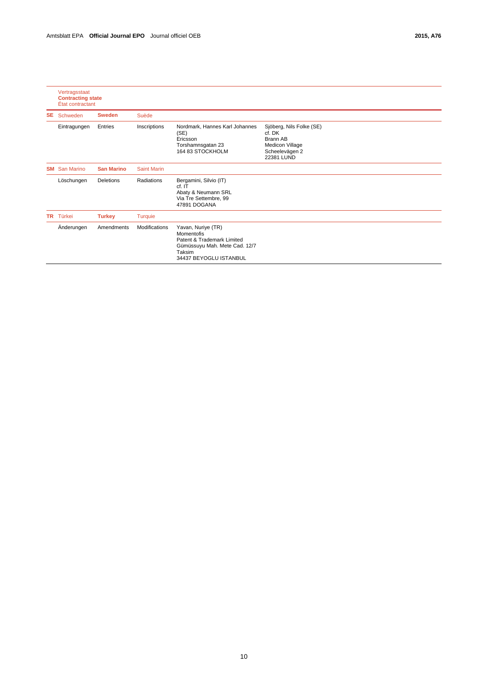|           | Vertragsstaat<br><b>Contracting state</b><br>État contractant |                   |                      |                                                                                                                                     |                                                                                                   |
|-----------|---------------------------------------------------------------|-------------------|----------------------|-------------------------------------------------------------------------------------------------------------------------------------|---------------------------------------------------------------------------------------------------|
| SE.       | Schweden                                                      | <b>Sweden</b>     | Suède                |                                                                                                                                     |                                                                                                   |
|           | Eintragungen                                                  | Entries           | Inscriptions         | Nordmark, Hannes Karl Johannes<br>(SE)<br>Ericsson<br>Torshamnsgatan 23<br>164 83 STOCKHOLM                                         | Sjöberg, Nils Folke (SE)<br>cf. DK<br>Brann AB<br>Medicon Village<br>Scheelevägen 2<br>22381 LUND |
| <b>SM</b> | <b>San Marino</b>                                             | <b>San Marino</b> | <b>Saint Marin</b>   |                                                                                                                                     |                                                                                                   |
|           | Löschungen                                                    | Deletions         | Radiations           | Bergamini, Silvio (IT)<br>cf. IT<br>Abaty & Neumann SRL<br>Via Tre Settembre, 99<br>47891 DOGANA                                    |                                                                                                   |
| TR        | Türkei                                                        | <b>Turkey</b>     | <b>Turquie</b>       |                                                                                                                                     |                                                                                                   |
|           | Änderungen                                                    | Amendments        | <b>Modifications</b> | Yavan, Nuriye (TR)<br>Momentofis<br>Patent & Trademark Limited<br>Gümüssuyu Mah. Mete Cad. 12/7<br>Taksim<br>34437 BEYOGLU ISTANBUL |                                                                                                   |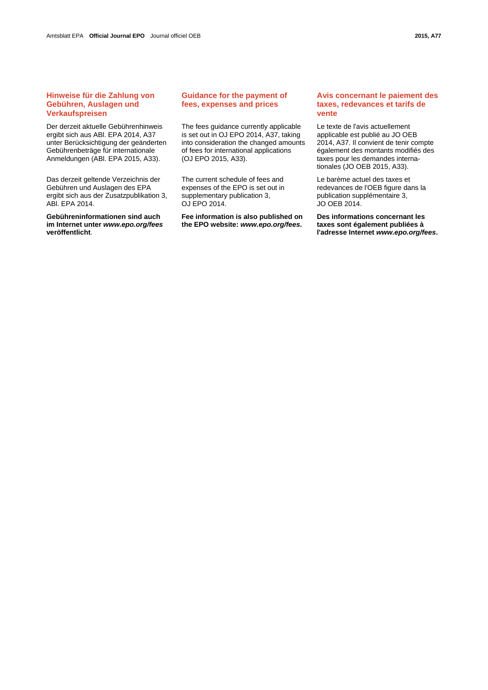# **Hinweise für die Zahlung von Gebühren, Auslagen und Verkaufspreisen**

Der derzeit aktuelle Gebührenhinweis ergibt sich aus ABl. EPA 2014, A37 unter Berücksichtigung der geänderten Gebührenbeträge für internationale Anmeldungen (ABl. EPA 2015, A33).

Das derzeit geltende Verzeichnis der Gebühren und Auslagen des EPA ergibt sich aus der Zusatzpublikation 3, ABl. EPA 2014.

**Gebühreninformationen sind auch im Internet unter** *www.epo.org/fees* **veröffentlicht**.

# **Guidance for the payment of fees, expenses and prices**

 The fees guidance currently applicable is set out in OJ EPO 2014, A37, taking into consideration the changed amounts of fees for international applications (OJ EPO 2015, A33).

 The current schedule of fees and expenses of the EPO is set out in supplementary publication 3, OJ EPO 2014.

**Fee information is also published on the EPO website:** *www.epo.org/fees***.**

# **Avis concernant le paiement des taxes, redevances et tarifs de vente**

 Le texte de l'avis actuellement applicable est publié au JO OEB 2014, A37. Il convient de tenir compte également des montants modifiés des taxes pour les demandes internationales (JO OEB 2015, A33).

 Le barème actuel des taxes et redevances de l'OEB figure dans la publication supplémentaire 3, JO OEB 2014.

**Des informations concernant les taxes sont également publiées à l'adresse Internet** *www.epo.org/fees***.**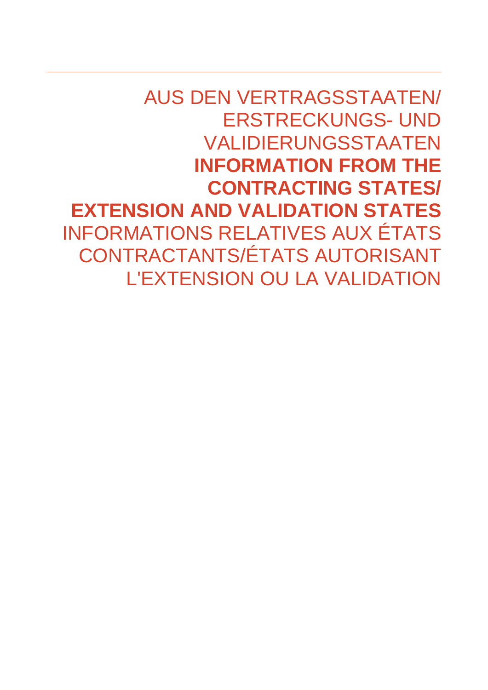AUS DEN VERTRAGSSTAATEN/ ERSTRECKUNGS- UND VALIDIERUNGSSTAATEN **INFORMATION FROM THE CONTRACTING STATES/ EXTENSION AND VALIDATION STATES**  INFORMATIONS RELATIVES AUX ÉTATS CONTRACTANTS/ÉTATS AUTORISANT L'EXTENSION OU LA VALIDATION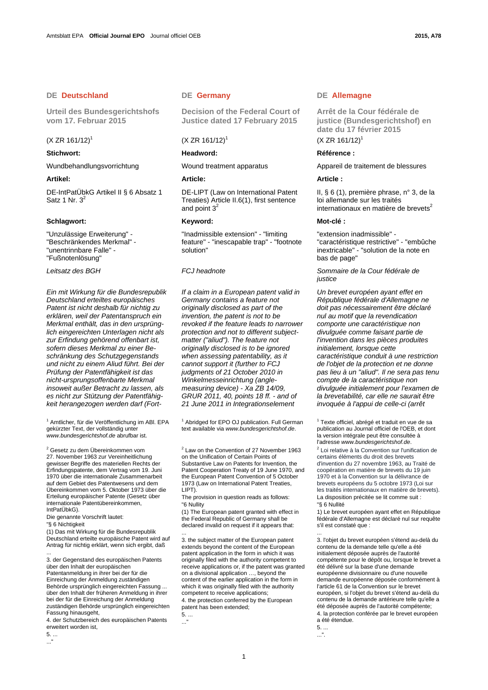# **DE Deutschland DE Germany DE Allemagne**

**Urteil des Bundesgerichtshofs vom 17. Februar 2015** 

# $(X ZR 161/12)^1$

DE-IntPatÜbkG Artikel II § 6 Absatz 1 Satz 1 Nr.  $3<sup>2</sup>$ 

# **Schlagwort: Keyword: Mot-clé :**

"Unzulässige Erweiterung" - "Beschränkendes Merkmal" - "unentrinnbare Falle" - "Fußnotenlösung"

*Ein mit Wirkung für die Bundesrepublik Deutschland erteiltes europäisches Patent ist nicht deshalb für nichtig zu erklären, weil der Patentanspruch ein Merkmal enthält, das in den ursprünglich eingereichten Unterlagen nicht als zur Erfindung gehörend offenbart ist, sofern dieses Merkmal zu einer Beschränkung des Schutzgegenstands und nicht zu einem Aliud führt. Bei der Prüfung der Patentfähigkeit ist das nicht-ursprungsoffenbarte Merkmal insoweit außer Betracht zu lassen, als es nicht zur Stützung der Patentfähigkeit herangezogen werden darf (Fort-*

<sup>1</sup> Amtlicher, für die Veröffentlichung im ABI. EPA gekürzter Text, der vollständig unter *www.bundesgerichtshof.de* abrufbar ist.

<sup>2</sup> Gesetz zu dem Übereinkommen vom 27. November 1963 zur Vereinheitlichung gewisser Begriffe des materiellen Rechts der Erfindungspatente, dem Vertrag vom 19. Juni 1970 über die internationale Zusammenarbeit auf dem Gebiet des Patentwesens und dem Übereinkommen vom 5. Oktober 1973 über die Erteilung europäischer Patente (Gesetz über internationale Patentübereinkommen, IntPatÜbkG).

Die genannte Vorschrift lautet: "§ 6 Nichtigkeit

(1) Das mit Wirkung für die Bundesrepublik Deutschland erteilte europäische Patent wird auf Antrag für nichtig erklärt, wenn sich ergibt, daß ...

3. der Gegenstand des europäischen Patents über den Inhalt der europäischen Patentanmeldung in ihrer bei der für die Einreichung der Anmeldung zuständigen Behörde ursprünglich eingereichten Fassung ... über den Inhalt der früheren Anmeldung in ihrer bei der für die Einreichung der Anmeldung zuständigen Behörde ursprünglich eingereichten Fassung hinausgeht,

4. der Schutzbereich des europäischen Patents erweitert worden ist,

5. ... ..."

 **Decision of the Federal Court of Justice dated 17 February 2015** 

# $(X ZR 161/12)^1$

## **Stichwort: Readword: Readword: Référence : Référence : Référence : Référence : Référence : R**

 DE-LIPT (Law on International Patent Treaties) Article II.6(1), first sentence and point  $3<sup>2</sup>$ 

 "Inadmissible extension" - "limiting feature" - "inescapable trap" - "footnote solution"

*If a claim in a European patent valid in Germany contains a feature not originally disclosed as part of the invention, the patent is not to be revoked if the feature leads to narrower protection and not to different subjectmatter ("aliud"). The feature not originally disclosed is to be ignored when assessing patentability, as it cannot support it (further to FCJ judgments of 21 October 2010 in Winkelmesseinrichtung (anglemeasuring device) - Xa ZB 14/09, GRUR 2011, 40, points 18 ff. - and of 21 June 2011 in Integrationselement* 

<sup>1</sup> Abridged for EPO OJ publication. Full German text available via *www.bundesgerichtshof.de*.

 $2$  Law on the Convention of 27 November 1963 on the Unification of Certain Points of Substantive Law on Patents for Invention, the Patent Cooperation Treaty of 19 June 1970, and the European Patent Convention of 5 October 1973 (Law on International Patent Treaties, LIPT).

The provision in question reads as follows: "6 Nullity

(1) The European patent granted with effect in the Federal Republic of Germany shall be declared invalid on request if it appears that: ...

3. the subject matter of the European patent extends beyond the content of the European patent application in the form in which it was originally filed with the authority competent to receive applications or, if the patent was granted on a divisional application …, beyond the content of the earlier application in the form in which it was originally filed with the authority competent to receive applications;

4. the protection conferred by the European patent has been extended;

5. ...  $\overline{\phantom{a}}$ 

 **Arrêt de la Cour fédérale de justice (Bundesgerichtshof) en date du 17 février 2015**   $(X \, \text{ZR} \, 161/12)^1$ 

Wundbehandlungsvorrichtung Wound treatment apparatus Appareil de traitement de blessures

### **Artikel: Article: Article :**

 II, § 6 (1), première phrase, n° 3, de la loi allemande sur les traités internationaux en matière de brevets $2$ 

 "extension inadmissible" - "caractéristique restrictive" - "embûche inextricable" - "solution de la note en bas de page"

*Leitsatz des BGH FCJ headnote Sommaire de la Cour fédérale de justice*

> *Un brevet européen ayant effet en République fédérale d'Allemagne ne doit pas nécessairement être déclaré nul au motif que la revendication comporte une caractéristique non divulguée comme faisant partie de l'invention dans les pièces produites initialement, lorsque cette caractéristique conduit à une restriction de l'objet de la protection et ne donne pas lieu à un "aliud". Il ne sera pas tenu compte de la caractéristique non divulguée initialement pour l'examen de la brevetabilité, car elle ne saurait être invoquée à l'appui de celle-ci (arrêt*

<sup>1</sup> Texte officiel, abrégé et traduit en vue de sa publication au Journal officiel de l'OEB, et dont la version intégrale peut être consultée à l'adresse *www.bundesgerichtshof.de*. 2

 $2$  Loi relative à la Convention sur l'unification de certains éléments du droit des brevets d'invention du 27 novembre 1963, au Traité de coopération en matière de brevets du 19 juin 1970 et à la Convention sur la délivrance de brevets européens du 5 octobre 1973 (Loi sur les traités internationaux en matière de brevets). La disposition précitée se lit comme suit : "§ 6 Nullité

1) Le brevet européen ayant effet en République fédérale d'Allemagne est déclaré nul sur requête s'il est constaté que :

3. l'objet du brevet européen s'étend au-delà du contenu de la demande telle qu'elle a été initialement déposée auprès de l'autorité compétente pour le dépôt ou, lorsque le brevet a été délivré sur la base d'une demande européenne divisionnaire ou d'une nouvelle demande européenne déposée conformément à l'article 61 de la Convention sur le brevet européen, si l'objet du brevet s'étend au-delà du contenu de la demande antérieure telle qu'elle a été déposée auprès de l'autorité compétente; 4. la protection conférée par le brevet européen a été étendue.

5. ...

...

...".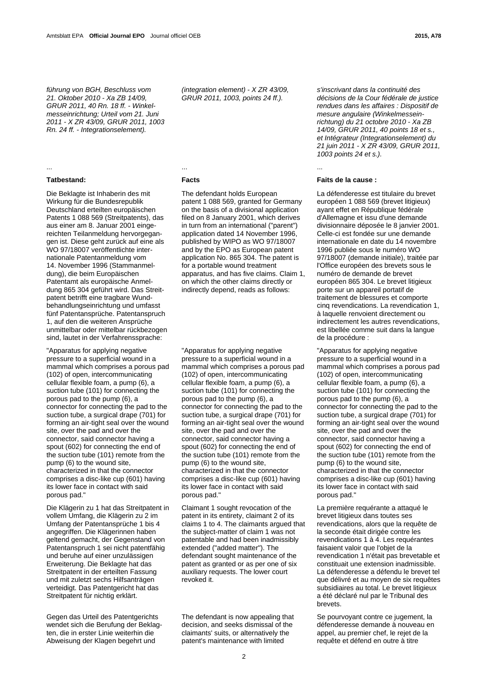*führung von BGH, Beschluss vom 21. Oktober 2010 - Xa ZB 14/09, GRUR 2011, 40 Rn. 18 ff. - Winkelmesseinrichtung; Urteil vom 21. Juni 2011 - X ZR 43/09, GRUR 2011, 1003 Rn. 24 ff. - Integrationselement).* 

# ... ... ...

Die Beklagte ist Inhaberin des mit Wirkung für die Bundesrepublik Deutschland erteilten europäischen Patents 1 088 569 (Streitpatents), das aus einer am 8. Januar 2001 eingereichten Teilanmeldung hervorgegangen ist. Diese geht zurück auf eine als WO 97/18007 veröffentlichte internationale Patentanmeldung vom 14. November 1996 (Stammanmeldung), die beim Europäischen Patentamt als europäische Anmeldung 865 304 geführt wird. Das Streitpatent betrifft eine tragbare Wundbehandlungseinrichtung und umfasst fünf Patentansprüche. Patentanspruch 1, auf den die weiteren Ansprüche unmittelbar oder mittelbar rückbezogen sind, lautet in der Verfahrenssprache:

"Apparatus for applying negative pressure to a superficial wound in a mammal which comprises a porous pad (102) of open, intercommunicating cellular flexible foam, a pump (6), a suction tube (101) for connecting the porous pad to the pump (6), a connector for connecting the pad to the suction tube, a surgical drape (701) for forming an air-tight seal over the wound site, over the pad and over the connector, said connector having a spout (602) for connecting the end of the suction tube (101) remote from the pump (6) to the wound site, characterized in that the connector comprises a disc-like cup (601) having its lower face in contact with said porous pad."

Die Klägerin zu 1 hat das Streitpatent in vollem Umfang, die Klägerin zu 2 im Umfang der Patentansprüche 1 bis 4 angegriffen. Die Klägerinnen haben geltend gemacht, der Gegenstand von Patentanspruch 1 sei nicht patentfähig und beruhe auf einer unzulässigen Erweiterung. Die Beklagte hat das Streitpatent in der erteilten Fassung und mit zuletzt sechs Hilfsanträgen verteidigt. Das Patentgericht hat das Streitpatent für nichtig erklärt.

Gegen das Urteil des Patentgerichts wendet sich die Berufung der Beklagten, die in erster Linie weiterhin die Abweisung der Klagen begehrt und

*(integration element) - X ZR 43/09, GRUR 2011, 1003, points 24 ff.).* 

 The defendant holds European patent 1 088 569, granted for Germany on the basis of a divisional application filed on 8 January 2001, which derives in turn from an international ("parent") application dated 14 November 1996, published by WIPO as WO 97/18007 and by the EPO as European patent application No. 865 304. The patent is for a portable wound treatment apparatus, and has five claims. Claim 1, on which the other claims directly or indirectly depend, reads as follows:

 "Apparatus for applying negative pressure to a superficial wound in a mammal which comprises a porous pad (102) of open, intercommunicating cellular flexible foam, a pump (6), a suction tube (101) for connecting the porous pad to the pump (6), a connector for connecting the pad to the suction tube, a surgical drape (701) for forming an air-tight seal over the wound site, over the pad and over the connector, said connector having a spout (602) for connecting the end of the suction tube (101) remote from the pump (6) to the wound site, characterized in that the connector comprises a disc-like cup (601) having its lower face in contact with said porous pad."

 Claimant 1 sought revocation of the patent in its entirety, claimant 2 of its claims 1 to 4. The claimants argued that the subject-matter of claim 1 was not patentable and had been inadmissibly extended ("added matter"). The defendant sought maintenance of the patent as granted or as per one of six auxiliary requests. The lower court revoked it.

 The defendant is now appealing that decision, and seeks dismissal of the claimants' suits, or alternatively the patent's maintenance with limited

*s'inscrivant dans la continuité des décisions de la Cour fédérale de justice rendues dans les affaires : Dispositif de mesure angulaire (Winkelmesseinrichtung) du 21 octobre 2010 - Xa ZB 14/09, GRUR 2011, 40 points 18 et s., et Intégrateur (Integrationselement) du 21 juin 2011 - X ZR 43/09, GRUR 2011, 1003 points 24 et s.).* 

# **Tatbestand: Facts Faits de la cause :**

 La défenderesse est titulaire du brevet européen 1 088 569 (brevet litigieux) ayant effet en République fédérale d'Allemagne et issu d'une demande divisionnaire déposée le 8 janvier 2001. Celle-ci est fondée sur une demande internationale en date du 14 novembre 1996 publiée sous le numéro WO 97/18007 (demande initiale), traitée par l'Office européen des brevets sous le numéro de demande de brevet européen 865 304. Le brevet litigieux porte sur un appareil portatif de traitement de blessures et comporte cinq revendications. La revendication 1, à laquelle renvoient directement ou indirectement les autres revendications, est libellée comme suit dans la langue de la procédure :

 "Apparatus for applying negative pressure to a superficial wound in a mammal which comprises a porous pad (102) of open, intercommunicating cellular flexible foam, a pump (6), a suction tube (101) for connecting the porous pad to the pump (6), a connector for connecting the pad to the suction tube, a surgical drape (701) for forming an air-tight seal over the wound site, over the pad and over the connector, said connector having a spout (602) for connecting the end of the suction tube (101) remote from the pump (6) to the wound site, characterized in that the connector comprises a disc-like cup (601) having its lower face in contact with said porous pad."

 La première requérante a attaqué le brevet litigieux dans toutes ses revendications, alors que la requête de la seconde était dirigée contre les revendications 1 à 4. Les requérantes faisaient valoir que l'objet de la revendication 1 n'était pas brevetable et constituait une extension inadmissible. La défenderesse a défendu le brevet tel que délivré et au moyen de six requêtes subsidiaires au total. Le brevet litigieux a été déclaré nul par le Tribunal des brevets.

 Se pourvoyant contre ce jugement, la défenderesse demande à nouveau en appel, au premier chef, le rejet de la requête et défend en outre à titre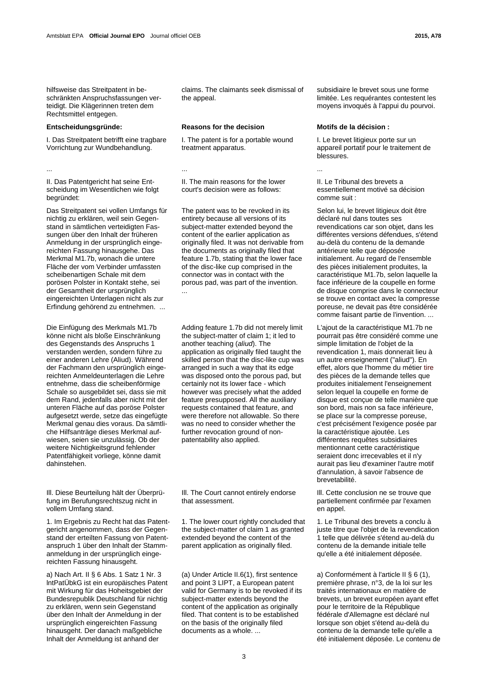hilfsweise das Streitpatent in beschränkten Anspruchsfassungen verteidigt. Die Klägerinnen treten dem Rechtsmittel entgegen.

I. Das Streitpatent betrifft eine tragbare Vorrichtung zur Wundbehandlung.

... ... ...

II. Das Patentgericht hat seine Entscheidung im Wesentlichen wie folgt begründet:

Das Streitpatent sei vollen Umfangs für nichtig zu erklären, weil sein Gegenstand in sämtlichen verteidigten Fassungen über den Inhalt der früheren Anmeldung in der ursprünglich eingereichten Fassung hinausgehe. Das Merkmal M1.7b, wonach die untere Fläche der vom Verbinder umfassten scheibenartigen Schale mit dem porösen Polster in Kontakt stehe, sei der Gesamtheit der ursprünglich eingereichten Unterlagen nicht als zur Erfindung gehörend zu entnehmen. ...

Die Einfügung des Merkmals M1.7b könne nicht als bloße Einschränkung des Gegenstands des Anspruchs 1 verstanden werden, sondern führe zu einer anderen Lehre (Aliud). Während der Fachmann den ursprünglich eingereichten Anmeldeunterlagen die Lehre entnehme, dass die scheibenförmige Schale so ausgebildet sei, dass sie mit dem Rand, jedenfalls aber nicht mit der unteren Fläche auf das poröse Polster aufgesetzt werde, setze das eingefügte Merkmal genau dies voraus. Da sämtliche Hilfsanträge dieses Merkmal aufwiesen, seien sie unzulässig. Ob der weitere Nichtigkeitsgrund fehlender Patentfähigkeit vorliege, könne damit dahinstehen.

Ill. Diese Beurteilung hält der Überprüfung im Berufungsrechtszug nicht in vollem Umfang stand.

1. Im Ergebnis zu Recht hat das Patentgericht angenommen, dass der Gegenstand der erteilten Fassung von Patentanspruch 1 über den Inhalt der Stammanmeldung in der ursprünglich eingereichten Fassung hinausgeht.

a) Nach Art. II § 6 Abs. 1 Satz 1 Nr. 3 lntPatÜbkG ist ein europäisches Patent mit Wirkung für das Hoheitsgebiet der Bundesrepublik Deutschland für nichtig zu erklären, wenn sein Gegenstand über den Inhalt der Anmeldung in der ursprünglich eingereichten Fassung hinausgeht. Der danach maßgebliche Inhalt der Anmeldung ist anhand der

claims. The claimants seek dismissal of the appeal.

## **Entscheidungsgründe: Reasons for the decision Motifs de la décision :**

 I. The patent is for a portable wound treatment apparatus.

 II. The main reasons for the lower court's decision were as follows:

 The patent was to be revoked in its entirety because all versions of its subject-matter extended beyond the content of the earlier application as originally filed. It was not derivable from the documents as originally filed that feature 1.7b, stating that the lower face of the disc-like cup comprised in the connector was in contact with the porous pad, was part of the invention. ...

Adding feature 1.7b did not merely limit the subject-matter of claim 1; it led to another teaching (*aliud*). The application as originally filed taught the skilled person that the disc-like cup was arranged in such a way that its edge was disposed onto the porous pad, but certainly not its lower face - which however was precisely what the added feature presupposed. All the auxiliary requests contained that feature, and were therefore not allowable. So there was no need to consider whether the further revocation ground of nonpatentability also applied.

 Ill. The Court cannot entirely endorse that assessment.

 1. The lower court rightly concluded that the subject-matter of claim 1 as granted extended beyond the content of the parent application as originally filed.

 (a) Under Article II.6(1), first sentence and point 3 LIPT, a European patent valid for Germany is to be revoked if its subject-matter extends beyond the content of the application as originally filed. That content is to be established on the basis of the originally filed documents as a whole. ...

subsidiaire le brevet sous une forme limitée. Les requérantes contestent les moyens invoqués à l'appui du pourvoi.

 I. Le brevet litigieux porte sur un appareil portatif pour le traitement de blessures.

 II. Le Tribunal des brevets a essentiellement motivé sa décision comme suit :

 Selon lui, le brevet litigieux doit être déclaré nul dans toutes ses revendications car son objet, dans les différentes versions défendues, s'étend au-delà du contenu de la demande antérieure telle que déposée initialement. Au regard de l'ensemble des pièces initialement produites, la caractéristique M1.7b, selon laquelle la face inférieure de la coupelle en forme de disque comprise dans le connecteur se trouve en contact avec la compresse poreuse, ne devait pas être considérée comme faisant partie de l'invention. ...

 L'ajout de la caractéristique M1.7b ne pourrait pas être considéré comme une simple limitation de l'objet de la revendication 1, mais donnerait lieu à un autre enseignement ("aliud"). En effet, alors que l'homme du métier tire des pièces de la demande telles que produites initialement l'enseignement selon lequel la coupelle en forme de disque est conçue de telle manière que son bord, mais non sa face inférieure, se place sur la compresse poreuse, c'est précisément l'exigence posée par la caractéristique ajoutée. Les différentes requêtes subsidiaires mentionnant cette caractéristique seraient donc irrecevables et il n'y aurait pas lieu d'examiner l'autre motif d'annulation, à savoir l'absence de brevetabilité.

 Ill. Cette conclusion ne se trouve que partiellement confirmée par l'examen en annel.

 1. Le Tribunal des brevets a conclu à juste titre que l'objet de la revendication 1 telle que délivrée s'étend au-delà du contenu de la demande initiale telle qu'elle a été initialement déposée.

 a) Conformément à l'article II § 6 (1), première phrase, n°3, de la loi sur les traités internationaux en matière de brevets, un brevet européen ayant effet pour le territoire de la République fédérale d'Allemagne est déclaré nul lorsque son objet s'étend au-delà du contenu de la demande telle qu'elle a été initialement déposée. Le contenu de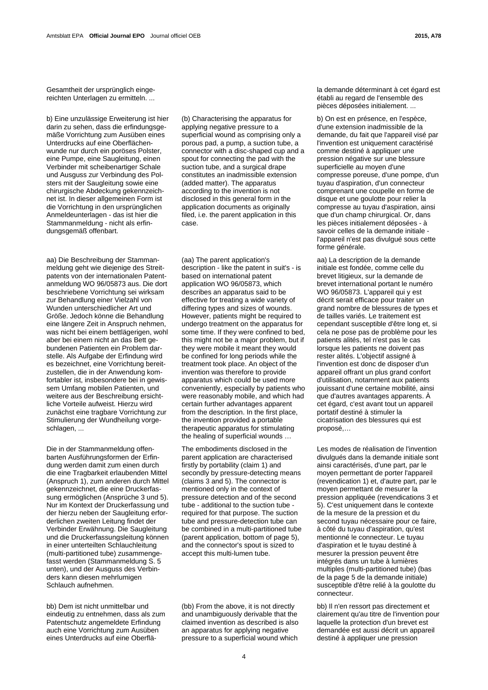Gesamtheit der ursprünglich eingereichten Unterlagen zu ermitteln. ...

b) Eine unzulässige Erweiterung ist hier darin zu sehen, dass die erfindungsgemäße Vorrichtung zum Ausüben eines Unterdrucks auf eine Oberflächenwunde nur durch ein poröses Polster, eine Pumpe, eine Saugleitung, einen Verbinder mit scheibenartiger Schale und Ausguss zur Verbindung des Polsters mit der Saugleitung sowie eine chirurgische Abdeckung gekennzeichnet ist. In dieser allgemeinen Form ist die Vorrichtung in den ursprünglichen Anmeldeunterlagen - das ist hier die Stammanmeldung - nicht als erfindungsgemäß offenbart.

aa) Die Beschreibung der Stammanmeldung geht wie diejenige des Streitpatents von der internationalen Patentanmeldung WO 96/05873 aus. Die dort beschriebene Vorrichtung sei wirksam zur Behandlung einer Vielzahl von Wunden unterschiedlicher Art und Größe. Jedoch könne die Behandlung eine längere Zeit in Anspruch nehmen, was nicht bei einem bettlägerigen, wohl aber bei einem nicht an das Bett gebundenen Patienten ein Problem darstelle. Als Aufgabe der Erfindung wird es bezeichnet, eine Vorrichtung bereitzustellen, die in der Anwendung komfortabler ist, insbesondere bei in gewissem Umfang mobilen Patienten, und weitere aus der Beschreibung ersichtliche Vorteile aufweist. Hierzu wird zunächst eine tragbare Vorrichtung zur Stimulierung der Wundheilung vorgeschlagen, ...

Die in der Stammanmeldung offenbarten Ausführungsformen der Erfindung werden damit zum einen durch die eine Tragbarkeit erlaubenden Mittel (Anspruch 1), zum anderen durch Mittel gekennzeichnet, die eine Druckerfassung ermöglichen (Ansprüche 3 und 5). Nur im Kontext der Druckerfassung und der hierzu neben der Saugleitung erforderlichen zweiten Leitung findet der Verbinder Erwähnung. Die Saugleitung und die Druckerfassungsleitung können in einer unterteilten Schlauchleitung (multi-partitioned tube) zusammengefasst werden (Stammanmeldung S. 5 unten), und der Ausguss des Verbinders kann diesen mehrlumigen Schlauch aufnehmen.

bb) Dem ist nicht unmittelbar und eindeutig zu entnehmen, dass als zum Patentschutz angemeldete Erfindung auch eine Vorrichtung zum Ausüben eines Unterdrucks auf eine Oberflä-

 (b) Characterising the apparatus for applying negative pressure to a superficial wound as comprising only a porous pad, a pump, a suction tube, a connector with a disc-shaped cup and a spout for connecting the pad with the suction tube, and a surgical drape constitutes an inadmissible extension (added matter). The apparatus according to the invention is not disclosed in this general form in the application documents as originally filed, i.e. the parent application in this case.

 (aa) The parent application's description - like the patent in suit's - is based on international patent application WO 96/05873, which describes an apparatus said to be effective for treating a wide variety of differing types and sizes of wounds. However, patients might be required to undergo treatment on the apparatus for some time. If they were confined to bed, this might not be a major problem, but if they were mobile it meant they would be confined for long periods while the treatment took place. An object of the invention was therefore to provide apparatus which could be used more conveniently, especially by patients who were reasonably mobile, and which had certain further advantages apparent from the description. In the first place, the invention provided a portable therapeutic apparatus for stimulating the healing of superficial wounds …

 The embodiments disclosed in the parent application are characterised firstly by portability (claim 1) and secondly by pressure-detecting means (claims 3 and 5). The connector is mentioned only in the context of pressure detection and of the second tube - additional to the suction tube required for that purpose. The suction tube and pressure-detection tube can be combined in a multi-partitioned tube (parent application, bottom of page 5), and the connector's spout is sized to accept this multi-lumen tube.

 (bb) From the above, it is not directly and unambiguously derivable that the claimed invention as described is also an apparatus for applying negative pressure to a superficial wound which

la demande déterminant à cet égard est établi au regard de l'ensemble des pièces déposées initialement. ...

 b) On est en présence, en l'espèce, d'une extension inadmissible de la demande, du fait que l'appareil visé par l'invention est uniquement caractérisé comme destiné à appliquer une pression négative sur une blessure superficielle au moyen d'une compresse poreuse, d'une pompe, d'un tuyau d'aspiration, d'un connecteur comprenant une coupelle en forme de disque et une goulotte pour relier la compresse au tuyau d'aspiration, ainsi que d'un champ chirurgical. Or, dans les pièces initialement déposées - à savoir celles de la demande initiale l'appareil n'est pas divulgué sous cette forme générale.

 aa) La description de la demande initiale est fondée, comme celle du brevet litigieux, sur la demande de brevet international portant le numéro WO 96/05873. L'appareil qui y est décrit serait efficace pour traiter un grand nombre de blessures de types et de tailles variés. Le traitement est cependant susceptible d'être long et, si cela ne pose pas de problème pour les patients alités, tel n'est pas le cas lorsque les patients ne doivent pas rester alités. L'objectif assigné à l'invention est donc de disposer d'un appareil offrant un plus grand confort d'utilisation, notamment aux patients jouissant d'une certaine mobilité, ainsi que d'autres avantages apparents. À cet égard, c'est avant tout un appareil portatif destiné à stimuler la cicatrisation des blessures qui est proposé

 Les modes de réalisation de l'invention divulgués dans la demande initiale sont ainsi caractérisés, d'une part, par le moyen permettant de porter l'appareil (revendication 1) et, d'autre part, par le moyen permettant de mesurer la pression appliquée (revendications 3 et 5). C'est uniquement dans le contexte de la mesure de la pression et du second tuyau nécessaire pour ce faire, à côté du tuyau d'aspiration, qu'est mentionné le connecteur. Le tuyau d'aspiration et le tuyau destiné à mesurer la pression peuvent être intégrés dans un tube à lumières multiples (multi-partitioned tube) (bas de la page 5 de la demande initiale) susceptible d'être relié à la goulotte du connecteur.

 bb) Il n'en ressort pas directement et clairement qu'au titre de l'invention pour laquelle la protection d'un brevet est demandée est aussi décrit un appareil destiné à appliquer une pression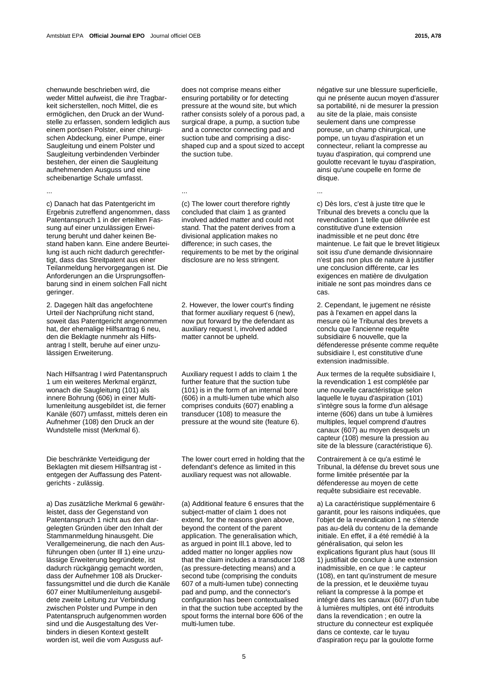chenwunde beschrieben wird, die weder Mittel aufweist, die ihre Tragbarkeit sicherstellen, noch Mittel, die es ermöglichen, den Druck an der Wundstelle zu erfassen, sondern lediglich aus einem porösen Polster, einer chirurgischen Abdeckung, einer Pumpe, einer Saugleitung und einem Polster und Saugleitung verbindenden Verbinder bestehen, der einen die Saugleitung aufnehmenden Ausguss und eine scheibenartige Schale umfasst.

c) Danach hat das Patentgericht im Ergebnis zutreffend angenommen, dass Patentanspruch 1 in der erteilten Fassung auf einer unzulässigen Erweiterung beruht und daher keinen Bestand haben kann. Eine andere Beurteilung ist auch nicht dadurch gerechtfertigt, dass das Streitpatent aus einer Teilanmeldung hervorgegangen ist. Die Anforderungen an die Ursprungsoffenbarung sind in einem solchen Fall nicht geringer.

2. Dagegen hält das angefochtene Urteil der Nachprüfung nicht stand, soweit das Patentgericht angenommen hat, der ehemalige Hilfsantrag 6 neu, den die Beklagte nunmehr als Hilfsantrag I stellt, beruhe auf einer unzulässigen Erweiterung.

Nach Hilfsantrag I wird Patentanspruch 1 um ein weiteres Merkmal ergänzt, wonach die Saugleitung (101) als innere Bohrung (606) in einer Multilumenleitung ausgebildet ist, die ferner Kanäle (607) umfasst, mittels deren ein Aufnehmer (108) den Druck an der Wundstelle misst (Merkmal 6).

Die beschränkte Verteidigung der Beklagten mit diesem Hilfsantrag ist entgegen der Auffassung des Patentgerichts - zulässig.

a) Das zusätzliche Merkmal 6 gewährleistet, dass der Gegenstand von Patentanspruch 1 nicht aus den dargelegten Gründen über den Inhalt der Stammanmeldung hinausgeht. Die Verallgemeinerung, die nach den Ausführungen oben (unter Ill 1) eine unzulässige Erweiterung begründete, ist dadurch rückgängig gemacht worden, dass der Aufnehmer 108 als Druckerfassungsmittel und die durch die Kanäle 607 einer Multilumenleitung ausgebildete zweite Leitung zur Verbindung zwischen Polster und Pumpe in den Patentanspruch aufgenommen worden sind und die Ausgestaltung des Verbinders in diesen Kontext gestellt worden ist, weil die vom Ausguss auf-

does not comprise means either ensuring portability or for detecting pressure at the wound site, but which rather consists solely of a porous pad, a surgical drape, a pump, a suction tube and a connector connecting pad and suction tube and comprising a discshaped cup and a spout sized to accept the suction tube.

 (c) The lower court therefore rightly concluded that claim 1 as granted involved added matter and could not stand. That the patent derives from a divisional application makes no difference; in such cases, the requirements to be met by the original disclosure are no less stringent.

 2. However, the lower court's finding that former auxiliary request 6 (new), now put forward by the defendant as auxiliary request I, involved added matter cannot be upheld.

Auxiliary request I adds to claim 1 the further feature that the suction tube (101) is in the form of an internal bore (606) in a multi-lumen tube which also comprises conduits (607) enabling a transducer (108) to measure the pressure at the wound site (feature 6).

 The lower court erred in holding that the defendant's defence as limited in this auxiliary request was not allowable.

 (a) Additional feature 6 ensures that the subject-matter of claim 1 does not extend, for the reasons given above, beyond the content of the parent application. The generalisation which, as argued in point Ill.1 above, led to added matter no longer applies now that the claim includes a transducer 108 (as pressure-detecting means) and a second tube (comprising the conduits 607 of a multi-lumen tube) connecting pad and pump, and the connector's configuration has been contextualised in that the suction tube accepted by the spout forms the internal bore 606 of the multi-lumen tube.

négative sur une blessure superficielle, qui ne présente aucun moyen d'assurer sa portabilité, ni de mesurer la pression au site de la plaie, mais consiste seulement dans une compresse poreuse, un champ chirurgical, une pompe, un tuyau d'aspiration et un connecteur, reliant la compresse au tuyau d'aspiration, qui comprend une goulotte recevant le tuyau d'aspiration, ainsi qu'une coupelle en forme de disque.

... ... ...

 c) Dès lors, c'est à juste titre que le Tribunal des brevets a conclu que la revendication 1 telle que délivrée est constitutive d'une extension inadmissible et ne peut donc être maintenue. Le fait que le brevet litigieux soit issu d'une demande divisionnaire n'est pas non plus de nature à justifier une conclusion différente, car les exigences en matière de divulgation initiale ne sont pas moindres dans ce cas.

 2. Cependant, le jugement ne résiste pas à l'examen en appel dans la mesure où le Tribunal des brevets a conclu que l'ancienne requête subsidiaire 6 nouvelle, que la défenderesse présente comme requête subsidiaire I, est constitutive d'une extension inadmissible.

Aux termes de la requête subsidiaire I, la revendication 1 est complétée par une nouvelle caractéristique selon laquelle le tuyau d'aspiration (101) s'intègre sous la forme d'un alésage interne (606) dans un tube à lumières multiples, lequel comprend d'autres canaux (607) au moyen desquels un capteur (108) mesure la pression au site de la blessure (caractéristique 6).

 Contrairement à ce qu'a estimé le Tribunal, la défense du brevet sous une forme limitée présentée par la défenderesse au moyen de cette requête subsidiaire est recevable.

 a) La caractéristique supplémentaire 6 garantit, pour les raisons indiquées, que l'objet de la revendication 1 ne s'étende pas au-delà du contenu de la demande initiale. En effet, il a été remédié à la généralisation, qui selon les explications figurant plus haut (sous III 1) justifiait de conclure à une extension inadmissible, en ce que : le capteur (108), en tant qu'instrument de mesure de la pression, et le deuxième tuyau reliant la compresse à la pompe et intégré dans les canaux (607) d'un tube à lumières multiples, ont été introduits dans la revendication ; en outre la structure du connecteur est expliquée dans ce contexte, car le tuyau d'aspiration reçu par la goulotte forme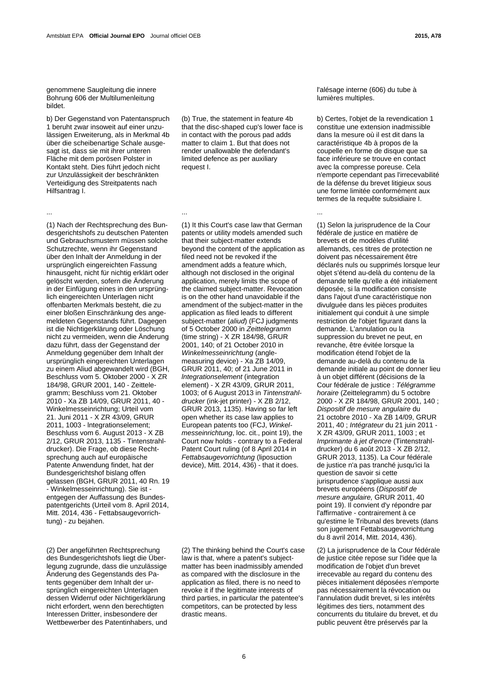genommene Saugleitung die innere Bohrung 606 der Multilumenleitung bildet.

b) Der Gegenstand von Patentanspruch 1 beruht zwar insoweit auf einer unzulässigen Erweiterung, als in Merkmal 4b über die scheibenartige Schale ausgesagt ist, dass sie mit ihrer unteren Fläche mit dem porösen Polster in Kontakt steht. Dies führt jedoch nicht zur Unzulässigkeit der beschränkten Verteidigung des Streitpatents nach Hilfsantrag I.

 (b) True, the statement in feature 4b that the disc-shaped cup's lower face is in contact with the porous pad adds matter to claim 1. But that does not render unallowable the defendant's limited defence as per auxiliary request I.

... ... ...

(1) Nach der Rechtsprechung des Bundesgerichtshofs zu deutschen Patenten und Gebrauchsmustern müssen solche Schutzrechte, wenn ihr Gegenstand über den Inhalt der Anmeldung in der ursprünglich eingereichten Fassung hinausgeht, nicht für nichtig erklärt oder gelöscht werden, sofern die Änderung in der Einfügung eines in den ursprünglich eingereichten Unterlagen nicht offenbarten Merkmals besteht, die zu einer bloßen Einschränkung des angemeldeten Gegenstands führt. Dagegen ist die Nichtigerklärung oder Löschung nicht zu vermeiden, wenn die Änderung dazu führt, dass der Gegenstand der Anmeldung gegenüber dem Inhalt der ursprünglich eingereichten Unterlagen zu einem Aliud abgewandelt wird (BGH, Beschluss vom 5. Oktober 2000 - X ZR 184/98, GRUR 2001, 140 - Zeittelegramm; Beschluss vom 21. Oktober 2010 - Xa ZB 14/09, GRUR 2011, 40 - Winkelmesseinrichtung; Urteil vom 21. Juni 2011 - X ZR 43/09, GRUR 2011, 1003 - lntegrationselement; Beschluss vom 6. August 2013 - X ZB 2/12, GRUR 2013, 1135 - Tintenstrahldrucker). Die Frage, ob diese Rechtsprechung auch auf europäische Patente Anwendung findet, hat der Bundesgerichtshof bislang offen gelassen (BGH, GRUR 2011, 40 Rn. 19 - Winkelmesseinrichtung). Sie ist entgegen der Auffassung des Bundespatentgerichts (Urteil vom 8. April 2014, Mitt. 2014, 436 - Fettabsaugevorrichtung) - zu bejahen.

(2) Der angeführten Rechtsprechung des Bundesgerichtshofs liegt die Überlegung zugrunde, dass die unzulässige Änderung des Gegenstands des Patents gegenüber dem Inhalt der ursprünglich eingereichten Unterlagen dessen Widerruf oder Nichtigerklärung nicht erfordert, wenn den berechtigten Interessen Dritter, insbesondere der Wettbewerber des Patentinhabers, und

 (1) It this Court's case law that German patents or utility models amended such that their subject-matter extends beyond the content of the application as filed need not be revoked if the amendment adds a feature which, although not disclosed in the original application, merely limits the scope of the claimed subject-matter. Revocation is on the other hand unavoidable if the amendment of the subject-matter in the application as filed leads to different subject-matter (*aliud*) (FCJ judgments of 5 October 2000 in *Zeittelegramm* (time string) - X ZR 184/98, GRUR 2001, 140; of 21 October 2010 in *Winkelmesseinrichtung* (anglemeasuring device) - Xa ZB 14/09, GRUR 2011, 40; of 21 June 2011 in *lntegrationselement* (integration element) - X ZR 43/09, GRUR 2011, 1003; of 6 August 2013 in *Tintenstrahldrucker* (ink-jet printer) - X ZB 2/12, GRUR 2013, 1135). Having so far left open whether its case law applies to European patents too (FCJ, *Winkelmesseinrichtung*, loc. cit., point 19), the Court now holds - contrary to a Federal Patent Court ruling (of 8 April 2014 in *Fettabsaugevorrichtung* (liposuction device), Mitt.  $2014$ ,  $436$ ) - that it does.

 (2) The thinking behind the Court's case law is that, where a patent's subjectmatter has been inadmissibly amended as compared with the disclosure in the application as filed, there is no need to revoke it if the legitimate interests of third parties, in particular the patentee's competitors, can be protected by less drastic means.

l'alésage interne (606) du tube à lumières multiples.

 b) Certes, l'objet de la revendication 1 constitue une extension inadmissible dans la mesure où il est dit dans la caractéristique 4b à propos de la coupelle en forme de disque que sa face inférieure se trouve en contact avec la compresse poreuse. Cela n'emporte cependant pas l'irrecevabilité de la défense du brevet litigieux sous une forme limitée conformément aux termes de la requête subsidiaire I.

 (1) Selon la jurisprudence de la Cour fédérale de justice en matière de brevets et de modèles d'utilité allemands, ces titres de protection ne doivent pas nécessairement être déclarés nuls ou supprimés lorsque leur objet s'étend au-delà du contenu de la demande telle qu'elle a été initialement déposée, si la modification consiste dans l'ajout d'une caractéristique non divulguée dans les pièces produites initialement qui conduit à une simple restriction de l'objet figurant dans la demande. L'annulation ou la suppression du brevet ne peut, en revanche, être évitée lorsque la modification étend l'objet de la demande au-delà du contenu de la demande initiale au point de donner lieu à un objet différent (décisions de la Cour fédérale de justice : *Télégramme horaire* (Zeittelegramm) du 5 octobre 2000 - X ZR 184/98, GRUR 2001, 140 ; *Dispositif de mesure angulaire* du 21 octobre 2010 - Xa ZB 14/09, GRUR 2011, 40 ; *Intégrateur* du 21 juin 2011 - X ZR 43/09, GRUR 2011, 1003 ; et *Imprimante à jet d'encre* (Tintenstrahldrucker) du 6 août 2013 - X ZB 2/12, GRUR 2013, 1135). La Cour fédérale de justice n'a pas tranché jusqu'ici la question de savoir si cette jurisprudence s'applique aussi aux brevets européens (*Dispositif de mesure angulaire,* GRUR 2011, 40 point 19). Il convient d'y répondre par l'affirmative - contrairement à ce qu'estime le Tribunal des brevets (dans son jugement Fettabsaugevorrichtung du 8 avril 2014, Mitt. 2014, 436).

 (2) La jurisprudence de la Cour fédérale de justice citée repose sur l'idée que la modification de l'objet d'un brevet irrecevable au regard du contenu des pièces initialement déposées n'emporte pas nécessairement la révocation ou l'annulation dudit brevet, si les intérêts légitimes des tiers, notamment des concurrents du titulaire du brevet, et du public peuvent être préservés par la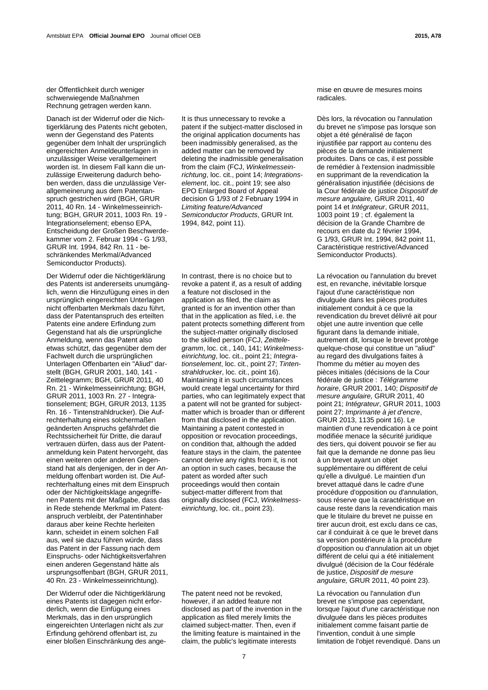der Öffentlichkeit durch weniger schwerwiegende Maßnahmen Rechnung getragen werden kann.

Danach ist der Widerruf oder die Nichtigerklärung des Patents nicht geboten, wenn der Gegenstand des Patents gegenüber dem Inhalt der ursprünglich eingereichten Anmeldeunterlagen in unzulässiger Weise verallgemeinert worden ist. In diesem Fall kann die unzulässige Erweiterung dadurch behoben werden, dass die unzulässige Verallgemeinerung aus dem Patentanspruch gestrichen wird (BGH, GRUR 2011, 40 Rn. 14 - Winkelmesseinrichtung; BGH, GRUR 2011, 1003 Rn. 19 lntegrationselement; ebenso EPA, Entscheidung der Großen Beschwerdekammer vom 2. Februar 1994 - G 1/93, GRUR Int. 1994, 842 Rn. 11 - beschränkendes Merkmal/Advanced Semiconductor Products).

Der Widerruf oder die Nichtigerklärung des Patents ist andererseits unumgänglich, wenn die Hinzufügung eines in den ursprünglich eingereichten Unterlagen nicht offenbarten Merkmals dazu führt, dass der Patentanspruch des erteilten Patents eine andere Erfindung zum Gegenstand hat als die ursprüngliche Anmeldung, wenn das Patent also etwas schützt, das gegenüber dem der Fachwelt durch die ursprünglichen Unterlagen Offenbarten ein "Aliud" darstellt (BGH, GRUR 2001, 140, 141 - Zeittelegramm; BGH, GRUR 2011, 40 Rn. 21 - Winkelmesseinrichtung; BGH, GRUR 2011, 1003 Rn. 27 - Integrationselement; BGH, GRUR 2013, 1135 Rn. 16 - Tintenstrahldrucker). Die Aufrechterhaltung eines solchermaßen geänderten Anspruchs gefährdet die Rechtssicherheit für Dritte, die darauf vertrauen dürfen, dass aus der Patentanmeldung kein Patent hervorgeht, das einen weiteren oder anderen Gegenstand hat als denjenigen, der in der Anmeldung offenbart worden ist. Die Aufrechterhaltung eines mit dem Einspruch oder der Nichtigkeitsklage angegriffenen Patents mit der Maßgabe, dass das in Rede stehende Merkmal im Patentanspruch verbleibt, der Patentinhaber daraus aber keine Rechte herleiten kann, scheidet in einem solchen Fall aus, weil sie dazu führen würde, dass das Patent in der Fassung nach dem Einspruchs- oder Nichtigkeitsverfahren einen anderen Gegenstand hätte als ursprungsoffenbart (BGH, GRUR 2011, 40 Rn. 23 - Winkelmesseinrichtung).

Der Widerruf oder die Nichtigerklärung eines Patents ist dagegen nicht erforderlich, wenn die Einfügung eines Merkmals, das in den ursprünglich eingereichten Unterlagen nicht als zur Erfindung gehörend offenbart ist, zu einer bloßen Einschränkung des ange-

 It is thus unnecessary to revoke a patent if the subject-matter disclosed in the original application documents has been inadmissibly generalised, as the added matter can be removed by deleting the inadmissible generalisation from the claim (FCJ, *Winkelmesseinrichtung*, loc. cit., point 14; *lntegrationselement*, loc. cit., point 19; see also EPO Enlarged Board of Appeal decision G 1/93 of 2 February 1994 in *Limiting feature/Advanced Semiconductor Products*, GRUR Int. 1994, 842, point 11).

 In contrast, there is no choice but to revoke a patent if, as a result of adding a feature not disclosed in the application as filed, the claim as granted is for an invention other than that in the application as filed, i.e. the patent protects something different from the subject-matter originally disclosed to the skilled person (FCJ, *Zeittelegramm*, loc. cit., 140, 141; *Winkelmesseinrichtung*, loc. cit., point 21; *Integrationselement*, loc. cit., point 27; *Tintenstrahldrucker*, loc. cit., point 16). Maintaining it in such circumstances would create legal uncertainty for third parties, who can legitimately expect that a patent will not be granted for subjectmatter which is broader than or different from that disclosed in the application. Maintaining a patent contested in opposition or revocation proceedings, on condition that, although the added feature stays in the claim, the patentee cannot derive any rights from it, is not an option in such cases, because the patent as worded after such proceedings would then contain subject-matter different from that originally disclosed (FCJ, *Winkelmesseinrichtung*, loc. cit., point 23).

 The patent need not be revoked, however, if an added feature not disclosed as part of the invention in the application as filed merely limits the claimed subject-matter. Then, even if the limiting feature is maintained in the claim, the public's legitimate interests

mise en œuvre de mesures moins radicales.

 Dès lors, la révocation ou l'annulation du brevet ne s'impose pas lorsque son objet a été généralisé de façon injustifiée par rapport au contenu des pièces de la demande initialement produites. Dans ce cas, il est possible de remédier à l'extension inadmissible en supprimant de la revendication la généralisation injustifiée (décisions de la Cour fédérale de justice *Dispositif de mesure angulaire,* GRUR 2011, 40 point 14 et *Intégrateur*, GRUR 2011, 1003 point 19 ; cf. également la décision de la Grande Chambre de recours en date du 2 février 1994, G 1/93, GRUR Int. 1994, 842 point 11, Caractéristique restrictive/Advanced Semiconductor Products).

 La révocation ou l'annulation du brevet est, en revanche, inévitable lorsque l'ajout d'une caractéristique non divulguée dans les pièces produites initialement conduit à ce que la revendication du brevet délivré ait pour objet une autre invention que celle figurant dans la demande initiale, autrement dit, lorsque le brevet protège quelque-chose qui constitue un "aliud" au regard des divulgations faites à l'homme du métier au moyen des pièces initiales (décisions de la Cour fédérale de justice : *Télégramme horaire*, GRUR 2001, 140; *Dispositif de mesure angulaire,* GRUR 2011, 40 point 21; *Intégrateur*, GRUR 2011, 1003 point 27; *Imprimante à jet d'encre*, GRUR 2013, 1135 point 16). Le maintien d'une revendication à ce point modifiée menace la sécurité juridique des tiers, qui doivent pouvoir se fier au fait que la demande ne donne pas lieu à un brevet ayant un objet supplémentaire ou différent de celui qu'elle a divulgué. Le maintien d'un brevet attaqué dans le cadre d'une procédure d'opposition ou d'annulation, sous réserve que la caractéristique en cause reste dans la revendication mais que le titulaire du brevet ne puisse en tirer aucun droit, est exclu dans ce cas, car il conduirait à ce que le brevet dans sa version postérieure à la procédure d'opposition ou d'annulation ait un objet différent de celui qui a été initialement divulgué (décision de la Cour fédérale de justice, *Dispositif de mesure angulaire,* GRUR 2011, 40 point 23).

 La révocation ou l'annulation d'un brevet ne s'impose pas cependant, lorsque l'ajout d'une caractéristique non divulguée dans les pièces produites initialement comme faisant partie de l'invention, conduit à une simple limitation de l'objet revendiqué. Dans un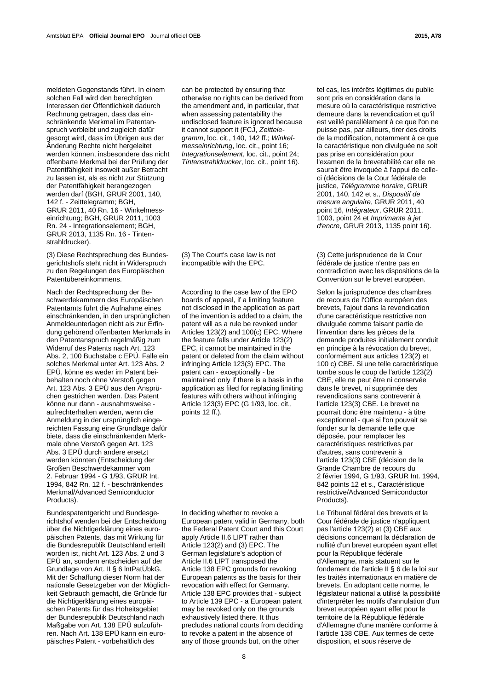meldeten Gegenstands führt. In einem solchen Fall wird den berechtigten Interessen der Öffentlichkeit dadurch Rechnung getragen, dass das einschränkende Merkmal im Patentanspruch verbleibt und zugleich dafür gesorgt wird, dass im Übrigen aus der Änderung Rechte nicht hergeleitet werden können, insbesondere das nicht offenbarte Merkmal bei der Prüfung der Patentfähigkeit insoweit außer Betracht zu lassen ist, als es nicht zur Stützung der Patentfähigkeit herangezogen werden darf (BGH, GRUR 2001, 140, 142 f. - Zeittelegramm; BGH, GRUR 2011, 40 Rn. 16 - Winkelmesseinrichtung; BGH, GRUR 2011, 1003 Rn. 24 - Integrationselement; BGH, GRUR 2013, 1135 Rn. 16 - Tintenstrahldrucker).

(3) Diese Rechtsprechung des Bundesgerichtshofs steht nicht in Widerspruch zu den Regelungen des Europäischen Patentübereinkommens.

Nach der Rechtsprechung der Beschwerdekammern des Europäischen Patentamts führt die Aufnahme eines einschränkenden, in den ursprünglichen Anmeldeunterlagen nicht als zur Erfindung gehörend offenbarten Merkmals in den Patentanspruch regelmäßig zum Widerruf des Patents nach Art. 123 Abs. 2, 100 Buchstabe c EPÜ. Falle ein solches Merkmal unter Art. 123 Abs. 2 EPÜ, könne es weder im Patent beibehalten noch ohne Verstoß gegen Art. 123 Abs. 3 EPÜ aus den Ansprüchen gestrichen werden. Das Patent könne nur dann - ausnahmsweise aufrechterhalten werden, wenn die Anmeldung in der ursprünglich eingereichten Fassung eine Grundlage dafür biete, dass die einschränkenden Merkmale ohne Verstoß gegen Art. 123 Abs. 3 EPÜ durch andere ersetzt werden könnten (Entscheidung der Großen Beschwerdekammer vom 2. Februar 1994 - G 1/93, GRUR Int. 1994, 842 Rn. 12 f. - beschränkendes Merkmal/Advanced Semiconductor Products).

Bundespatentgericht und Bundesgerichtshof wenden bei der Entscheidung über die Nichtigerklärung eines europäischen Patents, das mit Wirkung für die Bundesrepublik Deutschland erteilt worden ist, nicht Art. 123 Abs. 2 und 3 EPÜ an, sondern entscheiden auf der Grundlage von Art. II § 6 lntPatÜbkG. Mit der Schaffung dieser Norm hat der nationale Gesetzgeber von der Möglichkeit Gebrauch gemacht, die Gründe für die Nichtigerklärung eines europäischen Patents für das Hoheitsgebiet der Bundesrepublik Deutschland nach Maßgabe von Art. 138 EPÜ aufzuführen. Nach Art. 138 EPÜ kann ein europäisches Patent - vorbehaltlich des

can be protected by ensuring that otherwise no rights can be derived from the amendment and, in particular, that when assessing patentability the undisclosed feature is ignored because it cannot support it (FCJ, *Zeittelegramm*, loc. cit., 140, 142 ff.; *Winkelmesseinrichtung*, loc. cit., point 16; *Integrationselement*, loc. cit., point 24; *Tintenstrahldrucker*, loc. cit., point 16).

 (3) The Court's case law is not incompatible with the EPC.

According to the case law of the EPO boards of appeal, if a limiting feature not disclosed in the application as part of the invention is added to a claim, the patent will as a rule be revoked under Articles 123(2) and 100(c) EPC. Where the feature falls under Article 123(2) EPC, it cannot be maintained in the patent or deleted from the claim without infringing Article 123(3) EPC. The patent can - exceptionally - be maintained only if there is a basis in the application as filed for replacing limiting features with others without infringing Article 123(3) EPC (G 1/93, loc. cit., points 12 ff.).

 In deciding whether to revoke a European patent valid in Germany, both the Federal Patent Court and this Court apply Article II.6 LIPT rather than Article 123(2) and (3) EPC. The German legislature's adoption of Article II.6 LIPT transposed the Article 138 EPC grounds for revoking European patents as the basis for their revocation with effect for Germany. Article 138 EPC provides that - subject to Article 139 EPC - a European patent may be revoked only on the grounds exhaustively listed there. It thus precludes national courts from deciding to revoke a patent in the absence of any of those grounds but, on the other

tel cas, les intérêts légitimes du public sont pris en considération dans la mesure où la caractéristique restrictive demeure dans la revendication et qu'il est veillé parallèlement à ce que l'on ne puisse pas, par ailleurs, tirer des droits de la modification, notamment à ce que la caractéristique non divulguée ne soit pas prise en considération pour l'examen de la brevetabilité car elle ne saurait être invoquée à l'appui de celleci (décisions de la Cour fédérale de justice, *Télégramme horaire*, GRUR 2001, 140, 142 et s., *Dispositif de mesure angulaire*, GRUR 2011, 40 point 16, *Intégrateur*, GRUR 2011, 1003, point 24 et *Imprimante à jet d'encre*, GRUR 2013, 1135 point 16).

 (3) Cette jurisprudence de la Cour fédérale de justice n'entre pas en contradiction avec les dispositions de la Convention sur le brevet européen.

 Selon la jurisprudence des chambres de recours de l'Office européen des brevets, l'ajout dans la revendication d'une caractéristique restrictive non divulguée comme faisant partie de l'invention dans les pièces de la demande produites initialement conduit en principe à la révocation du brevet, conformément aux articles 123(2) et 100 c) CBE. Si une telle caractéristique tombe sous le coup de l'article 123(2) CBE, elle ne peut être ni conservée dans le brevet, ni supprimée des revendications sans contrevenir à l'article 123(3) CBE. Le brevet ne pourrait donc être maintenu - à titre exceptionnel - que si l'on pouvait se fonder sur la demande telle que déposée, pour remplacer les caractéristiques restrictives par d'autres, sans contrevenir à l'article 123(3) CBE (décision de la Grande Chambre de recours du 2 février 1994, G 1/93, GRUR Int. 1994, 842 points 12 et s., Caractéristique restrictive/Advanced Semiconductor Products).

 Le Tribunal fédéral des brevets et la Cour fédérale de justice n'appliquent pas l'article 123(2) et (3) CBE aux décisions concernant la déclaration de nullité d'un brevet européen ayant effet pour la République fédérale d'Allemagne, mais statuent sur le fondement de l'article II § 6 de la loi sur les traités internationaux en matière de brevets. En adoptant cette norme, le législateur national a utilisé la possibilité d'interpréter les motifs d'annulation d'un brevet européen ayant effet pour le territoire de la République fédérale d'Allemagne d'une manière conforme à l'article 138 CBE. Aux termes de cette disposition, et sous réserve de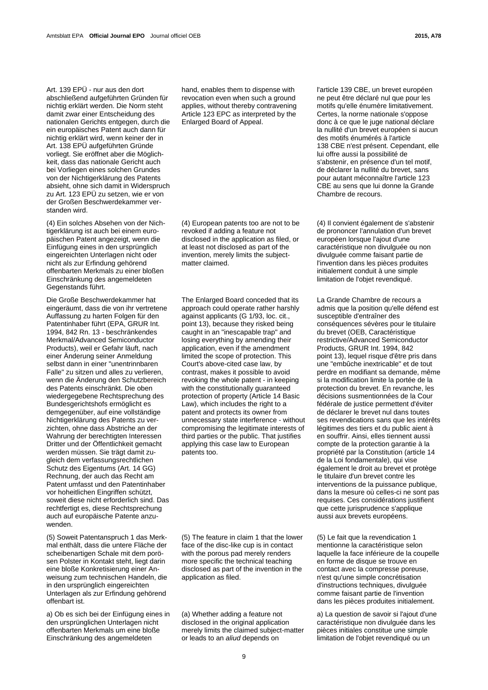Art. 139 EPÜ - nur aus den dort abschließend aufgeführten Gründen für nichtig erklärt werden. Die Norm steht damit zwar einer Entscheidung des nationalen Gerichts entgegen, durch die ein europäisches Patent auch dann für nichtig erklärt wird, wenn keiner der in Art. 138 EPÜ aufgeführten Gründe vorliegt. Sie eröffnet aber die Möglichkeit, dass das nationale Gericht auch bei Vorliegen eines solchen Grundes von der Nichtigerklärung des Patents absieht, ohne sich damit in Widerspruch zu Art. 123 EPÜ zu setzen, wie er von der Großen Beschwerdekammer verstanden wird.

(4) Ein solches Absehen von der Nichtigerklärung ist auch bei einem europäischen Patent angezeigt, wenn die Einfügung eines in den ursprünglich eingereichten Unterlagen nicht oder nicht als zur Erfindung gehörend offenbarten Merkmals zu einer bloßen Einschränkung des angemeldeten Gegenstands führt.

Die Große Beschwerdekammer hat eingeräumt, dass die von ihr vertretene Auffassung zu harten Folgen für den Patentinhaber führt (EPA, GRUR Int. 1994, 842 Rn. 13 - beschränkendes Merkmal/Advanced Semiconductor Products), weil er Gefahr läuft, nach einer Änderung seiner Anmeldung selbst dann in einer "unentrinnbaren Falle" zu sitzen und alles zu verlieren, wenn die Änderung den Schutzbereich des Patents einschränkt. Die oben wiedergegebene Rechtsprechung des Bundesgerichtshofs ermöglicht es demgegenüber, auf eine vollständige Nichtigerklärung des Patents zu verzichten, ohne dass Abstriche an der Wahrung der berechtigten Interessen Dritter und der Öffentlichkeit gemacht werden müssen. Sie trägt damit zugleich dem verfassungsrechtlichen Schutz des Eigentums (Art. 14 GG) Rechnung, der auch das Recht am Patent umfasst und den Patentinhaber vor hoheitlichen Eingriffen schützt, soweit diese nicht erforderlich sind. Das rechtfertigt es, diese Rechtsprechung auch auf europäische Patente anzuwenden.

(5) Soweit Patentanspruch 1 das Merkmal enthält, dass die untere Fläche der scheibenartigen Schale mit dem porösen Polster in Kontakt steht, liegt darin eine bloße Konkretisierung einer Anweisung zum technischen Handeln, die in den ursprünglich eingereichten Unterlagen als zur Erfindung gehörend offenbart ist.

a) Ob es sich bei der Einfügung eines in den ursprünglichen Unterlagen nicht offenbarten Merkmals um eine bloße Einschränkung des angemeldeten

hand, enables them to dispense with revocation even when such a ground applies, without thereby contravening Article 123 EPC as interpreted by the Enlarged Board of Appeal.

 (4) European patents too are not to be revoked if adding a feature not disclosed in the application as filed, or at least not disclosed as part of the invention, merely limits the subjectmatter claimed.

 The Enlarged Board conceded that its approach could operate rather harshly against applicants (G 1/93, loc. cit., point 13), because they risked being caught in an "inescapable trap" and losing everything by amending their application, even if the amendment limited the scope of protection. This Court's above-cited case law, by contrast, makes it possible to avoid revoking the whole patent - in keeping with the constitutionally guaranteed protection of property (Article 14 Basic Law), which includes the right to a patent and protects its owner from unnecessary state interference - without compromising the legitimate interests of third parties or the public. That justifies applying this case law to European patents too.

 (5) The feature in claim 1 that the lower face of the disc-like cup is in contact with the porous pad merely renders more specific the technical teaching disclosed as part of the invention in the application as filed.

 (a) Whether adding a feature not disclosed in the original application merely limits the claimed subject-matter or leads to an *aliud* depends on

l'article 139 CBE, un brevet européen ne peut être déclaré nul que pour les motifs qu'elle énumère limitativement. Certes, la norme nationale s'oppose donc à ce que le juge national déclare la nullité d'un brevet européen si aucun des motifs énumérés à l'article 138 CBE n'est présent. Cependant, elle lui offre aussi la possibilité de s'abstenir, en présence d'un tel motif, de déclarer la nullité du brevet, sans pour autant méconnaître l'article 123 CBE au sens que lui donne la Grande Chambre de recours.

 (4) Il convient également de s'abstenir de prononcer l'annulation d'un brevet européen lorsque l'ajout d'une caractéristique non divulguée ou non divulguée comme faisant partie de l'invention dans les pièces produites initialement conduit à une simple limitation de l'objet revendiqué.

 La Grande Chambre de recours a admis que la position qu'elle défend est susceptible d'entraîner des conséquences sévères pour le titulaire du brevet (OEB, Caractéristique restrictive/Advanced Semiconductor Products, GRUR Int. 1994, 842 point 13), lequel risque d'être pris dans une "embûche inextricable" et de tout perdre en modifiant sa demande, même si la modification limite la portée de la protection du brevet. En revanche, les décisions susmentionnées de la Cour fédérale de justice permettent d'éviter de déclarer le brevet nul dans toutes ses revendications sans que les intérêts légitimes des tiers et du public aient à en souffrir. Ainsi, elles tiennent aussi compte de la protection garantie à la propriété par la Constitution (article 14 de la Loi fondamentale), qui vise également le droit au brevet et protège le titulaire d'un brevet contre les interventions de la puissance publique, dans la mesure où celles-ci ne sont pas requises. Ces considérations justifient que cette jurisprudence s'applique aussi aux brevets européens.

 (5) Le fait que la revendication 1 mentionne la caractéristique selon laquelle la face inférieure de la coupelle en forme de disque se trouve en contact avec la compresse poreuse, n'est qu'une simple concrétisation d'instructions techniques, divulguée comme faisant partie de l'invention dans les pièces produites initialement.

 a) La question de savoir si l'ajout d'une caractéristique non divulguée dans les pièces initiales constitue une simple limitation de l'objet revendiqué ou un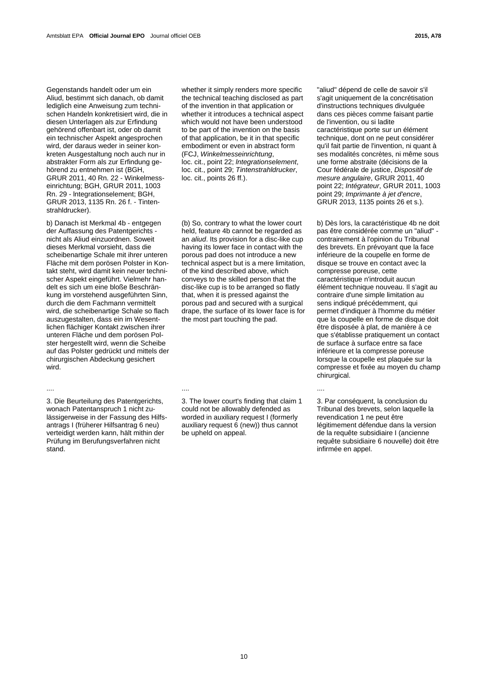Gegenstands handelt oder um ein Aliud, bestimmt sich danach, ob damit lediglich eine Anweisung zum technischen Handeln konkretisiert wird, die in diesen Unterlagen als zur Erfindung gehörend offenbart ist, oder ob damit ein technischer Aspekt angesprochen wird, der daraus weder in seiner konkreten Ausgestaltung noch auch nur in abstrakter Form als zur Erfindung gehörend zu entnehmen ist (BGH, GRUR 2011, 40 Rn. 22 - Winkelmesseinrichtung; BGH, GRUR 2011, 1003 Rn. 29 - lntegrationselement; BGH, GRUR 2013, 1135 Rn. 26 f. - Tintenstrahldrucker).

b) Danach ist Merkmal 4b - entgegen der Auffassung des Patentgerichts nicht als Aliud einzuordnen. Soweit dieses Merkmal vorsieht, dass die scheibenartige Schale mit ihrer unteren Fläche mit dem porösen Polster in Kontakt steht, wird damit kein neuer technischer Aspekt eingeführt. Vielmehr handelt es sich um eine bloße Beschränkung im vorstehend ausgeführten Sinn, durch die dem Fachmann vermittelt wird, die scheibenartige Schale so flach auszugestalten, dass ein im Wesentlichen flächiger Kontakt zwischen ihrer unteren Fläche und dem porösen Polster hergestellt wird, wenn die Scheibe auf das Polster gedrückt und mittels der chirurgischen Abdeckung gesichert wird.

3. Die Beurteilung des Patentgerichts, wonach Patentanspruch 1 nicht zulässigerweise in der Fassung des Hilfsantrags I (früherer Hilfsantrag 6 neu) verteidigt werden kann, hält mithin der Prüfung im Berufungsverfahren nicht stand.

whether it simply renders more specific the technical teaching disclosed as part of the invention in that application or whether it introduces a technical aspect which would not have been understood to be part of the invention on the basis of that application, be it in that specific embodiment or even in abstract form (FCJ, *Winkelmesseinrichtung*, loc. cit., point 22; *lntegrationselement*, loc. cit., point 29; *Tintenstrahldrucker*, loc. cit., points 26 ff.).

 (b) So, contrary to what the lower court held, feature 4b cannot be regarded as an *aliud*. Its provision for a disc-like cup having its lower face in contact with the porous pad does not introduce a new technical aspect but is a mere limitation, of the kind described above, which conveys to the skilled person that the disc-like cup is to be arranged so flatly that, when it is pressed against the porous pad and secured with a surgical drape, the surface of its lower face is for the most part touching the pad.

.... .... ....

 3. The lower court's finding that claim 1 could not be allowably defended as worded in auxiliary request I (formerly auxiliary request 6 (new)) thus cannot be upheld on appeal.

"aliud" dépend de celle de savoir s'il s'agit uniquement de la concrétisation d'instructions techniques divulguée dans ces pièces comme faisant partie de l'invention, ou si ladite caractéristique porte sur un élément technique, dont on ne peut considérer qu'il fait partie de l'invention, ni quant à ses modalités concrètes, ni même sous une forme abstraite (décisions de la Cour fédérale de justice, *Dispositif de mesure angulaire*, GRUR 2011, 40 point 22; *Intégrateur*, GRUR 2011, 1003 point 29; *Imprimante à jet d'encre*, GRUR 2013, 1135 points 26 et s.).

 b) Dès lors, la caractéristique 4b ne doit pas être considérée comme un "aliud" contrairement à l'opinion du Tribunal des brevets. En prévoyant que la face inférieure de la coupelle en forme de disque se trouve en contact avec la compresse poreuse, cette caractéristique n'introduit aucun élément technique nouveau. Il s'agit au contraire d'une simple limitation au sens indiqué précédemment, qui permet d'indiquer à l'homme du métier que la coupelle en forme de disque doit être disposée à plat, de manière à ce que s'établisse pratiquement un contact de surface à surface entre sa face inférieure et la compresse poreuse lorsque la coupelle est plaquée sur la compresse et fixée au moyen du champ chirurgical.

 3. Par conséquent, la conclusion du Tribunal des brevets, selon laquelle la revendication 1 ne peut être légitimement défendue dans la version de la requête subsidiaire I (ancienne requête subsidiaire 6 nouvelle) doit être infirmée en appel.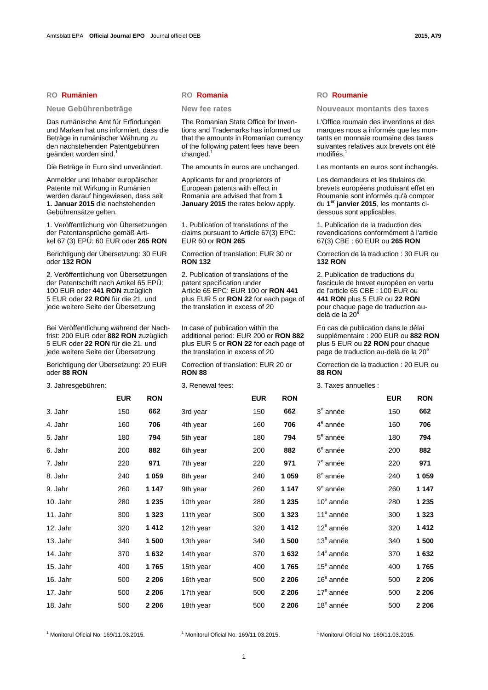Das rumänische Amt für Erfindungen und Marken hat uns informiert, dass die Beträge in rumänischer Währung zu den nachstehenden Patentgebühren geändert worden sind.<sup>1</sup>

Die Beträge in Euro sind unverändert. The amounts in euros are unchanged. Les montants en euros sont inchangés.

Anmelder und Inhaber europäischer Patente mit Wirkung in Rumänien werden darauf hingewiesen, dass seit **1. Januar 2015** die nachstehenden Gebührensätze gelten.

1. Veröffentlichung von Übersetzungen der Patentansprüche gemäß Artikel 67 (3) EPÜ: 60 EUR oder **265 RON**

Berichtigung der Übersetzung: 30 EUR oder **132 RON**

2. Veröffentlichung von Übersetzungen der Patentschrift nach Artikel 65 EPÜ: 100 EUR oder **441 RON** zuzüglich 5 EUR oder **22 RON** für die 21. und jede weitere Seite der Übersetzung

Bei Veröffentlichung während der Nachfrist: 200 EUR oder **882 RON** zuzüglich 5 EUR oder **22 RON** für die 21. und jede weitere Seite der Übersetzung

Berichtigung der Übersetzung: 20 EUR oder **88 RON**

3. Jahresgebühren: 3. Renewal fees: 3. Taxes annuelles :

|          | <b>EUR</b> | <b>RON</b> |           | <b>EUR</b> | <b>RON</b> |                |
|----------|------------|------------|-----------|------------|------------|----------------|
| 3. Jahr  | 150        | 662        | 3rd year  | 150        | 662        | 3 <sup>6</sup> |
| 4. Jahr  | 160        | 706        | 4th year  | 160        | 706        | $4^{\epsilon}$ |
| 5. Jahr  | 180        | 794        | 5th year  | 180        | 794        | $5^{\epsilon}$ |
| 6. Jahr  | 200        | 882        | 6th year  | 200        | 882        | 6 <sup>6</sup> |
| 7. Jahr  | 220        | 971        | 7th year  | 220        | 971        | $7^6$          |
| 8. Jahr  | 240        | 1059       | 8th year  | 240        | 1059       | 8 <sup>6</sup> |
| 9. Jahr  | 260        | 1 147      | 9th year  | 260        | 1 1 4 7    | 9 <sup>e</sup> |
| 10. Jahr | 280        | 1 2 3 5    | 10th year | 280        | 1 2 3 5    | 10             |
| 11. Jahr | 300        | 1 3 2 3    | 11th year | 300        | 1 3 2 3    | $1^{\prime}$   |
| 12. Jahr | 320        | 1412       | 12th year | 320        | 1412       | 12             |
| 13. Jahr | 340        | 1 500      | 13th year | 340        | 1 500      | 13             |
| 14. Jahr | 370        | 1632       | 14th year | 370        | 1632       | 14             |
| 15. Jahr | 400        | 1765       | 15th year | 400        | 1765       | 15             |
| 16. Jahr | 500        | 2 206      | 16th year | 500        | 2 2 0 6    | 16             |
| 17. Jahr | 500        | 2 2 0 6    | 17th year | 500        | 2 2 0 6    | 17             |
| 18. Jahr | 500        | 2 2 0 6    | 18th year | 500        | 2 2 0 6    | 18             |

### **RO Rumänien RO Romania RO Roumanie**

 The Romanian State Office for Inventions and Trademarks has informed us that the amounts in Romanian currency of the following patent fees have been changed.<sup>1</sup>

Applicants for and proprietors of European patents with effect in Romania are advised that from **1 January 2015** the rates below apply.

 1. Publication of translations of the claims pursuant to Article 67(3) EPC: EUR 60 or **RON 265**

 Correction of translation: EUR 30 or **RON 132**

 2. Publication of translations of the patent specification under Article 65 EPC: EUR 100 or **RON 441** plus EUR 5 or **RON 22** for each page of the translation in excess of 20

 In case of publication within the additional period: EUR 200 or **RON 882** plus EUR 5 or **RON 22** for each page of the translation in excess of 20

 Correction of translation: EUR 20 or **RON 88**

**Neue Gebührenbeträge New fee rates Nouveaux montants des taxes** 

 L'Office roumain des inventions et des marques nous a informés que les montants en monnaie roumaine des taxes suivantes relatives aux brevets ont été modifiés.<sup>1</sup>

 Les demandeurs et les titulaires de brevets européens produisant effet en Roumanie sont informés qu'à compter du **1er janvier 2015**, les montants cidessous sont applicables.

 1. Publication de la traduction des revendications conformément à l'article 67(3) CBE : 60 EUR ou **265 RON**

 Correction de la traduction : 30 EUR ou **132 RON**

 2. Publication de traductions du fascicule de brevet européen en vertu de l'article 65 CBE : 100 EUR ou **441 RON** plus 5 EUR ou **22 RON** pour chaque page de traduction audelà de la  $20^6$ 

 En cas de publication dans le délai supplémentaire : 200 EUR ou **882 RON** plus 5 EUR ou **22 RON** pour chaque page de traduction au-delà de la 20<sup>e</sup>

 Correction de la traduction : 20 EUR ou **88 RON**

|          | <b>EUR</b> | <b>RON</b> |           | <b>EUR</b> | <b>RON</b> |                       | <b>EUR</b> | <b>RON</b> |
|----------|------------|------------|-----------|------------|------------|-----------------------|------------|------------|
| 3. Jahr  | 150        | 662        | 3rd year  | 150        | 662        | $3e$ année            | 150        | 662        |
| 4. Jahr  | 160        | 706        | 4th year  | 160        | 706        | 4 <sup>e</sup> année  | 160        | 706        |
| 5. Jahr  | 180        | 794        | 5th year  | 180        | 794        | $5^{\circ}$ année     | 180        | 794        |
| 6. Jahr  | 200        | 882        | 6th year  | 200        | 882        | 6 <sup>e</sup> année  | 200        | 882        |
| 7. Jahr  | 220        | 971        | 7th year  | 220        | 971        | 7 <sup>e</sup> année  | 220        | 971        |
| 8. Jahr  | 240        | 1 0 5 9    | 8th year  | 240        | 1 0 5 9    | 8 <sup>e</sup> année  | 240        | 1 0 5 9    |
| 9. Jahr  | 260        | 1 1 4 7    | 9th year  | 260        | 1 1 4 7    | 9 <sup>e</sup> année  | 260        | 1 1 4 7    |
| 10. Jahr | 280        | 1 2 3 5    | 10th year | 280        | 1 2 3 5    | 10 <sup>e</sup> année | 280        | 1 2 3 5    |
| 11. Jahr | 300        | 1 3 2 3    | 11th year | 300        | 1 3 2 3    | 11 <sup>e</sup> année | 300        | 1 3 2 3    |
| 12. Jahr | 320        | 1412       | 12th year | 320        | 1412       | $12e$ année           | 320        | 1412       |
| 13. Jahr | 340        | 1 500      | 13th year | 340        | 1500       | $13e$ année           | 340        | 1500       |
| 14. Jahr | 370        | 1632       | 14th year | 370        | 1632       | 14 <sup>e</sup> année | 370        | 1632       |
| 15. Jahr | 400        | 1765       | 15th year | 400        | 1765       | 15 <sup>e</sup> année | 400        | 1765       |
| 16. Jahr | 500        | 2 2 0 6    | 16th year | 500        | 2 2 0 6    | 16 <sup>e</sup> année | 500        | 2 2 0 6    |
| 17. Jahr | 500        | 2 2 0 6    | 17th year | 500        | 2 2 0 6    | 17 <sup>e</sup> année | 500        | 2 2 0 6    |
| 18. Jahr | 500        | 2 2 0 6    | 18th year | 500        | 2 2 0 6    | 18 <sup>e</sup> année | 500        | 2 2 0 6    |
|          |            |            |           |            |            |                       |            |            |

<sup>1</sup> Monitorul Oficial No. 169/11.03.2015.

<sup>1</sup> Monitorul Oficial No. 169/11.03.2015.  $10^{1}$  Monitorul Oficial No. 169/11.03.2015.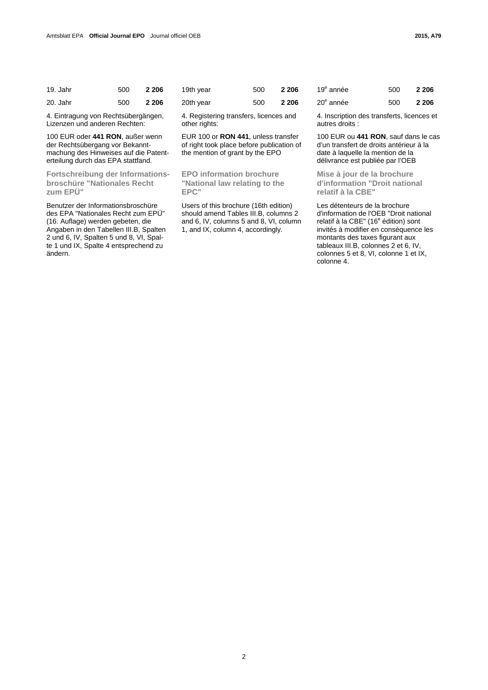| 19. Jahr | 500 | 2 2 0 6 |
|----------|-----|---------|
| 20. Jahr | 500 | 2 2 0 6 |

4. Eintragung von Rechtsübergängen, Lizenzen und anderen Rechten:

100 EUR oder **441 RON**, außer wenn der Rechtsübergang vor Bekanntmachung des Hinweises auf die Patenterteilung durch das EPA stattfand.

**Fortschreibung der Informationsbroschüre "Nationales Recht zum EPÜ"** 

Benutzer der Informationsbroschüre des EPA "Nationales Recht zum EPÜ" (16. Auflage) werden gebeten, die Angaben in den Tabellen III.B, Spalten 2 und 6, IV, Spalten 5 und 8, VI, Spalte 1 und IX, Spalte 4 entsprechend zu ändern.

| 19. Jahr | 500 2 206 | 19th year | 500 2 206 | $19^e$       |
|----------|-----------|-----------|-----------|--------------|
| 20. Jahr | 500 2 206 | 20th year | 500 2 206 | $20^{\circ}$ |

 4. Registering transfers, licences and other rights:

EUR 100 or **RON 441**, unless transfer of right took place before publication of the mention of grant by the EPO

 **EPO information brochure "National law relating to the EPC"** 

 Users of this brochure (16th edition) should amend Tables III.B, columns 2 and 6, IV, columns 5 and 8, VI, column 1, and IX, column 4, accordingly.

| 19 <sup>e</sup> année | 500 | 2 2 0 6 |
|-----------------------|-----|---------|
| 20 <sup>e</sup> année | 500 | 2 2 0 6 |

 4. Inscription des transferts, licences et autres droits :

100 EUR ou **441 RON**, sauf dans le cas d'un transfert de droits antérieur à la date à laquelle la mention de la délivrance est publiée par l'OEB

 **Mise à jour de la brochure d'information "Droit national relatif à la CBE"** 

 Les détenteurs de la brochure d'information de l'OEB "Droit national relatif à la CBE" (16<sup>e</sup> édition) sont invités à modifier en conséquence les montants des taxes figurant aux tableaux III.B, colonnes 2 et 6, IV, colonnes 5 et 8, VI, colonne 1 et IX, colonne 4.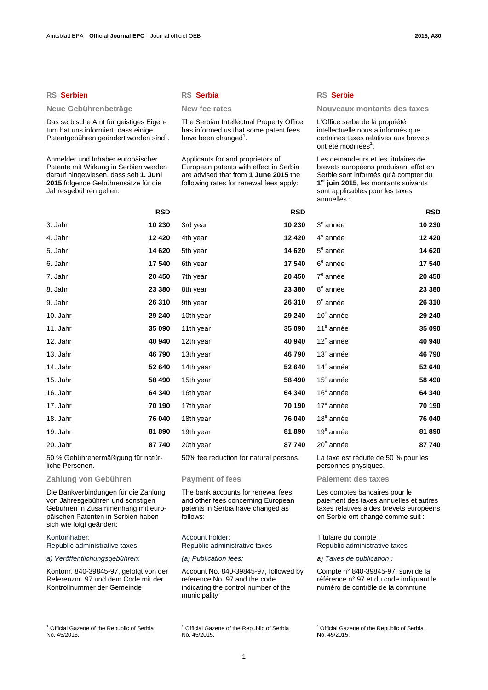# **RS Serbien RS Serbia RS Serbie**

Das serbische Amt für geistiges Eigentum hat uns informiert, dass einige Patentgebühren geändert worden sind<sup>1</sup>.

Anmelder und Inhaber europäischer Patente mit Wirkung in Serbien werden darauf hingewiesen, dass seit **1. Juni 2015** folgende Gebührensätze für die Jahresgebühren gelten:

 The Serbian Intellectual Property Office has informed us that some patent fees have been changed<sup>1</sup>.

Applicants for and proprietors of European patents with effect in Serbia are advised that from **1 June 2015** the following rates for renewal fees apply:

| ۰.<br>. . | $\sim$<br>۰. | ш<br>--<br>×<br>۰. |
|-----------|--------------|--------------------|
|           |              |                    |
|           |              |                    |

### Neue Gebührenbeträge **New fee rates** Nouveaux montants des taxes

 L'Office serbe de la propriété intellectuelle nous a informés que certaines taxes relatives aux brevets ont été modifiées<sup>1</sup>.

 Les demandeurs et les titulaires de brevets européens produisant effet en Serbie sont informés qu'à compter du **1er juin 2015**, les montants suivants sont applicables pour les taxes annuelles :

|          | <b>RSD</b> |           | <b>RSD</b> |                       | <b>RSD</b> |
|----------|------------|-----------|------------|-----------------------|------------|
| 3. Jahr  | 10 230     | 3rd year  | 10 230     | 3 <sup>e</sup> année  | 10 230     |
| 4. Jahr  | 12 4 20    | 4th year  | 12 4 20    | 4 <sup>e</sup> année  | 12 4 20    |
| 5. Jahr  | 14 6 20    | 5th year  | 14 620     | $5e$ année            | 14 620     |
| 6. Jahr  | 17 540     | 6th year  | 17 540     | $6e$ année            | 17540      |
| 7. Jahr  | 20 450     | 7th year  | 20 450     | 7 <sup>e</sup> année  | 20 450     |
| 8. Jahr  | 23 380     | 8th year  | 23 380     | 8 <sup>e</sup> année  | 23 380     |
| 9. Jahr  | 26 310     | 9th year  | 26 310     | $9^e$ année           | 26 310     |
| 10. Jahr | 29 240     | 10th year | 29 240     | 10 <sup>e</sup> année | 29 240     |
| 11. Jahr | 35 090     | 11th year | 35 090     | 11 <sup>e</sup> année | 35 090     |
| 12. Jahr | 40 940     | 12th year | 40 940     | 12 <sup>e</sup> année | 40 940     |
| 13. Jahr | 46790      | 13th year | 46790      | $13e$ année           | 46790      |
| 14. Jahr | 52 640     | 14th year | 52 640     | 14 <sup>e</sup> année | 52 640     |
| 15. Jahr | 58 490     | 15th year | 58 490     | 15 <sup>e</sup> année | 58 490     |
| 16. Jahr | 64 340     | 16th year | 64 340     | 16 <sup>e</sup> année | 64 340     |
| 17. Jahr | 70 190     | 17th year | 70 190     | $17e$ année           | 70 190     |
| 18. Jahr | 76 040     | 18th year | 76 040     | 18 <sup>e</sup> année | 76 040     |
| 19. Jahr | 81890      | 19th year | 81890      | 19 <sup>e</sup> année | 81890      |
| 20. Jahr | 87740      | 20th year | 87740      | 20 <sup>e</sup> année | 87740      |
|          |            |           |            |                       |            |

50 % Gebührenermäßigung für natürliche Personen.

# **Zahlung von Gebühren Payment of fees Paiement des taxes**

Die Bankverbindungen für die Zahlung von Jahresgebühren und sonstigen Gebühren in Zusammenhang mit europäischen Patenten in Serbien haben sich wie folgt geändert:

### Kontoinhaber: Republic administrative taxes

*a) Veröffentlichungsgebühren: (a) Publication fees: a) Taxes de publication :*

Kontonr. 840-39845-97, gefolgt von der Referenznr. 97 und dem Code mit der Kontrollnummer der Gemeinde

Account holder:

 The bank accounts for renewal fees and other fees concerning European patents in Serbia have changed as

Republic administrative taxes

follows:

Account No. 840-39845-97, followed by reference No. 97 and the code indicating the control number of the municipality

 50% fee reduction for natural persons. La taxe est réduite de 50 % pour les personnes physiques.

 Les comptes bancaires pour le paiement des taxes annuelles et autres taxes relatives à des brevets européens en Serbie ont changé comme suit :

 Titulaire du compte : Republic administrative taxes

 Compte n° 840-39845-97, suivi de la référence n° 97 et du code indiquant le numéro de contrôle de la commune

<sup>&</sup>lt;sup>1</sup> Official Gazette of the Republic of Serbia No. 45/2015.

<sup>&</sup>lt;sup>1</sup> Official Gazette of the Republic of Serbia No. 45/2015.

<sup>&</sup>lt;sup>1</sup> Official Gazette of the Republic of Serbia No. 45/2015.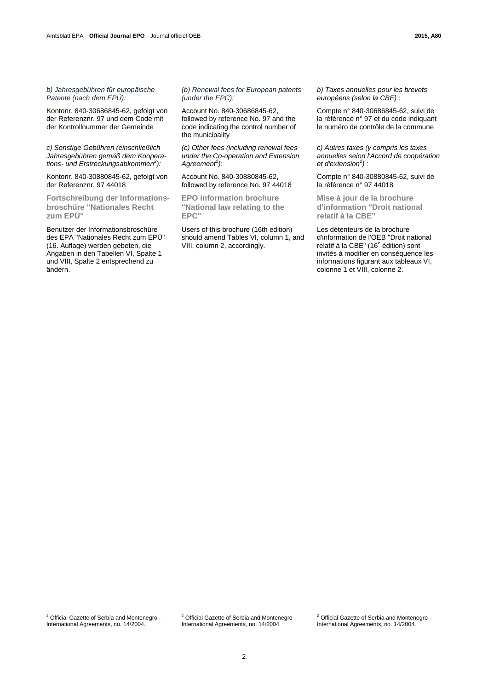Kontonr. 840-30686845-62, gefolgt von der Referenznr. 97 und dem Code mit der Kontrollnummer der Gemeinde

*c) Sonstige Gebühren (einschließlich Jahresgebühren gemäß dem Kooperations- und Erstreckungsabkommen<sup>2</sup> ):* 

Kontonr. 840-30880845-62, gefolgt von der Referenznr. 97 44018

**Fortschreibung der Informationsbroschüre "Nationales Recht zum EPÜ"** 

Benutzer der Informationsbroschüre des EPA "Nationales Recht zum EPÜ" (16. Auflage) werden gebeten, die Angaben in den Tabellen VI, Spalte 1 und VIII, Spalte 2 entsprechend zu ändern.

# *(b) Renewal fees for European patents (under the EPC):*

Account No. 840-30686845-62, followed by reference No. 97 and the code indicating the control number of the municipality

*(c) Other fees (including renewal fees under the Co-operation and Extension*  Agreement<sup>2</sup>):

Account No. 840-30880845-62, followed by reference No. 97 44018

 **EPO information brochure "National law relating to the EPC"** 

 Users of this brochure (16th edition) should amend Tables VI, column 1, and VIII, column 2, accordingly.

*b) Taxes annuelles pour les brevets européens (selon la CBE) :*

 Compte n° 840-30686845-62, suivi de la référence n° 97 et du code indiquant le numéro de contrôle de la commune

*c) Autres taxes (y compris les taxes annuelles selon l'Accord de coopération et d'extension<sup>2</sup> ) :* 

 Compte n° 840-30880845-62, suivi de la référence n° 97 44018

 **Mise à jour de la brochure d'information "Droit national relatif à la CBE"** 

 Les détenteurs de la brochure d'information de l'OEB "Droit national relatif à la CBE" (16<sup>e</sup> édition) sont invités à modifier en conséquence les informations figurant aux tableaux VI, colonne 1 et VIII, colonne 2.

<sup>2</sup> Official Gazette of Serbia and Montenegro -International Agreements, no. 14/2004.

<sup>2</sup> Official Gazette of Serbia and Montenegro -International Agreements, no. 14/2004.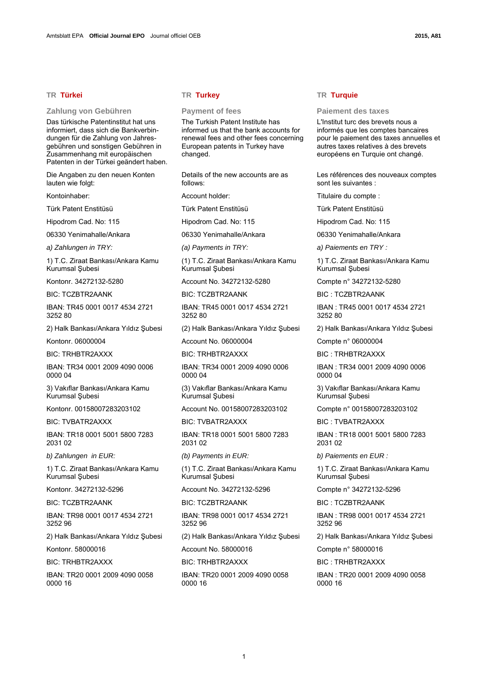### **Zahlung von Gebühren Payment of fees Paiement des taxes**

Das türkische Patentinstitut hat uns informiert, dass sich die Bankverbindungen für die Zahlung von Jahresgebühren und sonstigen Gebühren in Zusammenhang mit europäischen Patenten in der Türkei geändert haben.

Die Angaben zu den neuen Konten lauten wie folgt:

Kontoinhaber:

Türk Patent Enstitüsü

Hipodrom Cad. No: 115

06330 Yenimahalle/Ankara

1) T.C. Ziraat Bankası/Ankara Kamu Kurumsal Şubesi

Kontonr. 34272132-5280

BIC: TCZBTR2AANK

IBAN: TR45 0001 0017 4534 2721 3252 80

2) Halk Bankası/Ankara Yıldız Subesi

Kontonr. 06000004

**BIC: TRHBTR2AXXX** 

IBAN: TR34 0001 2009 4090 0006 0000 04

3) Vakıflar Bankası/Ankara Kamu Kurumsal Şubesi

Kontonr. 00158007283203102

BIC: TVBATR2AXXX

IBAN: TR18 0001 5001 5800 7283 2031 02

1) T.C. Ziraat Bankası/Ankara Kamu Kurumsal Şubesi

Kontonr. 34272132-5296

BIC: TCZBTR2AANK

IBAN: TR98 0001 0017 4534 2721 3252 96

2) Halk Bankası/Ankara Yıldız Şubesi

Kontonr. 58000016

BIC: TRHBTR2AXXX

IBAN: TR20 0001 2009 4090 0058 0000 16

# **TR Türkei TR Turkey TR Turquie**

 The Turkish Patent Institute has informed us that the bank accounts for renewal fees and other fees concerning European patents in Turkey have changed.

 Details of the new accounts are as follows:

Account holder:

Türk Patent Enstitüsü

Hipodrom Cad. No: 115

06330 Yenimahalle/Ankara

 (1) T.C. Ziraat Bankası/Ankara Kamu Kurumsal Şubesi

Account No. 34272132-5280

BIC: TCZBTR2AANK

IBAN: TR45 0001 0017 4534 2721 3252 80

(2) Halk Bankası/Ankara Yıldız Şubesi

Account No. 06000004

BIC: TRHBTR2AXXX

IBAN: TR34 0001 2009 4090 0006 0000 04

 (3) Vakıflar Bankası/Ankara Kamu Kurumsal Şubesi

Account No. 00158007283203102

BIC: TVBATR2AXXX

IBAN: TR18 0001 5001 5800 7283 2031 02

 (1) T.C. Ziraat Bankası/Ankara Kamu Kurumsal Şubesi

Account No. 34272132-5296

BIC: TCZBTR2AANK

IBAN: TR98 0001 0017 4534 2721 3252 96

(2) Halk Bankası/Ankara Yıldız Şubesi

Account No. 58000016

BIC: TRHBTR2AXXX

IBAN: TR20 0001 2009 4090 0058 0000 16

 L'Institut turc des brevets nous a informés que les comptes bancaires pour le paiement des taxes annuelles et autres taxes relatives à des brevets européens en Turquie ont changé.

 Les références des nouveaux comptes sont les suivantes :

Titulaire du compte :

Türk Patent Enstitüsü

Hipodrom Cad. No: 115

06330 Yenimahalle/Ankara

*a) Zahlungen in TRY: (a) Payments in TRY: a) Paiements en TRY :* 

 1) T.C. Ziraat Bankası/Ankara Kamu Kurumsal Şubesi

Compte n° 34272132-5280

BIC : TCZBTR2AANK

IBAN : TR45 0001 0017 4534 2721 3252 80

2) Halk Bankası/Ankara Yıldız Subesi

Compte n° 06000004

BIC : TRHBTR2AXXX

IBAN : TR34 0001 2009 4090 0006 0000 04

 3) Vakıflar Bankası/Ankara Kamu Kurumsal Şubesi

Compte n° 00158007283203102

BIC : TVBATR2AXXX

IBAN : TR18 0001 5001 5800 7283 2031 02

*b) Zahlungen in EUR: (b) Payments in EUR: b) Paiements en EUR :* 

 1) T.C. Ziraat Bankası/Ankara Kamu Kurumsal Şubesi

Compte n° 34272132-5296

BIC : TCZBTR2AANK

IBAN : TR98 0001 0017 4534 2721 3252 96

2) Halk Bankası/Ankara Yıldız Şubesi

Compte n° 58000016

BIC : TRHBTR2AXXX

IBAN : TR20 0001 2009 4090 0058 0000 16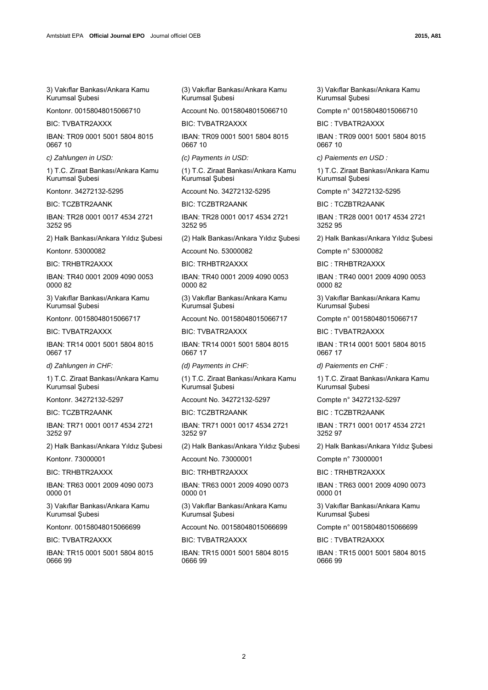3) Vakıflar Bankası/Ankara Kamu Kurumsal Subesi

Kontonr. 00158048015066710

BIC: TVBATR2AXXX

IBAN: TR09 0001 5001 5804 8015 0667 10

1) T.C. Ziraat Bankası/Ankara Kamu Kurumsal Şubesi

Kontonr. 34272132-5295

BIC: TCZBTR2AANK

IBAN: TR28 0001 0017 4534 2721 3252 95

2) Halk Bankası/Ankara Yıldız Şubesi

Kontonr. 53000082

BIC: TRHBTR2AXXX

IBAN: TR40 0001 2009 4090 0053 0000 82

3) Vakıflar Bankası/Ankara Kamu Kurumsal Şubesi

Kontonr. 00158048015066717

BIC: TVBATR2AXXX

IBAN: TR14 0001 5001 5804 8015 0667 17

1) T.C. Ziraat Bankası/Ankara Kamu Kurumsal Subesi

Kontonr. 34272132-5297

BIC: TCZBTR2AANK

IBAN: TR71 0001 0017 4534 2721 3252 97

2) Halk Bankası/Ankara Yıldız Şubesi

Kontonr. 73000001

BIC: TRHBTR2AXXX

IBAN: TR63 0001 2009 4090 0073 0000 01

3) Vakıflar Bankası/Ankara Kamu Kurumsal Şubesi

Kontonr. 00158048015066699

BIC: TVBATR2AXXX

IBAN: TR15 0001 5001 5804 8015 0666 99

 (3) Vakıflar Bankası/Ankara Kamu Kurumsal Şubesi

Account No. 00158048015066710

BIC: TVBATR2AXXX

IBAN: TR09 0001 5001 5804 8015 0667 10

 (1) T.C. Ziraat Bankası/Ankara Kamu Kurumsal Şubesi

Account No. 34272132-5295

BIC: TCZBTR2AANK

IBAN: TR28 0001 0017 4534 2721 3252 95

(2) Halk Bankası/Ankara Yıldız Şubesi

Account No. 53000082

BIC: TRHBTR2AXXX

IBAN: TR40 0001 2009 4090 0053 0000 82

 (3) Vakıflar Bankası/Ankara Kamu Kurumsal Şubesi

Account No. 00158048015066717

BIC: TVBATR2AXXX

IBAN: TR14 0001 5001 5804 8015 0667 17

 (1) T.C. Ziraat Bankası/Ankara Kamu Kurumsal Şubesi

Account No. 34272132-5297

BIC: TCZBTR2AANK

IBAN: TR71 0001 0017 4534 2721 3252 97

(2) Halk Bankası/Ankara Yıldız Şubesi

Account No. 73000001

BIC: TRHBTR2AXXX

IBAN: TR63 0001 2009 4090 0073 0000 01

 (3) Vakıflar Bankası/Ankara Kamu Kurumsal Şubesi

Account No. 00158048015066699

BIC: TVBATR2AXXX

IBAN: TR15 0001 5001 5804 8015 0666 99

 3) Vakıflar Bankası/Ankara Kamu Kurumsal Subesi

Compte n° 00158048015066710

BIC : TVBATR2AXXX

IBAN : TR09 0001 5001 5804 8015 0667 10

*c) Zahlungen in USD: (c) Payments in USD: c) Paiements en USD :*

 1) T.C. Ziraat Bankası/Ankara Kamu Kurumsal Şubesi

Compte n° 34272132-5295

BIC : TCZBTR2AANK

IBAN : TR28 0001 0017 4534 2721 3252 95

2) Halk Bankası/Ankara Yıldız Şubesi

Compte n° 53000082

BIC : TRHBTR2AXXX

IBAN : TR40 0001 2009 4090 0053 0000 82

 3) Vakıflar Bankası/Ankara Kamu Kurumsal Şubesi

Compte n° 00158048015066717

BIC : TVBATR2AXXX

IBAN : TR14 0001 5001 5804 8015 0667 17

*d) Zahlungen in CHF: (d) Payments in CHF: d) Paiements en CHF :*

 1) T.C. Ziraat Bankası/Ankara Kamu Kurumsal Subesi

Compte n° 34272132-5297

BIC : TCZBTR2AANK

IBAN : TR71 0001 0017 4534 2721 3252 97

2) Halk Bankası/Ankara Yıldız Şubesi

Compte n° 73000001

BIC : TRHBTR2AXXX

IBAN : TR63 0001 2009 4090 0073 0000 01

 3) Vakıflar Bankası/Ankara Kamu Kurumsal Şubesi

Compte n° 00158048015066699

BIC : TVBATR2AXXX

IBAN : TR15 0001 5001 5804 8015 0666 99